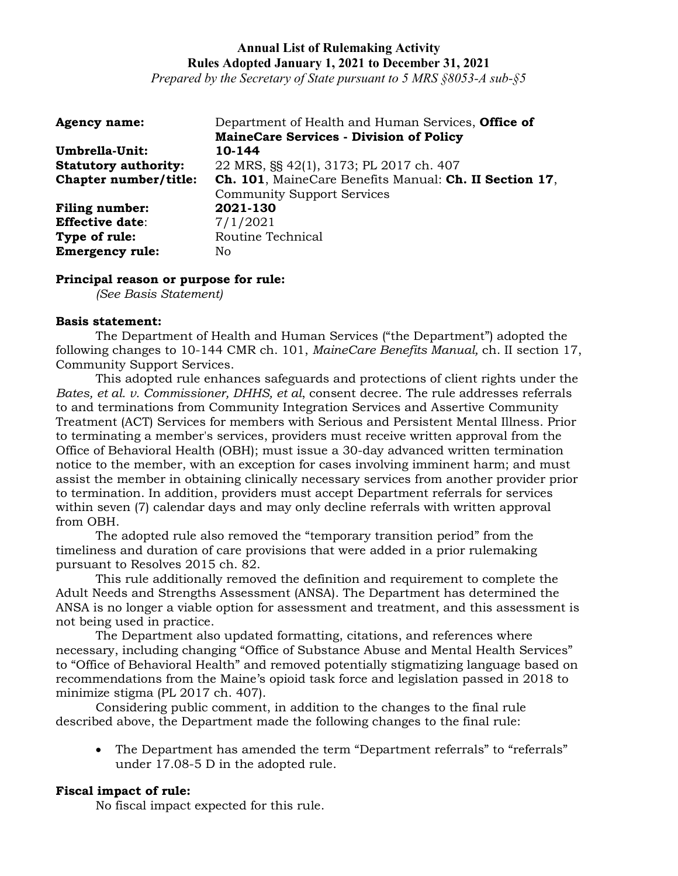*Prepared by the Secretary of State pursuant to 5 MRS §8053-A sub-§5*

| <b>Agency name:</b>         | Department of Health and Human Services, <b>Office of</b><br><b>MaineCare Services - Division of Policy</b> |
|-----------------------------|-------------------------------------------------------------------------------------------------------------|
| Umbrella-Unit:              | 10-144                                                                                                      |
| <b>Statutory authority:</b> | 22 MRS, §§ 42(1), 3173; PL 2017 ch. 407                                                                     |
| Chapter number/title:       | Ch. 101, MaineCare Benefits Manual: Ch. II Section 17,                                                      |
|                             | <b>Community Support Services</b>                                                                           |
| <b>Filing number:</b>       | 2021-130                                                                                                    |
| <b>Effective date:</b>      | 7/1/2021                                                                                                    |
| Type of rule:               | Routine Technical                                                                                           |
| <b>Emergency rule:</b>      | No                                                                                                          |

### **Principal reason or purpose for rule:**

*(See Basis Statement)*

### **Basis statement:**

The Department of Health and Human Services ("the Department") adopted the following changes to 10-144 CMR ch. 101, *MaineCare Benefits Manual,* ch. II section 17, Community Support Services.

This adopted rule enhances safeguards and protections of client rights under the *Bates, et al. v. Commissioner, DHHS, et al*, consent decree. The rule addresses referrals to and terminations from Community Integration Services and Assertive Community Treatment (ACT) Services for members with Serious and Persistent Mental Illness. Prior to terminating a member's services, providers must receive written approval from the Office of Behavioral Health (OBH); must issue a 30-day advanced written termination notice to the member, with an exception for cases involving imminent harm; and must assist the member in obtaining clinically necessary services from another provider prior to termination. In addition, providers must accept Department referrals for services within seven (7) calendar days and may only decline referrals with written approval from OBH.

The adopted rule also removed the "temporary transition period" from the timeliness and duration of care provisions that were added in a prior rulemaking pursuant to Resolves 2015 ch. 82.

This rule additionally removed the definition and requirement to complete the Adult Needs and Strengths Assessment (ANSA). The Department has determined the ANSA is no longer a viable option for assessment and treatment, and this assessment is not being used in practice.

The Department also updated formatting, citations, and references where necessary, including changing "Office of Substance Abuse and Mental Health Services" to "Office of Behavioral Health" and removed potentially stigmatizing language based on recommendations from the Maine's opioid task force and legislation passed in 2018 to minimize stigma (PL 2017 ch. 407).

Considering public comment, in addition to the changes to the final rule described above, the Department made the following changes to the final rule:

• The Department has amended the term "Department referrals" to "referrals" under 17.08-5 D in the adopted rule.

### **Fiscal impact of rule:**

No fiscal impact expected for this rule.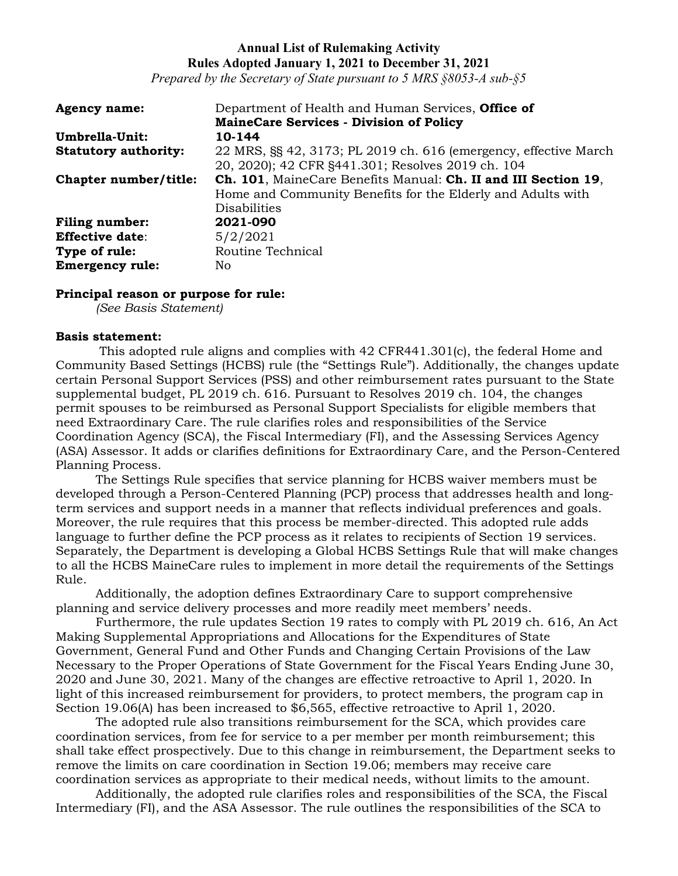*Prepared by the Secretary of State pursuant to 5 MRS §8053-A sub-§5*

| <b>Agency name:</b>         | Department of Health and Human Services, Office of               |
|-----------------------------|------------------------------------------------------------------|
|                             | <b>MaineCare Services - Division of Policy</b>                   |
| Umbrella-Unit:              | 10-144                                                           |
| <b>Statutory authority:</b> | 22 MRS, §§ 42, 3173; PL 2019 ch. 616 (emergency, effective March |
|                             | 20, 2020); 42 CFR §441.301; Resolves 2019 ch. 104                |
| Chapter number/title:       | Ch. 101, MaineCare Benefits Manual: Ch. II and III Section 19,   |
|                             | Home and Community Benefits for the Elderly and Adults with      |
|                             | <b>Disabilities</b>                                              |
| <b>Filing number:</b>       | 2021-090                                                         |
| <b>Effective date:</b>      | 5/2/2021                                                         |
| Type of rule:               | Routine Technical                                                |
| <b>Emergency rule:</b>      | No                                                               |

### **Principal reason or purpose for rule:**

*(See Basis Statement)*

#### **Basis statement:**

This adopted rule aligns and complies with 42 CFR441.301(c), the federal Home and Community Based Settings (HCBS) rule (the "Settings Rule"). Additionally, the changes update certain Personal Support Services (PSS) and other reimbursement rates pursuant to the State supplemental budget, PL 2019 ch. 616. Pursuant to Resolves 2019 ch. 104, the changes permit spouses to be reimbursed as Personal Support Specialists for eligible members that need Extraordinary Care. The rule clarifies roles and responsibilities of the Service Coordination Agency (SCA), the Fiscal Intermediary (FI), and the Assessing Services Agency (ASA) Assessor. It adds or clarifies definitions for Extraordinary Care, and the Person-Centered Planning Process.

The Settings Rule specifies that service planning for HCBS waiver members must be developed through a Person-Centered Planning (PCP) process that addresses health and longterm services and support needs in a manner that reflects individual preferences and goals. Moreover, the rule requires that this process be member-directed. This adopted rule adds language to further define the PCP process as it relates to recipients of Section 19 services. Separately, the Department is developing a Global HCBS Settings Rule that will make changes to all the HCBS MaineCare rules to implement in more detail the requirements of the Settings Rule.

Additionally, the adoption defines Extraordinary Care to support comprehensive planning and service delivery processes and more readily meet members' needs.

Furthermore, the rule updates Section 19 rates to comply with PL 2019 ch. 616, An Act Making Supplemental Appropriations and Allocations for the Expenditures of State Government, General Fund and Other Funds and Changing Certain Provisions of the Law Necessary to the Proper Operations of State Government for the Fiscal Years Ending June 30, 2020 and June 30, 2021. Many of the changes are effective retroactive to April 1, 2020. In light of this increased reimbursement for providers, to protect members, the program cap in Section 19.06(A) has been increased to \$6,565, effective retroactive to April 1, 2020.

The adopted rule also transitions reimbursement for the SCA, which provides care coordination services, from fee for service to a per member per month reimbursement; this shall take effect prospectively. Due to this change in reimbursement, the Department seeks to remove the limits on care coordination in Section 19.06; members may receive care coordination services as appropriate to their medical needs, without limits to the amount.

Additionally, the adopted rule clarifies roles and responsibilities of the SCA, the Fiscal Intermediary (FI), and the ASA Assessor. The rule outlines the responsibilities of the SCA to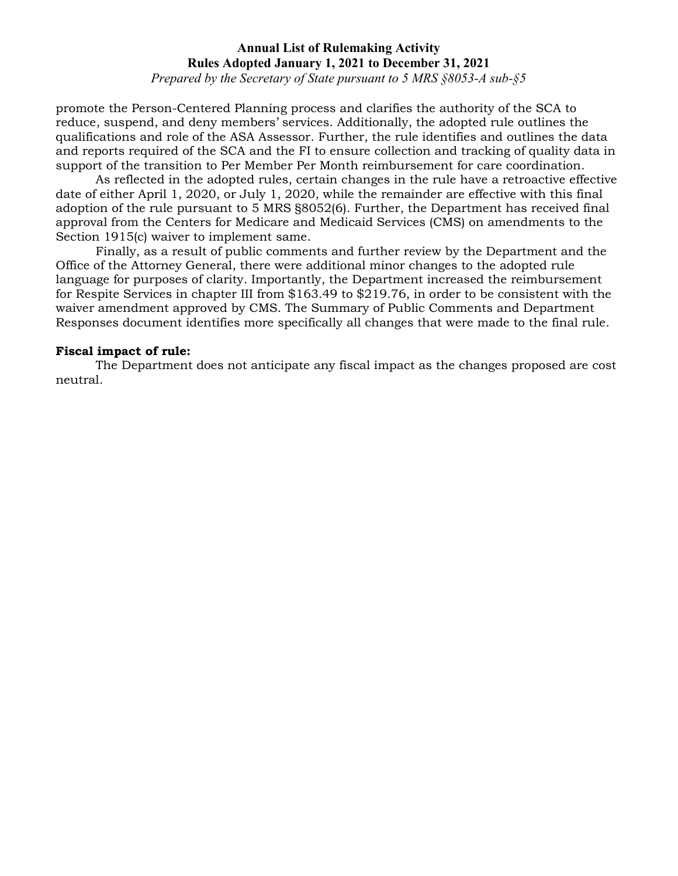*Prepared by the Secretary of State pursuant to 5 MRS §8053-A sub-§5*

promote the Person-Centered Planning process and clarifies the authority of the SCA to reduce, suspend, and deny members' services. Additionally, the adopted rule outlines the qualifications and role of the ASA Assessor. Further, the rule identifies and outlines the data and reports required of the SCA and the FI to ensure collection and tracking of quality data in support of the transition to Per Member Per Month reimbursement for care coordination.

As reflected in the adopted rules, certain changes in the rule have a retroactive effective date of either April 1, 2020, or July 1, 2020, while the remainder are effective with this final adoption of the rule pursuant to 5 MRS §8052(6). Further, the Department has received final approval from the Centers for Medicare and Medicaid Services (CMS) on amendments to the Section 1915(c) waiver to implement same.

Finally, as a result of public comments and further review by the Department and the Office of the Attorney General, there were additional minor changes to the adopted rule language for purposes of clarity. Importantly, the Department increased the reimbursement for Respite Services in chapter III from \$163.49 to \$219.76, in order to be consistent with the waiver amendment approved by CMS. The Summary of Public Comments and Department Responses document identifies more specifically all changes that were made to the final rule.

#### **Fiscal impact of rule:**

The Department does not anticipate any fiscal impact as the changes proposed are cost neutral.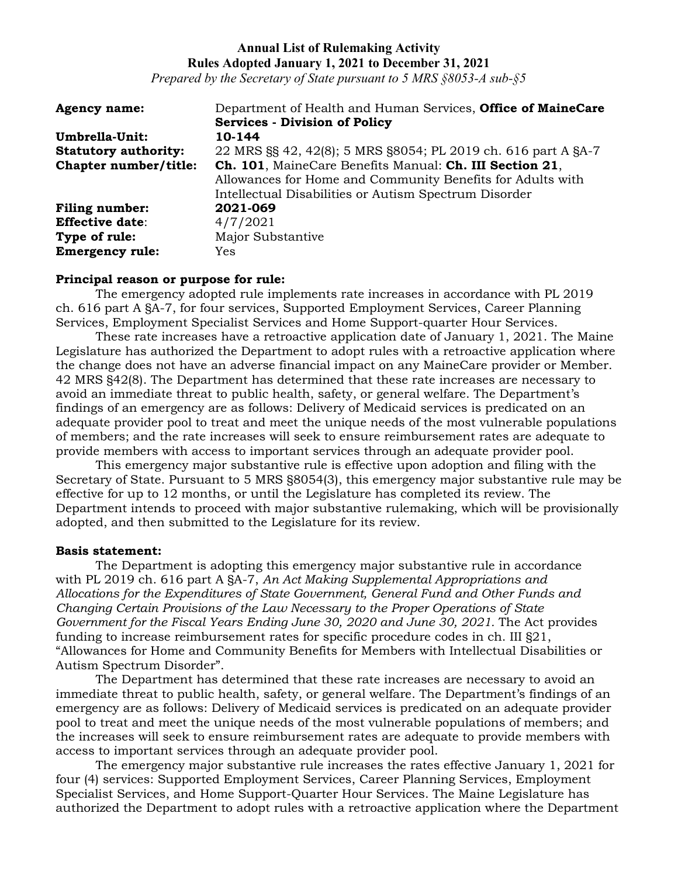*Prepared by the Secretary of State pursuant to 5 MRS §8053-A sub-§5*

| <b>Agency name:</b>         | Department of Health and Human Services, Office of MaineCare                                                                                                                   |
|-----------------------------|--------------------------------------------------------------------------------------------------------------------------------------------------------------------------------|
|                             | <b>Services - Division of Policy</b>                                                                                                                                           |
| Umbrella-Unit:              | 10-144                                                                                                                                                                         |
| <b>Statutory authority:</b> | 22 MRS §§ 42, 42(8); 5 MRS §8054; PL 2019 ch. 616 part A §A-7                                                                                                                  |
| Chapter number/title:       | Ch. 101, MaineCare Benefits Manual: Ch. III Section 21,<br>Allowances for Home and Community Benefits for Adults with<br>Intellectual Disabilities or Autism Spectrum Disorder |
| <b>Filing number:</b>       | 2021-069                                                                                                                                                                       |
| <b>Effective date:</b>      | 4/7/2021                                                                                                                                                                       |
| Type of rule:               | Major Substantive                                                                                                                                                              |
| <b>Emergency rule:</b>      | Yes                                                                                                                                                                            |

#### **Principal reason or purpose for rule:**

The emergency adopted rule implements rate increases in accordance with PL 2019 ch. 616 part A §A-7, for four services, Supported Employment Services, Career Planning Services, Employment Specialist Services and Home Support-quarter Hour Services.

These rate increases have a retroactive application date of January 1, 2021. The Maine Legislature has authorized the Department to adopt rules with a retroactive application where the change does not have an adverse financial impact on any MaineCare provider or Member. 42 MRS §42(8). The Department has determined that these rate increases are necessary to avoid an immediate threat to public health, safety, or general welfare. The Department's findings of an emergency are as follows: Delivery of Medicaid services is predicated on an adequate provider pool to treat and meet the unique needs of the most vulnerable populations of members; and the rate increases will seek to ensure reimbursement rates are adequate to provide members with access to important services through an adequate provider pool.

This emergency major substantive rule is effective upon adoption and filing with the Secretary of State. Pursuant to 5 MRS §8054(3), this emergency major substantive rule may be effective for up to 12 months, or until the Legislature has completed its review. The Department intends to proceed with major substantive rulemaking, which will be provisionally adopted, and then submitted to the Legislature for its review.

#### **Basis statement:**

The Department is adopting this emergency major substantive rule in accordance with PL 2019 ch. 616 part A §A-7, *An Act Making Supplemental Appropriations and Allocations for the Expenditures of State Government, General Fund and Other Funds and Changing Certain Provisions of the Law Necessary to the Proper Operations of State Government for the Fiscal Years Ending June 30, 2020 and June 30, 2021.* The Act provides funding to increase reimbursement rates for specific procedure codes in ch. III §21, "Allowances for Home and Community Benefits for Members with Intellectual Disabilities or Autism Spectrum Disorder".

The Department has determined that these rate increases are necessary to avoid an immediate threat to public health, safety, or general welfare. The Department's findings of an emergency are as follows: Delivery of Medicaid services is predicated on an adequate provider pool to treat and meet the unique needs of the most vulnerable populations of members; and the increases will seek to ensure reimbursement rates are adequate to provide members with access to important services through an adequate provider pool.

The emergency major substantive rule increases the rates effective January 1, 2021 for four (4) services: Supported Employment Services, Career Planning Services, Employment Specialist Services, and Home Support-Quarter Hour Services. The Maine Legislature has authorized the Department to adopt rules with a retroactive application where the Department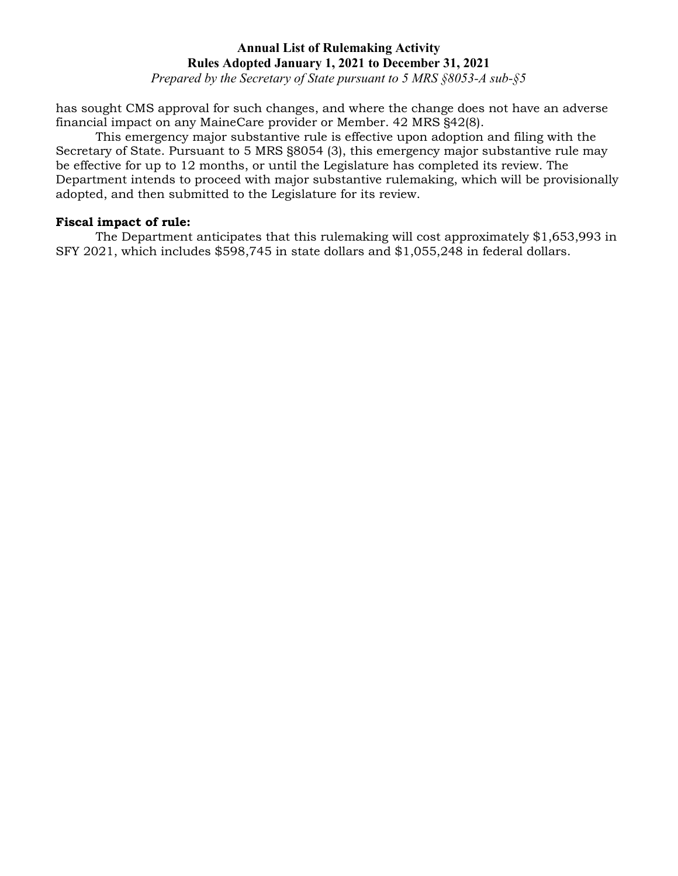*Prepared by the Secretary of State pursuant to 5 MRS §8053-A sub-§5*

has sought CMS approval for such changes, and where the change does not have an adverse financial impact on any MaineCare provider or Member. 42 MRS §42(8).

This emergency major substantive rule is effective upon adoption and filing with the Secretary of State. Pursuant to 5 MRS §8054 (3), this emergency major substantive rule may be effective for up to 12 months, or until the Legislature has completed its review. The Department intends to proceed with major substantive rulemaking, which will be provisionally adopted, and then submitted to the Legislature for its review.

### **Fiscal impact of rule:**

The Department anticipates that this rulemaking will cost approximately \$1,653,993 in SFY 2021, which includes \$598,745 in state dollars and \$1,055,248 in federal dollars.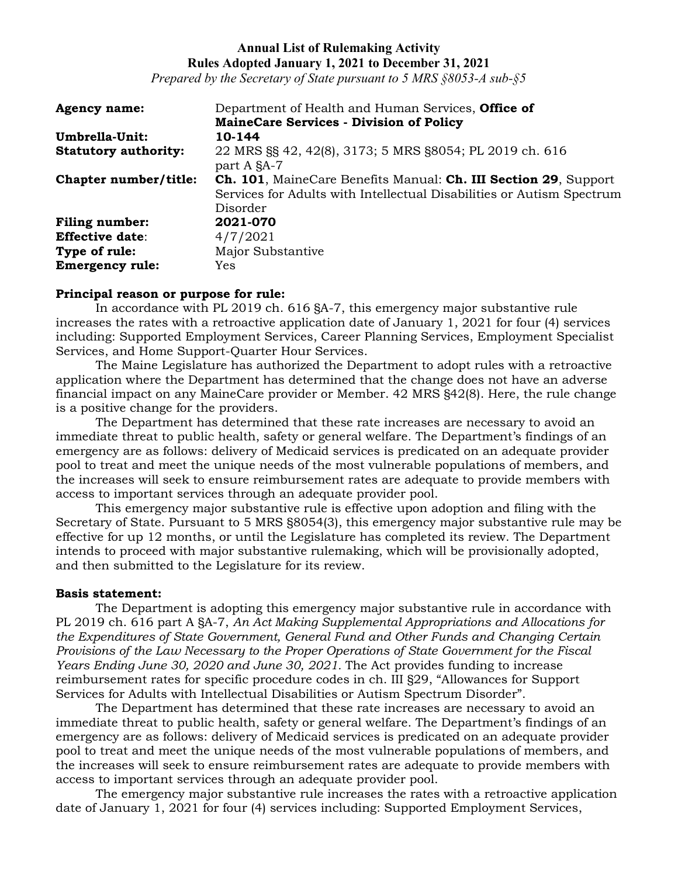*Prepared by the Secretary of State pursuant to 5 MRS §8053-A sub-§5*

| <b>Agency name:</b>         | Department of Health and Human Services, <b>Office of</b>                                                                                                            |
|-----------------------------|----------------------------------------------------------------------------------------------------------------------------------------------------------------------|
|                             | <b>MaineCare Services - Division of Policy</b>                                                                                                                       |
| Umbrella-Unit:              | 10-144                                                                                                                                                               |
| <b>Statutory authority:</b> | 22 MRS §§ 42, 42(8), 3173; 5 MRS §8054; PL 2019 ch. 616<br>part A §A-7                                                                                               |
| Chapter number/title:       | <b>Ch. 101</b> , MaineCare Benefits Manual: <b>Ch. III Section 29</b> , Support<br>Services for Adults with Intellectual Disabilities or Autism Spectrum<br>Disorder |
| <b>Filing number:</b>       | 2021-070                                                                                                                                                             |
| <b>Effective date:</b>      | 4/7/2021                                                                                                                                                             |
| Type of rule:               | Major Substantive                                                                                                                                                    |
| <b>Emergency rule:</b>      | Yes                                                                                                                                                                  |

#### **Principal reason or purpose for rule:**

In accordance with PL 2019 ch. 616 §A-7, this emergency major substantive rule increases the rates with a retroactive application date of January 1, 2021 for four (4) services including: Supported Employment Services, Career Planning Services, Employment Specialist Services, and Home Support-Quarter Hour Services.

The Maine Legislature has authorized the Department to adopt rules with a retroactive application where the Department has determined that the change does not have an adverse financial impact on any MaineCare provider or Member. 42 MRS §42(8). Here, the rule change is a positive change for the providers.

The Department has determined that these rate increases are necessary to avoid an immediate threat to public health, safety or general welfare. The Department's findings of an emergency are as follows: delivery of Medicaid services is predicated on an adequate provider pool to treat and meet the unique needs of the most vulnerable populations of members, and the increases will seek to ensure reimbursement rates are adequate to provide members with access to important services through an adequate provider pool.

This emergency major substantive rule is effective upon adoption and filing with the Secretary of State. Pursuant to 5 MRS §8054(3), this emergency major substantive rule may be effective for up 12 months, or until the Legislature has completed its review. The Department intends to proceed with major substantive rulemaking, which will be provisionally adopted, and then submitted to the Legislature for its review.

### **Basis statement:**

The Department is adopting this emergency major substantive rule in accordance with PL 2019 ch. 616 part A §A-7, *An Act Making Supplemental Appropriations and Allocations for the Expenditures of State Government, General Fund and Other Funds and Changing Certain Provisions of the Law Necessary to the Proper Operations of State Government for the Fiscal Years Ending June 30, 2020 and June 30, 2021.* The Act provides funding to increase reimbursement rates for specific procedure codes in ch. III §29, "Allowances for Support Services for Adults with Intellectual Disabilities or Autism Spectrum Disorder".

The Department has determined that these rate increases are necessary to avoid an immediate threat to public health, safety or general welfare. The Department's findings of an emergency are as follows: delivery of Medicaid services is predicated on an adequate provider pool to treat and meet the unique needs of the most vulnerable populations of members, and the increases will seek to ensure reimbursement rates are adequate to provide members with access to important services through an adequate provider pool.

The emergency major substantive rule increases the rates with a retroactive application date of January 1, 2021 for four (4) services including: Supported Employment Services,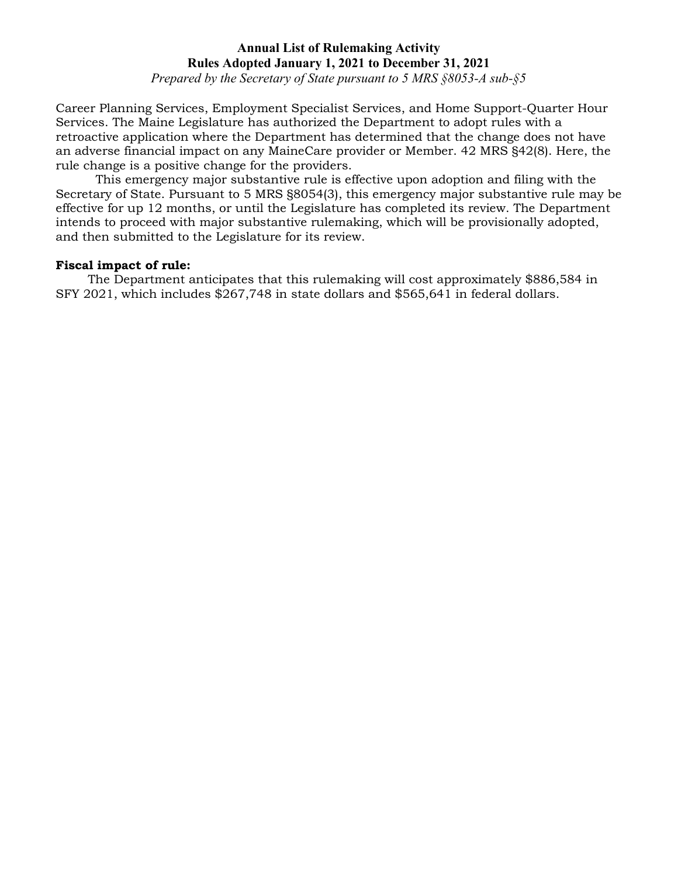*Prepared by the Secretary of State pursuant to 5 MRS §8053-A sub-§5*

Career Planning Services, Employment Specialist Services, and Home Support-Quarter Hour Services. The Maine Legislature has authorized the Department to adopt rules with a retroactive application where the Department has determined that the change does not have an adverse financial impact on any MaineCare provider or Member. 42 MRS §42(8). Here, the rule change is a positive change for the providers.

This emergency major substantive rule is effective upon adoption and filing with the Secretary of State. Pursuant to 5 MRS §8054(3), this emergency major substantive rule may be effective for up 12 months, or until the Legislature has completed its review. The Department intends to proceed with major substantive rulemaking, which will be provisionally adopted, and then submitted to the Legislature for its review.

### **Fiscal impact of rule:**

The Department anticipates that this rulemaking will cost approximately \$886,584 in SFY 2021, which includes \$267,748 in state dollars and \$565,641 in federal dollars.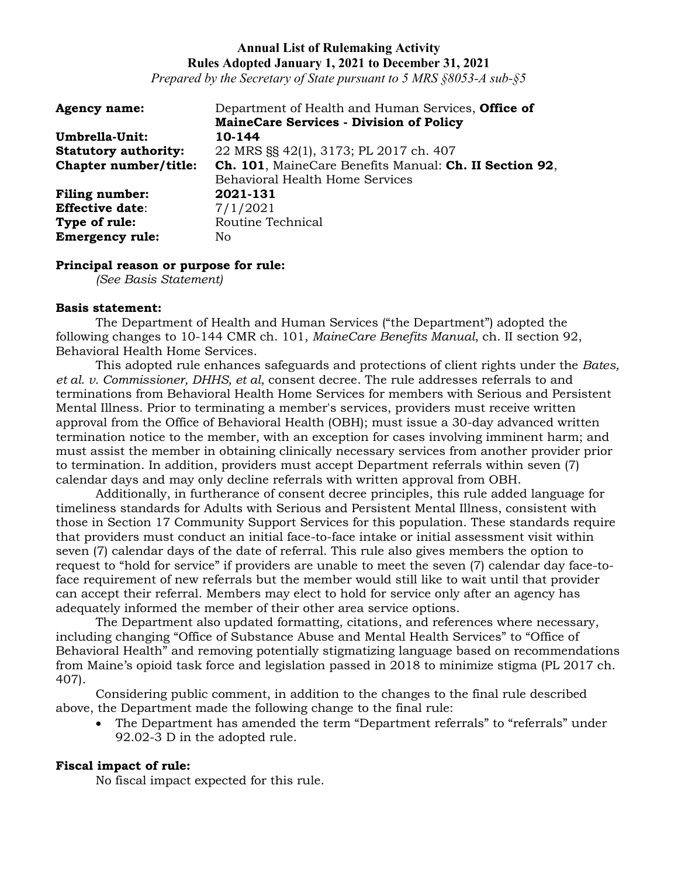*Prepared by the Secretary of State pursuant to 5 MRS §8053-A sub-§5*

| <b>Agency name:</b>         | Department of Health and Human Services, Office of     |
|-----------------------------|--------------------------------------------------------|
|                             | <b>MaineCare Services - Division of Policy</b>         |
| Umbrella-Unit:              | 10-144                                                 |
| <b>Statutory authority:</b> | 22 MRS §§ 42(1), 3173; PL 2017 ch. 407                 |
| Chapter number/title:       | Ch. 101, MaineCare Benefits Manual: Ch. II Section 92, |
|                             | <b>Behavioral Health Home Services</b>                 |
| <b>Filing number:</b>       | 2021-131                                               |
| <b>Effective date:</b>      | 7/1/2021                                               |
| Type of rule:               | Routine Technical                                      |
| <b>Emergency rule:</b>      | No.                                                    |

### **Principal reason or purpose for rule:**

*(See Basis Statement)*

#### **Basis statement:**

The Department of Health and Human Services ("the Department") adopted the following changes to 10-144 CMR ch. 101, *MaineCare Benefits Manual*, ch. II section 92, Behavioral Health Home Services.

This adopted rule enhances safeguards and protections of client rights under the *Bates, et al. v. Commissioner, DHHS, et al*, consent decree. The rule addresses referrals to and terminations from Behavioral Health Home Services for members with Serious and Persistent Mental Illness. Prior to terminating a member's services, providers must receive written approval from the Office of Behavioral Health (OBH); must issue a 30-day advanced written termination notice to the member, with an exception for cases involving imminent harm; and must assist the member in obtaining clinically necessary services from another provider prior to termination. In addition, providers must accept Department referrals within seven (7) calendar days and may only decline referrals with written approval from OBH.

Additionally, in furtherance of consent decree principles, this rule added language for timeliness standards for Adults with Serious and Persistent Mental Illness, consistent with those in Section 17 Community Support Services for this population. These standards require that providers must conduct an initial face-to-face intake or initial assessment visit within seven (7) calendar days of the date of referral. This rule also gives members the option to request to "hold for service" if providers are unable to meet the seven (7) calendar day face-toface requirement of new referrals but the member would still like to wait until that provider can accept their referral. Members may elect to hold for service only after an agency has adequately informed the member of their other area service options.

The Department also updated formatting, citations, and references where necessary, including changing "Office of Substance Abuse and Mental Health Services" to "Office of Behavioral Health" and removing potentially stigmatizing language based on recommendations from Maine's opioid task force and legislation passed in 2018 to minimize stigma (PL 2017 ch. 407).

Considering public comment, in addition to the changes to the final rule described above, the Department made the following change to the final rule:

• The Department has amended the term "Department referrals" to "referrals" under 92.02-3 D in the adopted rule.

### **Fiscal impact of rule:**

No fiscal impact expected for this rule.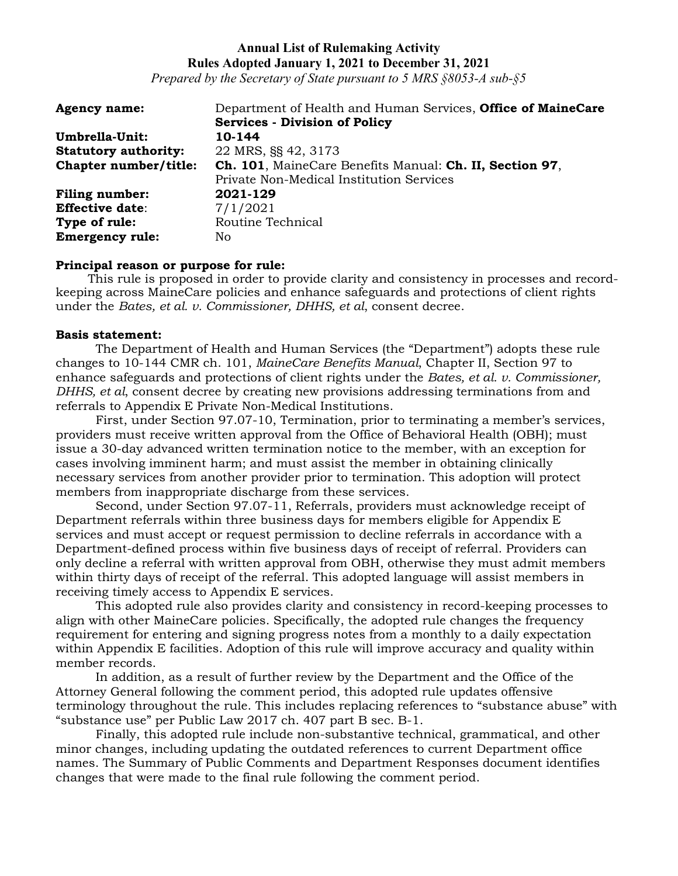*Prepared by the Secretary of State pursuant to 5 MRS §8053-A sub-§5*

| <b>Agency name:</b>         | Department of Health and Human Services, Office of MaineCare |
|-----------------------------|--------------------------------------------------------------|
|                             | <b>Services - Division of Policy</b>                         |
| Umbrella-Unit:              | 10-144                                                       |
| <b>Statutory authority:</b> | 22 MRS, §§ 42, 3173                                          |
| Chapter number/title:       | Ch. 101, MaineCare Benefits Manual: Ch. II, Section 97,      |
|                             | Private Non-Medical Institution Services                     |
| <b>Filing number:</b>       | 2021-129                                                     |
| <b>Effective date:</b>      | 7/1/2021                                                     |
| Type of rule:               | Routine Technical                                            |
| <b>Emergency rule:</b>      | No                                                           |

### **Principal reason or purpose for rule:**

This rule is proposed in order to provide clarity and consistency in processes and recordkeeping across MaineCare policies and enhance safeguards and protections of client rights under the *Bates, et al. v. Commissioner, DHHS, et al*, consent decree.

#### **Basis statement:**

The Department of Health and Human Services (the "Department") adopts these rule changes to 10-144 CMR ch. 101, *MaineCare Benefits Manual*, Chapter II, Section 97 to enhance safeguards and protections of client rights under the *Bates, et al. v. Commissioner, DHHS, et al*, consent decree by creating new provisions addressing terminations from and referrals to Appendix E Private Non-Medical Institutions.

First, under Section 97.07-10, Termination, prior to terminating a member's services, providers must receive written approval from the Office of Behavioral Health (OBH); must issue a 30-day advanced written termination notice to the member, with an exception for cases involving imminent harm; and must assist the member in obtaining clinically necessary services from another provider prior to termination. This adoption will protect members from inappropriate discharge from these services.

Second, under Section 97.07-11, Referrals, providers must acknowledge receipt of Department referrals within three business days for members eligible for Appendix E services and must accept or request permission to decline referrals in accordance with a Department-defined process within five business days of receipt of referral. Providers can only decline a referral with written approval from OBH, otherwise they must admit members within thirty days of receipt of the referral. This adopted language will assist members in receiving timely access to Appendix E services.

This adopted rule also provides clarity and consistency in record-keeping processes to align with other MaineCare policies. Specifically, the adopted rule changes the frequency requirement for entering and signing progress notes from a monthly to a daily expectation within Appendix E facilities. Adoption of this rule will improve accuracy and quality within member records.

In addition, as a result of further review by the Department and the Office of the Attorney General following the comment period, this adopted rule updates offensive terminology throughout the rule. This includes replacing references to "substance abuse" with "substance use" per Public Law 2017 ch. 407 part B sec. B-1.

Finally, this adopted rule include non-substantive technical, grammatical, and other minor changes, including updating the outdated references to current Department office names. The Summary of Public Comments and Department Responses document identifies changes that were made to the final rule following the comment period.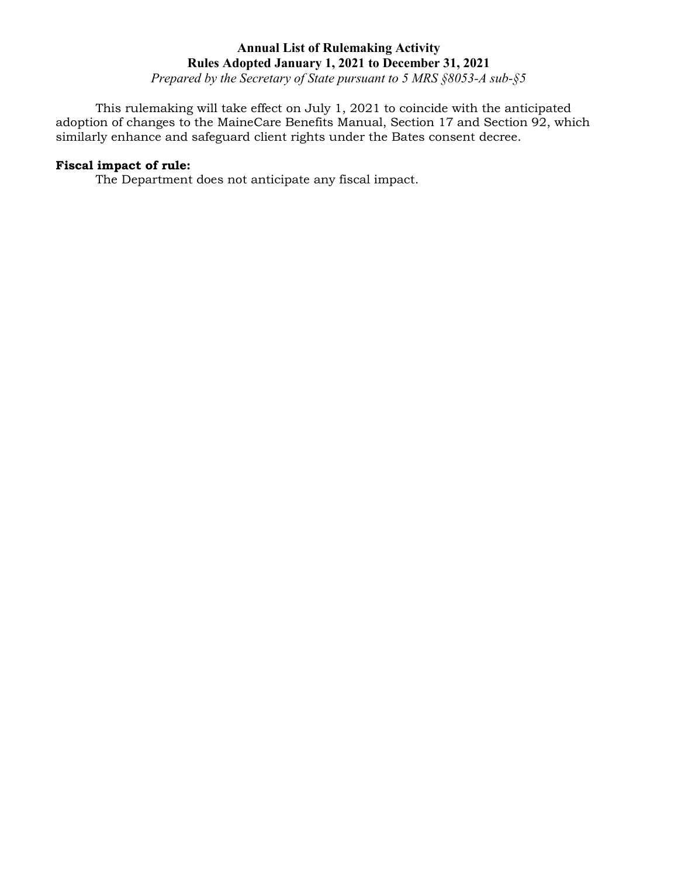*Prepared by the Secretary of State pursuant to 5 MRS §8053-A sub-§5*

This rulemaking will take effect on July 1, 2021 to coincide with the anticipated adoption of changes to the MaineCare Benefits Manual, Section 17 and Section 92, which similarly enhance and safeguard client rights under the Bates consent decree.

# **Fiscal impact of rule:**

The Department does not anticipate any fiscal impact.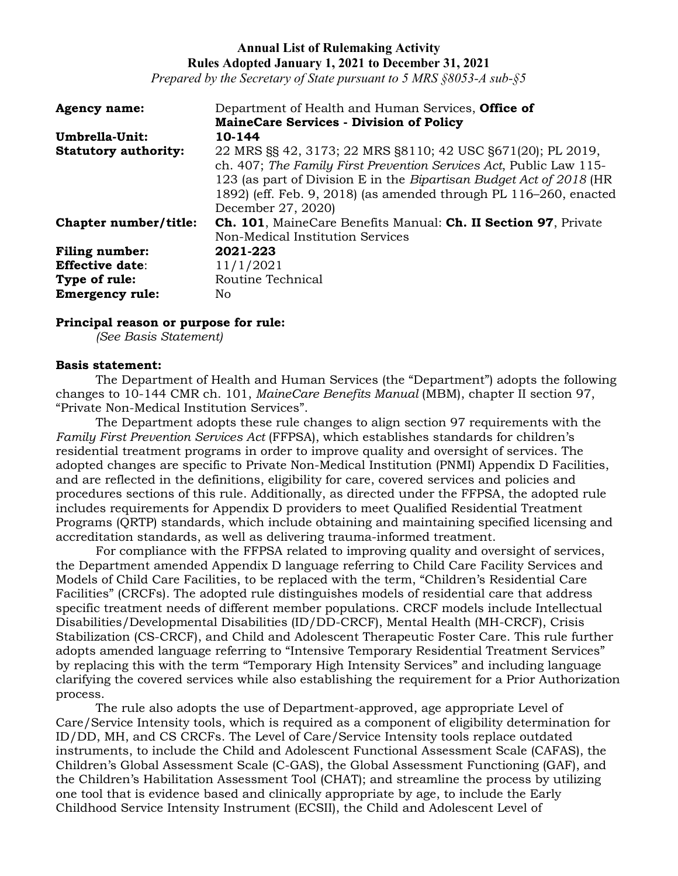*Prepared by the Secretary of State pursuant to 5 MRS §8053-A sub-§5*

| <b>Agency name:</b>         | Department of Health and Human Services, <b>Office of</b>                                                                                                                                                                                                                                           |
|-----------------------------|-----------------------------------------------------------------------------------------------------------------------------------------------------------------------------------------------------------------------------------------------------------------------------------------------------|
|                             | <b>MaineCare Services - Division of Policy</b>                                                                                                                                                                                                                                                      |
| Umbrella-Unit:              | 10-144                                                                                                                                                                                                                                                                                              |
| <b>Statutory authority:</b> | 22 MRS §§ 42, 3173; 22 MRS §8110; 42 USC §671(20); PL 2019,<br>ch. 407; The Family First Prevention Services Act, Public Law 115-<br>123 (as part of Division E in the Bipartisan Budget Act of 2018 (HR<br>1892) (eff. Feb. 9, 2018) (as amended through PL 116-260, enacted<br>December 27, 2020) |
| Chapter number/title:       | <b>Ch. 101</b> , MaineCare Benefits Manual: <b>Ch. II Section 97</b> , Private<br>Non-Medical Institution Services                                                                                                                                                                                  |
| <b>Filing number:</b>       | 2021-223                                                                                                                                                                                                                                                                                            |
| <b>Effective date:</b>      | 11/1/2021                                                                                                                                                                                                                                                                                           |
| Type of rule:               | Routine Technical                                                                                                                                                                                                                                                                                   |
| <b>Emergency rule:</b>      | No.                                                                                                                                                                                                                                                                                                 |

### **Principal reason or purpose for rule:**

*(See Basis Statement)*

#### **Basis statement:**

The Department of Health and Human Services (the "Department") adopts the following changes to 10-144 CMR ch. 101, *MaineCare Benefits Manual* (MBM), chapter II section 97, "Private Non-Medical Institution Services".

The Department adopts these rule changes to align section 97 requirements with the *Family First Prevention Services Act* (FFPSA), which establishes standards for children's residential treatment programs in order to improve quality and oversight of services. The adopted changes are specific to Private Non-Medical Institution (PNMI) Appendix D Facilities, and are reflected in the definitions, eligibility for care, covered services and policies and procedures sections of this rule. Additionally, as directed under the FFPSA, the adopted rule includes requirements for Appendix D providers to meet Qualified Residential Treatment Programs (QRTP) standards, which include obtaining and maintaining specified licensing and accreditation standards, as well as delivering trauma-informed treatment.

For compliance with the FFPSA related to improving quality and oversight of services, the Department amended Appendix D language referring to Child Care Facility Services and Models of Child Care Facilities, to be replaced with the term, "Children's Residential Care Facilities" (CRCFs). The adopted rule distinguishes models of residential care that address specific treatment needs of different member populations. CRCF models include Intellectual Disabilities/Developmental Disabilities (ID/DD-CRCF), Mental Health (MH-CRCF), Crisis Stabilization (CS-CRCF), and Child and Adolescent Therapeutic Foster Care. This rule further adopts amended language referring to "Intensive Temporary Residential Treatment Services" by replacing this with the term "Temporary High Intensity Services" and including language clarifying the covered services while also establishing the requirement for a Prior Authorization process.

The rule also adopts the use of Department-approved, age appropriate Level of Care/Service Intensity tools, which is required as a component of eligibility determination for ID/DD, MH, and CS CRCFs. The Level of Care/Service Intensity tools replace outdated instruments, to include the Child and Adolescent Functional Assessment Scale (CAFAS), the Children's Global Assessment Scale (C-GAS), the Global Assessment Functioning (GAF), and the Children's Habilitation Assessment Tool (CHAT); and streamline the process by utilizing one tool that is evidence based and clinically appropriate by age, to include the Early Childhood Service Intensity Instrument (ECSII), the Child and Adolescent Level of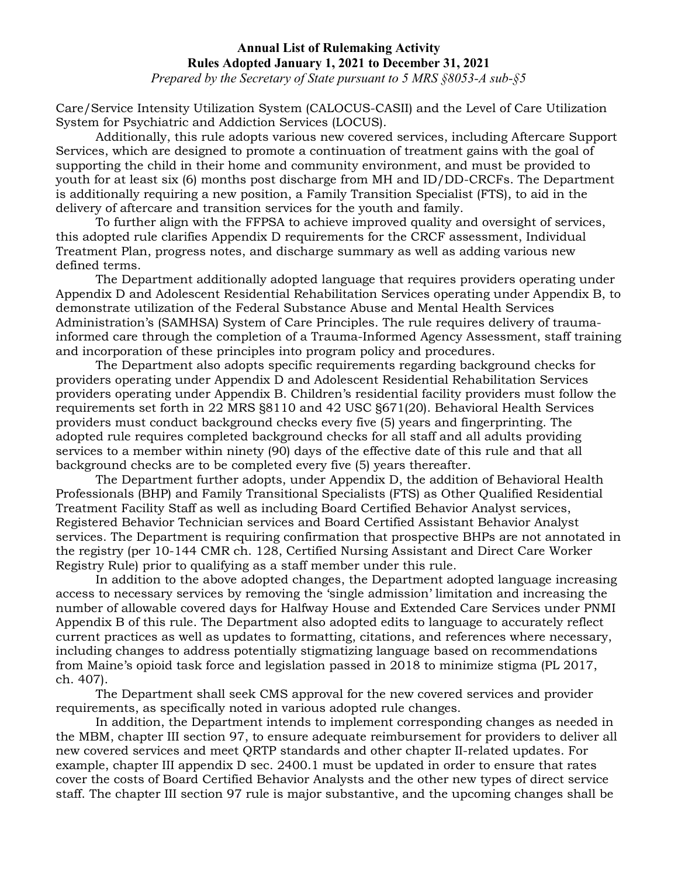*Prepared by the Secretary of State pursuant to 5 MRS §8053-A sub-§5*

Care/Service Intensity Utilization System (CALOCUS-CASII) and the Level of Care Utilization System for Psychiatric and Addiction Services (LOCUS).

Additionally, this rule adopts various new covered services, including Aftercare Support Services, which are designed to promote a continuation of treatment gains with the goal of supporting the child in their home and community environment, and must be provided to youth for at least six (6) months post discharge from MH and ID/DD-CRCFs. The Department is additionally requiring a new position, a Family Transition Specialist (FTS), to aid in the delivery of aftercare and transition services for the youth and family.

To further align with the FFPSA to achieve improved quality and oversight of services, this adopted rule clarifies Appendix D requirements for the CRCF assessment, Individual Treatment Plan, progress notes, and discharge summary as well as adding various new defined terms.

The Department additionally adopted language that requires providers operating under Appendix D and Adolescent Residential Rehabilitation Services operating under Appendix B, to demonstrate utilization of the Federal Substance Abuse and Mental Health Services Administration's (SAMHSA) System of Care Principles. The rule requires delivery of traumainformed care through the completion of a Trauma-Informed Agency Assessment, staff training and incorporation of these principles into program policy and procedures.

The Department also adopts specific requirements regarding background checks for providers operating under Appendix D and Adolescent Residential Rehabilitation Services providers operating under Appendix B. Children's residential facility providers must follow the requirements set forth in 22 MRS §8110 and 42 USC §671(20). Behavioral Health Services providers must conduct background checks every five (5) years and fingerprinting. The adopted rule requires completed background checks for all staff and all adults providing services to a member within ninety (90) days of the effective date of this rule and that all background checks are to be completed every five (5) years thereafter.

The Department further adopts, under Appendix D, the addition of Behavioral Health Professionals (BHP) and Family Transitional Specialists (FTS) as Other Qualified Residential Treatment Facility Staff as well as including Board Certified Behavior Analyst services, Registered Behavior Technician services and Board Certified Assistant Behavior Analyst services. The Department is requiring confirmation that prospective BHPs are not annotated in the registry (per 10-144 CMR ch. 128, Certified Nursing Assistant and Direct Care Worker Registry Rule) prior to qualifying as a staff member under this rule.

In addition to the above adopted changes, the Department adopted language increasing access to necessary services by removing the 'single admission' limitation and increasing the number of allowable covered days for Halfway House and Extended Care Services under PNMI Appendix B of this rule. The Department also adopted edits to language to accurately reflect current practices as well as updates to formatting, citations, and references where necessary, including changes to address potentially stigmatizing language based on recommendations from Maine's opioid task force and legislation passed in 2018 to minimize stigma (PL 2017, ch. 407).

The Department shall seek CMS approval for the new covered services and provider requirements, as specifically noted in various adopted rule changes.

In addition, the Department intends to implement corresponding changes as needed in the MBM, chapter III section 97, to ensure adequate reimbursement for providers to deliver all new covered services and meet QRTP standards and other chapter II-related updates. For example, chapter III appendix D sec. 2400.1 must be updated in order to ensure that rates cover the costs of Board Certified Behavior Analysts and the other new types of direct service staff. The chapter III section 97 rule is major substantive, and the upcoming changes shall be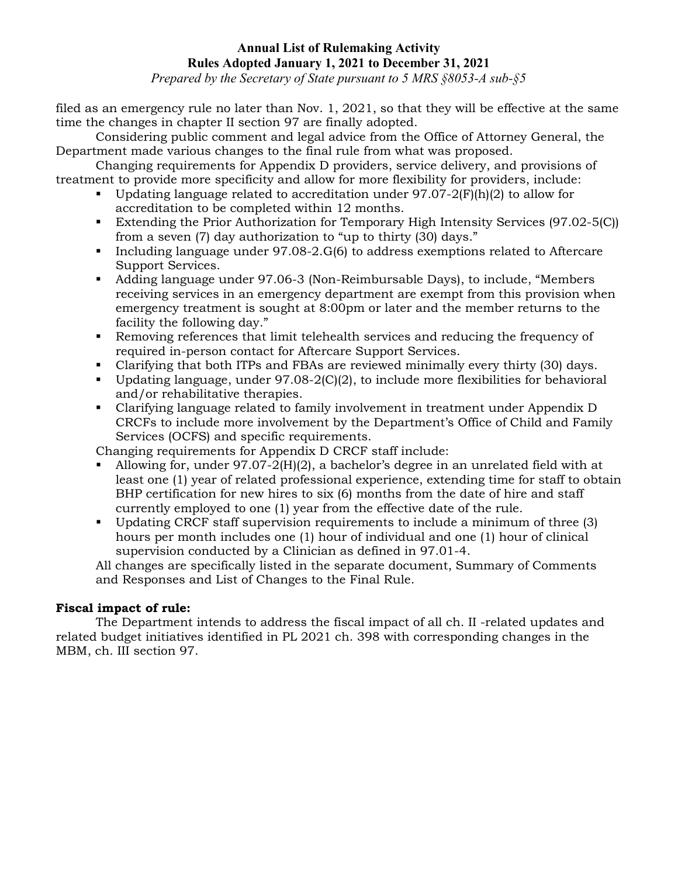*Prepared by the Secretary of State pursuant to 5 MRS §8053-A sub-§5*

filed as an emergency rule no later than Nov. 1, 2021, so that they will be effective at the same time the changes in chapter II section 97 are finally adopted.

Considering public comment and legal advice from the Office of Attorney General, the Department made various changes to the final rule from what was proposed.

Changing requirements for Appendix D providers, service delivery, and provisions of treatment to provide more specificity and allow for more flexibility for providers, include:

- Updating language related to accreditation under  $97.07-2(F)(h)(2)$  to allow for accreditation to be completed within 12 months.
- Extending the Prior Authorization for Temporary High Intensity Services (97.02-5(C)) from a seven (7) day authorization to "up to thirty (30) days."
- Including language under 97.08-2.G(6) to address exemptions related to Aftercare Support Services.
- Adding language under 97.06-3 (Non-Reimbursable Days), to include, "Members receiving services in an emergency department are exempt from this provision when emergency treatment is sought at 8:00pm or later and the member returns to the facility the following day."
- Removing references that limit telehealth services and reducing the frequency of required in-person contact for Aftercare Support Services.
- Clarifying that both ITPs and FBAs are reviewed minimally every thirty (30) days.
- Updating language, under  $97.08-2(C)(2)$ , to include more flexibilities for behavioral and/or rehabilitative therapies.
- Clarifying language related to family involvement in treatment under Appendix D CRCFs to include more involvement by the Department's Office of Child and Family Services (OCFS) and specific requirements.

Changing requirements for Appendix D CRCF staff include:

- Allowing for, under 97.07-2(H)(2), a bachelor's degree in an unrelated field with at least one (1) year of related professional experience, extending time for staff to obtain BHP certification for new hires to six (6) months from the date of hire and staff currently employed to one (1) year from the effective date of the rule.
- Updating CRCF staff supervision requirements to include a minimum of three (3) hours per month includes one (1) hour of individual and one (1) hour of clinical supervision conducted by a Clinician as defined in 97.01-4.

All changes are specifically listed in the separate document, Summary of Comments and Responses and List of Changes to the Final Rule.

# **Fiscal impact of rule:**

The Department intends to address the fiscal impact of all ch. II -related updates and related budget initiatives identified in PL 2021 ch. 398 with corresponding changes in the MBM, ch. III section 97.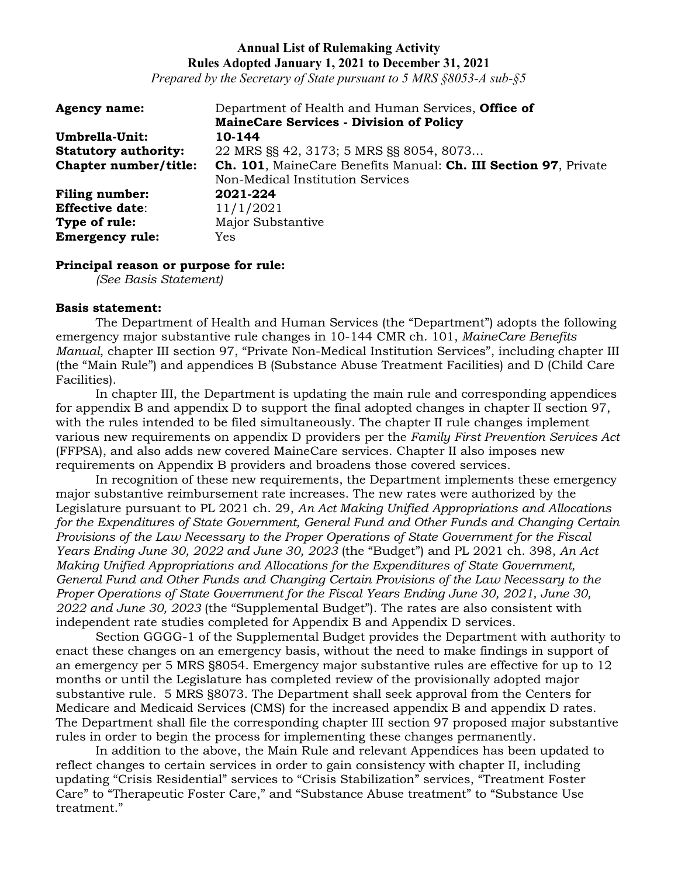*Prepared by the Secretary of State pursuant to 5 MRS §8053-A sub-§5*

| <b>Agency name:</b>         | Department of Health and Human Services, Office of              |
|-----------------------------|-----------------------------------------------------------------|
|                             | <b>MaineCare Services - Division of Policy</b>                  |
| Umbrella-Unit:              | 10-144                                                          |
| <b>Statutory authority:</b> | 22 MRS §§ 42, 3173; 5 MRS §§ 8054, 8073                         |
| Chapter number/title:       | Ch. 101, MaineCare Benefits Manual: Ch. III Section 97, Private |
|                             | Non-Medical Institution Services                                |
| <b>Filing number:</b>       | 2021-224                                                        |
| <b>Effective date:</b>      | 11/1/2021                                                       |
| Type of rule:               | Major Substantive                                               |
| <b>Emergency rule:</b>      | <b>Yes</b>                                                      |

#### **Principal reason or purpose for rule:**

*(See Basis Statement)*

#### **Basis statement:**

The Department of Health and Human Services (the "Department") adopts the following emergency major substantive rule changes in 10-144 CMR ch. 101, *MaineCare Benefits Manual*, chapter III section 97, "Private Non-Medical Institution Services", including chapter III (the "Main Rule") and appendices B (Substance Abuse Treatment Facilities) and D (Child Care Facilities).

In chapter III, the Department is updating the main rule and corresponding appendices for appendix B and appendix D to support the final adopted changes in chapter II section 97, with the rules intended to be filed simultaneously. The chapter II rule changes implement various new requirements on appendix D providers per the *Family First Prevention Services Act* (FFPSA), and also adds new covered MaineCare services. Chapter II also imposes new requirements on Appendix B providers and broadens those covered services.

In recognition of these new requirements, the Department implements these emergency major substantive reimbursement rate increases. The new rates were authorized by the Legislature pursuant to PL 2021 ch. 29, *An Act Making Unified Appropriations and Allocations for the Expenditures of State Government, General Fund and Other Funds and Changing Certain Provisions of the Law Necessary to the Proper Operations of State Government for the Fiscal Years Ending June 30, 2022 and June 30, 2023* (the "Budget") and PL 2021 ch. 398, *An Act Making Unified Appropriations and Allocations for the Expenditures of State Government, General Fund and Other Funds and Changing Certain Provisions of the Law Necessary to the Proper Operations of State Government for the Fiscal Years Ending June 30, 2021, June 30, 2022 and June 30, 2023* (the "Supplemental Budget"). The rates are also consistent with independent rate studies completed for Appendix B and Appendix D services.

Section GGGG-1 of the Supplemental Budget provides the Department with authority to enact these changes on an emergency basis, without the need to make findings in support of an emergency per 5 MRS §8054. Emergency major substantive rules are effective for up to 12 months or until the Legislature has completed review of the provisionally adopted major substantive rule. 5 MRS §8073. The Department shall seek approval from the Centers for Medicare and Medicaid Services (CMS) for the increased appendix B and appendix D rates. The Department shall file the corresponding chapter III section 97 proposed major substantive rules in order to begin the process for implementing these changes permanently.

In addition to the above, the Main Rule and relevant Appendices has been updated to reflect changes to certain services in order to gain consistency with chapter II, including updating "Crisis Residential" services to "Crisis Stabilization" services, "Treatment Foster Care" to "Therapeutic Foster Care," and "Substance Abuse treatment" to "Substance Use treatment."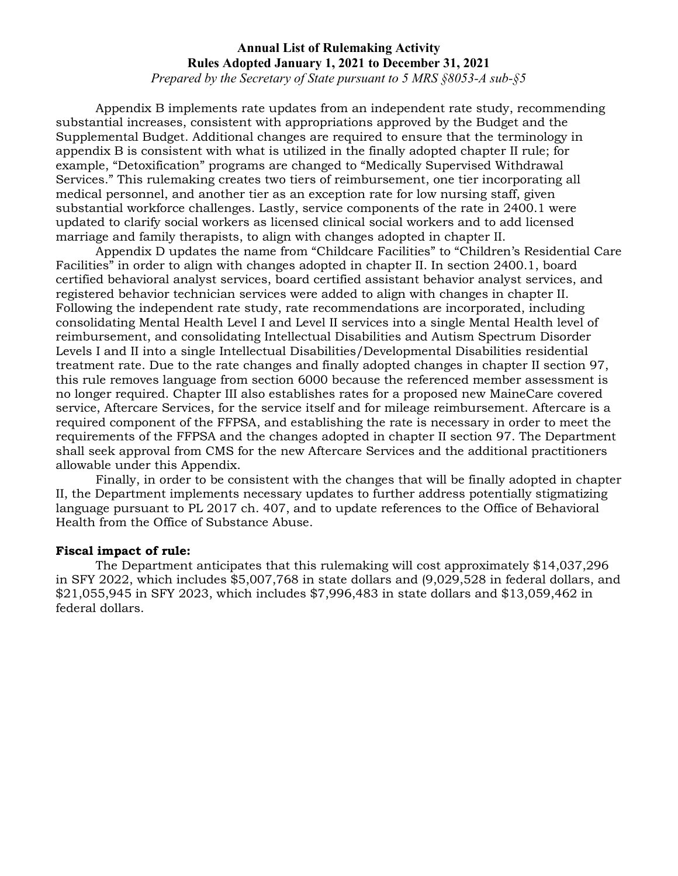*Prepared by the Secretary of State pursuant to 5 MRS §8053-A sub-§5*

Appendix B implements rate updates from an independent rate study, recommending substantial increases, consistent with appropriations approved by the Budget and the Supplemental Budget. Additional changes are required to ensure that the terminology in appendix B is consistent with what is utilized in the finally adopted chapter II rule; for example, "Detoxification" programs are changed to "Medically Supervised Withdrawal Services." This rulemaking creates two tiers of reimbursement, one tier incorporating all medical personnel, and another tier as an exception rate for low nursing staff, given substantial workforce challenges. Lastly, service components of the rate in 2400.1 were updated to clarify social workers as licensed clinical social workers and to add licensed marriage and family therapists, to align with changes adopted in chapter II.

Appendix D updates the name from "Childcare Facilities" to "Children's Residential Care Facilities" in order to align with changes adopted in chapter II. In section 2400.1, board certified behavioral analyst services, board certified assistant behavior analyst services, and registered behavior technician services were added to align with changes in chapter II. Following the independent rate study, rate recommendations are incorporated, including consolidating Mental Health Level I and Level II services into a single Mental Health level of reimbursement, and consolidating Intellectual Disabilities and Autism Spectrum Disorder Levels I and II into a single Intellectual Disabilities/Developmental Disabilities residential treatment rate. Due to the rate changes and finally adopted changes in chapter II section 97, this rule removes language from section 6000 because the referenced member assessment is no longer required. Chapter III also establishes rates for a proposed new MaineCare covered service, Aftercare Services, for the service itself and for mileage reimbursement. Aftercare is a required component of the FFPSA, and establishing the rate is necessary in order to meet the requirements of the FFPSA and the changes adopted in chapter II section 97. The Department shall seek approval from CMS for the new Aftercare Services and the additional practitioners allowable under this Appendix.

Finally, in order to be consistent with the changes that will be finally adopted in chapter II, the Department implements necessary updates to further address potentially stigmatizing language pursuant to PL 2017 ch. 407, and to update references to the Office of Behavioral Health from the Office of Substance Abuse.

### **Fiscal impact of rule:**

The Department anticipates that this rulemaking will cost approximately \$14,037,296 in SFY 2022, which includes \$5,007,768 in state dollars and (9,029,528 in federal dollars, and \$21,055,945 in SFY 2023, which includes \$7,996,483 in state dollars and \$13,059,462 in federal dollars.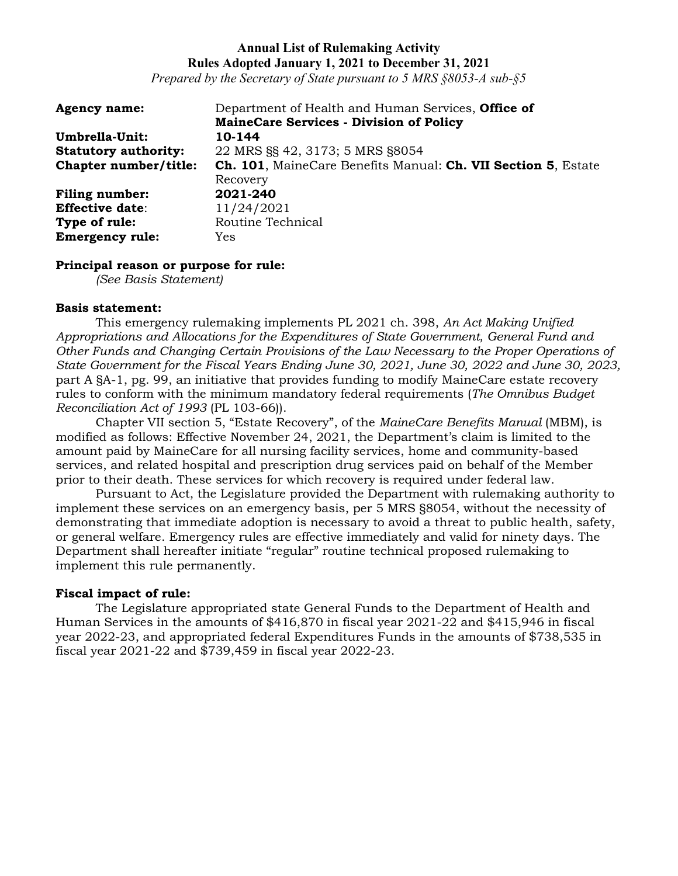*Prepared by the Secretary of State pursuant to 5 MRS §8053-A sub-§5*

| <b>Agency name:</b>         | Department of Health and Human Services, Office of                            |
|-----------------------------|-------------------------------------------------------------------------------|
|                             | <b>MaineCare Services - Division of Policy</b>                                |
| Umbrella-Unit:              | 10-144                                                                        |
| <b>Statutory authority:</b> | 22 MRS §§ 42, 3173; 5 MRS §8054                                               |
| Chapter number/title:       | <b>Ch. 101</b> , MaineCare Benefits Manual: <b>Ch. VII Section 5</b> , Estate |
|                             | Recovery                                                                      |
| <b>Filing number:</b>       | 2021-240                                                                      |
| <b>Effective date:</b>      | 11/24/2021                                                                    |
| Type of rule:               | Routine Technical                                                             |
| <b>Emergency rule:</b>      | <b>Yes</b>                                                                    |

### **Principal reason or purpose for rule:**

*(See Basis Statement)*

#### **Basis statement:**

This emergency rulemaking implements PL 2021 ch. 398, *An Act Making Unified Appropriations and Allocations for the Expenditures of State Government, General Fund and Other Funds and Changing Certain Provisions of the Law Necessary to the Proper Operations of State Government for the Fiscal Years Ending June 30, 2021, June 30, 2022 and June 30, 2023,* part A §A-1, pg. 99, an initiative that provides funding to modify MaineCare estate recovery rules to conform with the minimum mandatory federal requirements (*The Omnibus Budget Reconciliation Act of 1993* (PL 103-66)).

Chapter VII section 5, "Estate Recovery", of the *MaineCare Benefits Manual* (MBM), is modified as follows: Effective November 24, 2021, the Department's claim is limited to the amount paid by MaineCare for all nursing facility services, home and community-based services, and related hospital and prescription drug services paid on behalf of the Member prior to their death. These services for which recovery is required under federal law.

Pursuant to Act, the Legislature provided the Department with rulemaking authority to implement these services on an emergency basis, per 5 MRS §8054, without the necessity of demonstrating that immediate adoption is necessary to avoid a threat to public health, safety, or general welfare. Emergency rules are effective immediately and valid for ninety days. The Department shall hereafter initiate "regular" routine technical proposed rulemaking to implement this rule permanently.

### **Fiscal impact of rule:**

The Legislature appropriated state General Funds to the Department of Health and Human Services in the amounts of \$416,870 in fiscal year 2021-22 and \$415,946 in fiscal year 2022-23, and appropriated federal Expenditures Funds in the amounts of \$738,535 in fiscal year 2021-22 and \$739,459 in fiscal year 2022-23.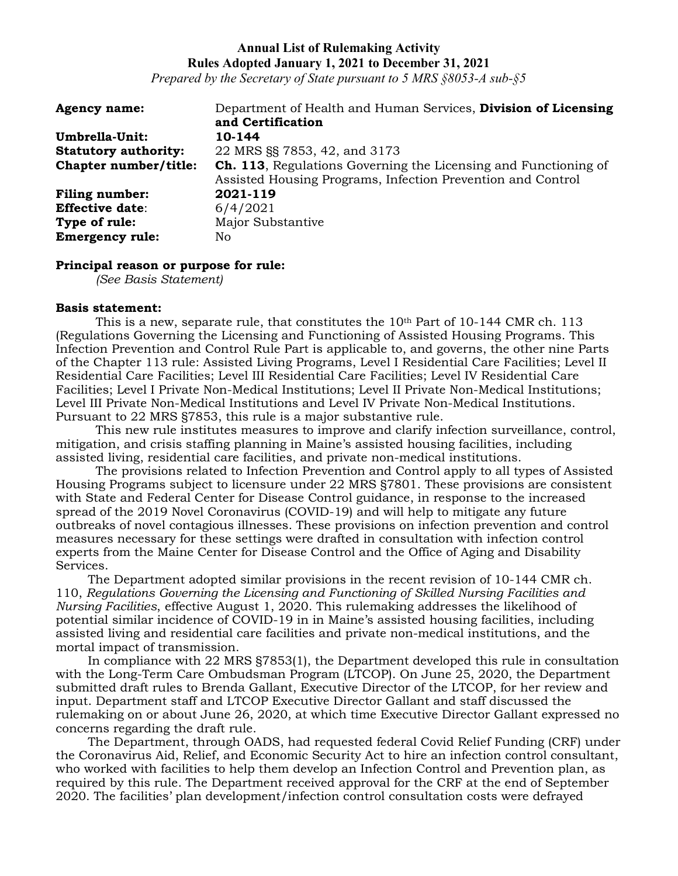*Prepared by the Secretary of State pursuant to 5 MRS §8053-A sub-§5*

| <b>Agency name:</b>         | Department of Health and Human Services, Division of Licensing         |
|-----------------------------|------------------------------------------------------------------------|
|                             | and Certification                                                      |
| Umbrella-Unit:              | 10-144                                                                 |
| <b>Statutory authority:</b> | 22 MRS SS 7853, 42, and 3173                                           |
| Chapter number/title:       | <b>Ch. 113.</b> Regulations Governing the Licensing and Functioning of |
|                             | Assisted Housing Programs, Infection Prevention and Control            |
| <b>Filing number:</b>       | 2021-119                                                               |
| <b>Effective date:</b>      | 6/4/2021                                                               |
| Type of rule:               | Major Substantive                                                      |
| <b>Emergency rule:</b>      | No.                                                                    |

#### **Principal reason or purpose for rule:**

*(See Basis Statement)*

#### **Basis statement:**

This is a new, separate rule, that constitutes the  $10<sup>th</sup>$  Part of 10-144 CMR ch. 113 (Regulations Governing the Licensing and Functioning of Assisted Housing Programs. This Infection Prevention and Control Rule Part is applicable to, and governs, the other nine Parts of the Chapter 113 rule: Assisted Living Programs, Level I Residential Care Facilities; Level II Residential Care Facilities; Level III Residential Care Facilities; Level IV Residential Care Facilities; Level I Private Non-Medical Institutions; Level II Private Non-Medical Institutions; Level III Private Non-Medical Institutions and Level IV Private Non-Medical Institutions. Pursuant to 22 MRS §7853, this rule is a major substantive rule.

This new rule institutes measures to improve and clarify infection surveillance, control, mitigation, and crisis staffing planning in Maine's assisted housing facilities, including assisted living, residential care facilities, and private non-medical institutions.

The provisions related to Infection Prevention and Control apply to all types of Assisted Housing Programs subject to licensure under 22 MRS §7801. These provisions are consistent with State and Federal Center for Disease Control guidance, in response to the increased spread of the 2019 Novel Coronavirus (COVID-19) and will help to mitigate any future outbreaks of novel contagious illnesses. These provisions on infection prevention and control measures necessary for these settings were drafted in consultation with infection control experts from the Maine Center for Disease Control and the Office of Aging and Disability Services.

The Department adopted similar provisions in the recent revision of 10-144 CMR ch. 110, *Regulations Governing the Licensing and Functioning of Skilled Nursing Facilities and Nursing Facilities*, effective August 1, 2020. This rulemaking addresses the likelihood of potential similar incidence of COVID-19 in in Maine's assisted housing facilities, including assisted living and residential care facilities and private non-medical institutions, and the mortal impact of transmission.

In compliance with 22 MRS §7853(1), the Department developed this rule in consultation with the Long-Term Care Ombudsman Program (LTCOP). On June 25, 2020, the Department submitted draft rules to Brenda Gallant, Executive Director of the LTCOP, for her review and input. Department staff and LTCOP Executive Director Gallant and staff discussed the rulemaking on or about June 26, 2020, at which time Executive Director Gallant expressed no concerns regarding the draft rule.

The Department, through OADS, had requested federal Covid Relief Funding (CRF) under the Coronavirus Aid, Relief, and Economic Security Act to hire an infection control consultant, who worked with facilities to help them develop an Infection Control and Prevention plan, as required by this rule. The Department received approval for the CRF at the end of September 2020. The facilities' plan development/infection control consultation costs were defrayed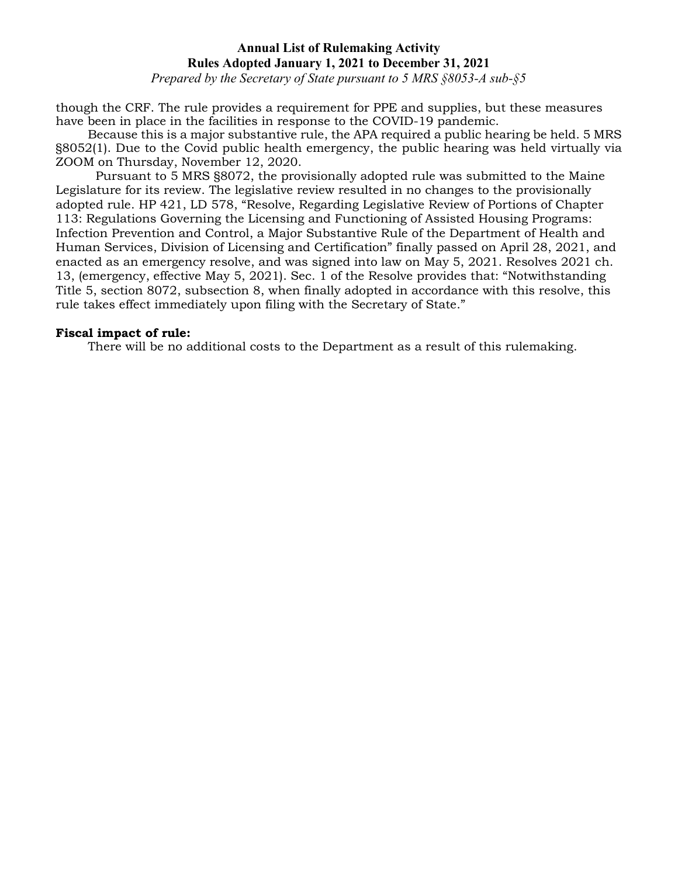*Prepared by the Secretary of State pursuant to 5 MRS §8053-A sub-§5*

though the CRF. The rule provides a requirement for PPE and supplies, but these measures have been in place in the facilities in response to the COVID-19 pandemic.

Because this is a major substantive rule, the APA required a public hearing be held. 5 MRS §8052(1). Due to the Covid public health emergency, the public hearing was held virtually via ZOOM on Thursday, November 12, 2020.

Pursuant to 5 MRS §8072, the provisionally adopted rule was submitted to the Maine Legislature for its review. The legislative review resulted in no changes to the provisionally adopted rule. HP 421, LD 578, "Resolve, Regarding Legislative Review of Portions of Chapter 113: Regulations Governing the Licensing and Functioning of Assisted Housing Programs: Infection Prevention and Control, a Major Substantive Rule of the Department of Health and Human Services, Division of Licensing and Certification" finally passed on April 28, 2021, and enacted as an emergency resolve, and was signed into law on May 5, 2021. Resolves 2021 ch. 13, (emergency, effective May 5, 2021). Sec. 1 of the Resolve provides that: "Notwithstanding Title 5, section 8072, subsection 8, when finally adopted in accordance with this resolve, this rule takes effect immediately upon filing with the Secretary of State."

#### **Fiscal impact of rule:**

There will be no additional costs to the Department as a result of this rulemaking.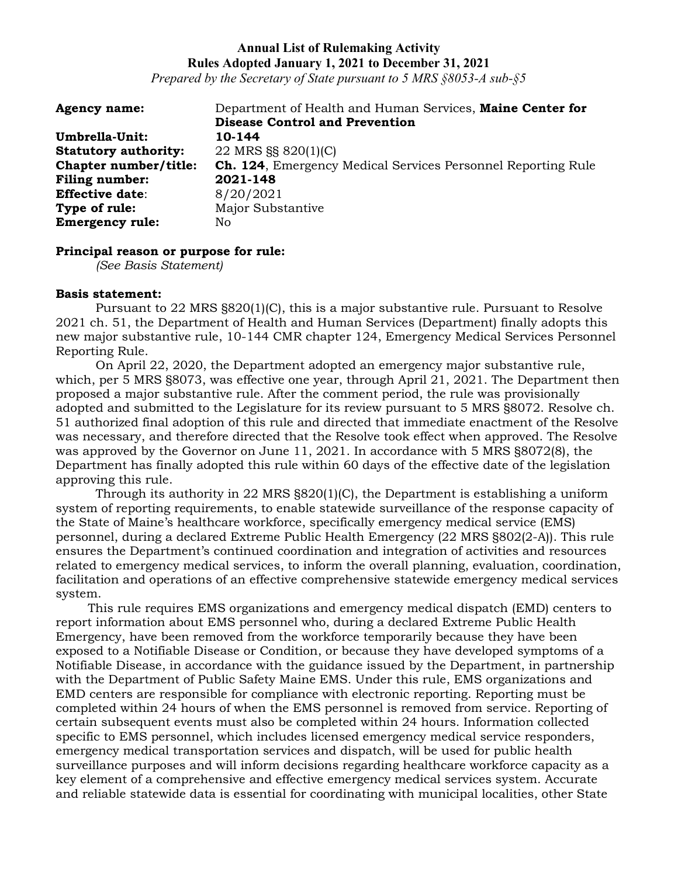*Prepared by the Secretary of State pursuant to 5 MRS §8053-A sub-§5*

| <b>Agency name:</b>         | Department of Health and Human Services, Maine Center for           |
|-----------------------------|---------------------------------------------------------------------|
|                             | <b>Disease Control and Prevention</b>                               |
| Umbrella-Unit:              | 10-144                                                              |
| <b>Statutory authority:</b> | 22 MRS §§ 820(1)(C)                                                 |
| Chapter number/title:       | <b>Ch. 124, Emergency Medical Services Personnel Reporting Rule</b> |
| <b>Filing number:</b>       | 2021-148                                                            |
| <b>Effective date:</b>      | 8/20/2021                                                           |
| Type of rule:               | Major Substantive                                                   |
| <b>Emergency rule:</b>      | No.                                                                 |

#### **Principal reason or purpose for rule:**

*(See Basis Statement)*

#### **Basis statement:**

Pursuant to 22 MRS §820(1)(C), this is a major substantive rule. Pursuant to Resolve 2021 ch. 51, the Department of Health and Human Services (Department) finally adopts this new major substantive rule, 10-144 CMR chapter 124, Emergency Medical Services Personnel Reporting Rule.

On April 22, 2020, the Department adopted an emergency major substantive rule, which, per 5 MRS §8073, was effective one year, through April 21, 2021. The Department then proposed a major substantive rule. After the comment period, the rule was provisionally adopted and submitted to the Legislature for its review pursuant to 5 MRS §8072. Resolve ch. 51 authorized final adoption of this rule and directed that immediate enactment of the Resolve was necessary, and therefore directed that the Resolve took effect when approved. The Resolve was approved by the Governor on June 11, 2021. In accordance with 5 MRS §8072(8), the Department has finally adopted this rule within 60 days of the effective date of the legislation approving this rule.

Through its authority in 22 MRS  $\S 820(1)$  (C), the Department is establishing a uniform system of reporting requirements, to enable statewide surveillance of the response capacity of the State of Maine's healthcare workforce, specifically emergency medical service (EMS) personnel, during a declared Extreme Public Health Emergency (22 MRS §802(2-A)). This rule ensures the Department's continued coordination and integration of activities and resources related to emergency medical services, to inform the overall planning, evaluation, coordination, facilitation and operations of an effective comprehensive statewide emergency medical services system.

This rule requires EMS organizations and emergency medical dispatch (EMD) centers to report information about EMS personnel who, during a declared Extreme Public Health Emergency, have been removed from the workforce temporarily because they have been exposed to a Notifiable Disease or Condition, or because they have developed symptoms of a Notifiable Disease, in accordance with the guidance issued by the Department, in partnership with the Department of Public Safety Maine EMS. Under this rule, EMS organizations and EMD centers are responsible for compliance with electronic reporting. Reporting must be completed within 24 hours of when the EMS personnel is removed from service. Reporting of certain subsequent events must also be completed within 24 hours. Information collected specific to EMS personnel, which includes licensed emergency medical service responders, emergency medical transportation services and dispatch, will be used for public health surveillance purposes and will inform decisions regarding healthcare workforce capacity as a key element of a comprehensive and effective emergency medical services system. Accurate and reliable statewide data is essential for coordinating with municipal localities, other State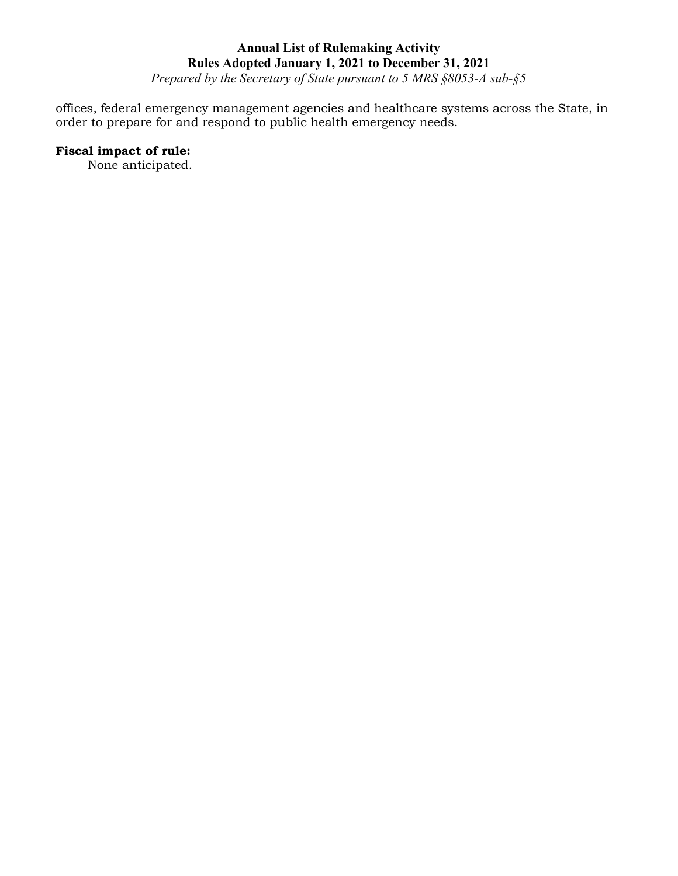*Prepared by the Secretary of State pursuant to 5 MRS §8053-A sub-§5*

offices, federal emergency management agencies and healthcare systems across the State, in order to prepare for and respond to public health emergency needs.

# **Fiscal impact of rule:**

None anticipated.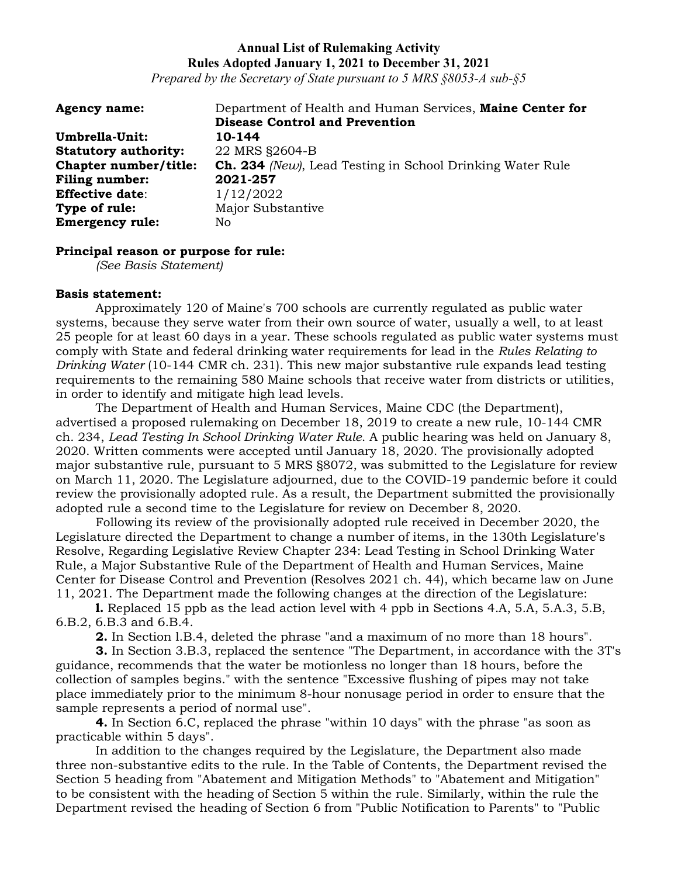*Prepared by the Secretary of State pursuant to 5 MRS §8053-A sub-§5*

| <b>Agency name:</b>         | Department of Health and Human Services, Maine Center for        |
|-----------------------------|------------------------------------------------------------------|
|                             | <b>Disease Control and Prevention</b>                            |
| Umbrella-Unit:              | 10-144                                                           |
| <b>Statutory authority:</b> | 22 MRS §2604-B                                                   |
| Chapter number/title:       | <b>Ch. 234</b> (New), Lead Testing in School Drinking Water Rule |
| Filing number:              | 2021-257                                                         |
| <b>Effective date:</b>      | 1/12/2022                                                        |
| Type of rule:               | Major Substantive                                                |
| <b>Emergency rule:</b>      | No.                                                              |

#### **Principal reason or purpose for rule:**

*(See Basis Statement)*

### **Basis statement:**

Approximately 120 of Maine's 700 schools are currently regulated as public water systems, because they serve water from their own source of water, usually a well, to at least 25 people for at least 60 days in a year. These schools regulated as public water systems must comply with State and federal drinking water requirements for lead in the *Rules Relating to Drinking Water* (10-144 CMR ch. 231). This new major substantive rule expands lead testing requirements to the remaining 580 Maine schools that receive water from districts or utilities, in order to identify and mitigate high lead levels.

The Department of Health and Human Services, Maine CDC (the Department), advertised a proposed rulemaking on December 18, 2019 to create a new rule, 10-144 CMR ch. 234, *Lead Testing In School Drinking Water Rule*. A public hearing was held on January 8, 2020. Written comments were accepted until January 18, 2020. The provisionally adopted major substantive rule, pursuant to 5 MRS §8072, was submitted to the Legislature for review on March 11, 2020. The Legislature adjourned, due to the COVID-19 pandemic before it could review the provisionally adopted rule. As a result, the Department submitted the provisionally adopted rule a second time to the Legislature for review on December 8, 2020.

Following its review of the provisionally adopted rule received in December 2020, the Legislature directed the Department to change a number of items, in the 130th Legislature's Resolve, Regarding Legislative Review Chapter 234: Lead Testing in School Drinking Water Rule, a Major Substantive Rule of the Department of Health and Human Services, Maine Center for Disease Control and Prevention (Resolves 2021 ch. 44), which became law on June 11, 2021. The Department made the following changes at the direction of the Legislature:

**l.** Replaced 15 ppb as the lead action level with 4 ppb in Sections 4.A, 5.A, 5.A.3, 5.B, 6.B.2, 6.B.3 and 6.B.4.

**2.** In Section l.B.4, deleted the phrase "and a maximum of no more than 18 hours".

**3.** In Section 3.B.3, replaced the sentence "The Department, in accordance with the 3T's guidance, recommends that the water be motionless no longer than 18 hours, before the collection of samples begins." with the sentence "Excessive flushing of pipes may not take place immediately prior to the minimum 8-hour nonusage period in order to ensure that the sample represents a period of normal use".

**4.** In Section 6.C, replaced the phrase "within 10 days" with the phrase "as soon as practicable within 5 days".

In addition to the changes required by the Legislature, the Department also made three non-substantive edits to the rule. In the Table of Contents, the Department revised the Section 5 heading from "Abatement and Mitigation Methods" to "Abatement and Mitigation" to be consistent with the heading of Section 5 within the rule. Similarly, within the rule the Department revised the heading of Section 6 from "Public Notification to Parents" to "Public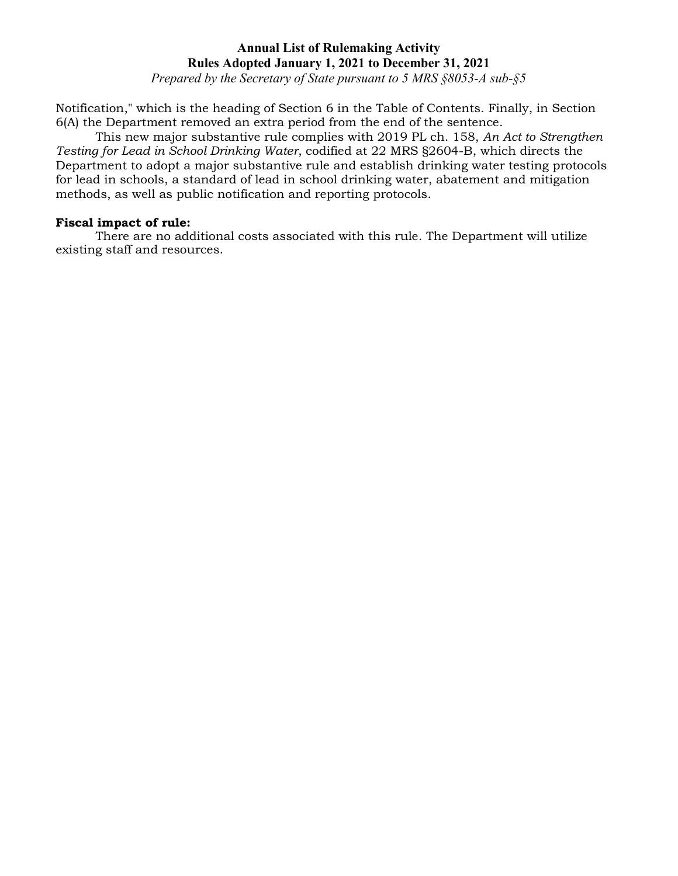*Prepared by the Secretary of State pursuant to 5 MRS §8053-A sub-§5*

Notification," which is the heading of Section 6 in the Table of Contents. Finally, in Section 6(A) the Department removed an extra period from the end of the sentence.

This new major substantive rule complies with 2019 PL ch. 158, *An Act to Strengthen Testing for Lead in School Drinking Water*, codified at 22 MRS §2604-B, which directs the Department to adopt a major substantive rule and establish drinking water testing protocols for lead in schools, a standard of lead in school drinking water, abatement and mitigation methods, as well as public notification and reporting protocols.

### **Fiscal impact of rule:**

There are no additional costs associated with this rule. The Department will utilize existing staff and resources.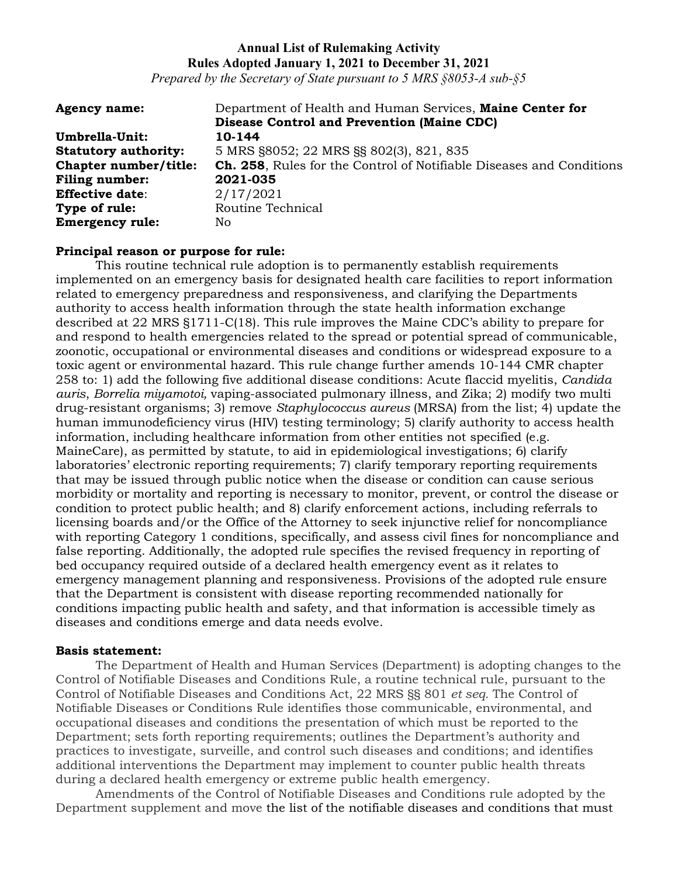*Prepared by the Secretary of State pursuant to 5 MRS §8053-A sub-§5*

| <b>Agency name:</b>         | Department of Health and Human Services, Maine Center for                   |
|-----------------------------|-----------------------------------------------------------------------------|
|                             | <b>Disease Control and Prevention (Maine CDC)</b>                           |
| Umbrella-Unit:              | 10-144                                                                      |
| <b>Statutory authority:</b> | 5 MRS §8052; 22 MRS §§ 802(3), 821, 835                                     |
| Chapter number/title:       | <b>Ch. 258, Rules for the Control of Notifiable Diseases and Conditions</b> |
| <b>Filing number:</b>       | 2021-035                                                                    |
| <b>Effective date:</b>      | 2/17/2021                                                                   |
| Type of rule:               | Routine Technical                                                           |
| <b>Emergency rule:</b>      | No.                                                                         |

### **Principal reason or purpose for rule:**

This routine technical rule adoption is to permanently establish requirements implemented on an emergency basis for designated health care facilities to report information related to emergency preparedness and responsiveness, and clarifying the Departments authority to access health information through the state health information exchange described at 22 MRS §1711-C(18). This rule improves the Maine CDC's ability to prepare for and respond to health emergencies related to the spread or potential spread of communicable, zoonotic, occupational or environmental diseases and conditions or widespread exposure to a toxic agent or environmental hazard. This rule change further amends 10-144 CMR chapter 258 to: 1) add the following five additional disease conditions: Acute flaccid myelitis, *Candida auris*, *Borrelia miyamotoi,* vaping-associated pulmonary illness, and Zika; 2) modify two multi drug-resistant organisms; 3) remove *Staphylococcus aureus* (MRSA) from the list; 4) update the human immunodeficiency virus (HIV) testing terminology; 5) clarify authority to access health information, including healthcare information from other entities not specified (e.g. MaineCare), as permitted by statute, to aid in epidemiological investigations; 6) clarify laboratories' electronic reporting requirements; 7) clarify temporary reporting requirements that may be issued through public notice when the disease or condition can cause serious morbidity or mortality and reporting is necessary to monitor, prevent, or control the disease or condition to protect public health; and 8) clarify enforcement actions, including referrals to licensing boards and/or the Office of the Attorney to seek injunctive relief for noncompliance with reporting Category 1 conditions, specifically, and assess civil fines for noncompliance and false reporting. Additionally, the adopted rule specifies the revised frequency in reporting of bed occupancy required outside of a declared health emergency event as it relates to emergency management planning and responsiveness. Provisions of the adopted rule ensure that the Department is consistent with disease reporting recommended nationally for conditions impacting public health and safety, and that information is accessible timely as diseases and conditions emerge and data needs evolve.

#### **Basis statement:**

The Department of Health and Human Services (Department) is adopting changes to the Control of Notifiable Diseases and Conditions Rule, a routine technical rule, pursuant to the Control of Notifiable Diseases and Conditions Act, 22 MRS §§ 801 *et seq.* The Control of Notifiable Diseases or Conditions Rule identifies those communicable, environmental, and occupational diseases and conditions the presentation of which must be reported to the Department; sets forth reporting requirements; outlines the Department's authority and practices to investigate, surveille, and control such diseases and conditions; and identifies additional interventions the Department may implement to counter public health threats during a declared health emergency or extreme public health emergency.

Amendments of the Control of Notifiable Diseases and Conditions rule adopted by the Department supplement and move the list of the notifiable diseases and conditions that must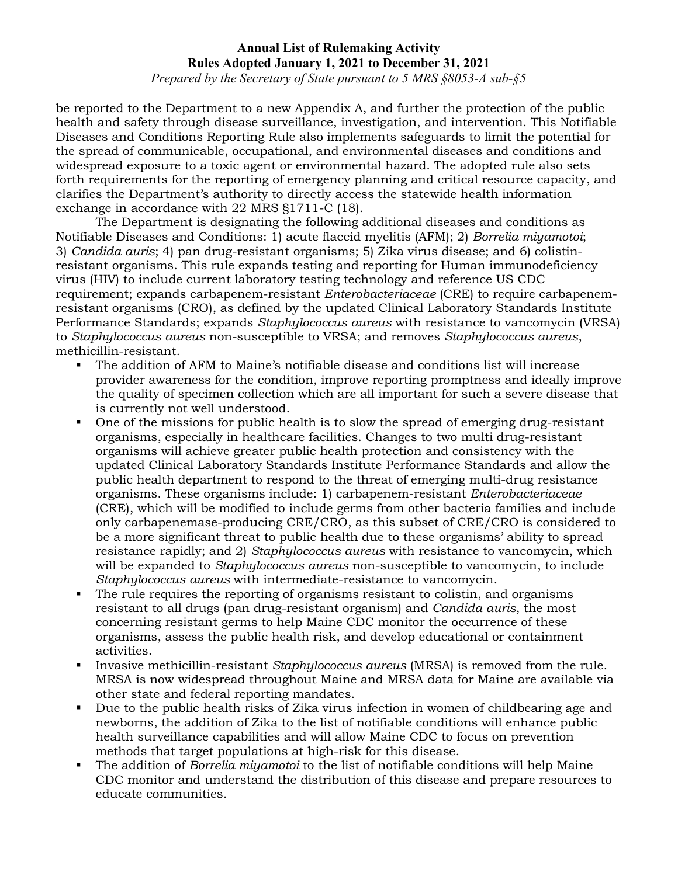*Prepared by the Secretary of State pursuant to 5 MRS §8053-A sub-§5*

be reported to the Department to a new Appendix A, and further the protection of the public health and safety through disease surveillance, investigation, and intervention. This Notifiable Diseases and Conditions Reporting Rule also implements safeguards to limit the potential for the spread of communicable, occupational, and environmental diseases and conditions and widespread exposure to a toxic agent or environmental hazard. The adopted rule also sets forth requirements for the reporting of emergency planning and critical resource capacity, and clarifies the Department's authority to directly access the statewide health information exchange in accordance with 22 MRS §1711-C (18).

The Department is designating the following additional diseases and conditions as Notifiable Diseases and Conditions: 1) acute flaccid myelitis (AFM); 2) *Borrelia miyamotoi*; 3) *Candida auris*; 4) pan drug-resistant organisms; 5) Zika virus disease; and 6) colistinresistant organisms. This rule expands testing and reporting for Human immunodeficiency virus (HIV) to include current laboratory testing technology and reference US CDC requirement; expands carbapenem-resistant *Enterobacteriaceae* (CRE) to require carbapenemresistant organisms (CRO), as defined by the updated Clinical Laboratory Standards Institute Performance Standards; expands *Staphylococcus aureus* with resistance to vancomycin (VRSA) to *Staphylococcus aureus* non-susceptible to VRSA; and removes *Staphylococcus aureus*, methicillin-resistant.

- The addition of AFM to Maine's notifiable disease and conditions list will increase provider awareness for the condition, improve reporting promptness and ideally improve the quality of specimen collection which are all important for such a severe disease that is currently not well understood.
- One of the missions for public health is to slow the spread of emerging drug-resistant organisms, especially in healthcare facilities. Changes to two multi drug-resistant organisms will achieve greater public health protection and consistency with the updated Clinical Laboratory Standards Institute Performance Standards and allow the public health department to respond to the threat of emerging multi-drug resistance organisms. These organisms include: 1) carbapenem-resistant *Enterobacteriaceae* (CRE), which will be modified to include germs from other bacteria families and include only carbapenemase-producing CRE/CRO, as this subset of CRE/CRO is considered to be a more significant threat to public health due to these organisms' ability to spread resistance rapidly; and 2) *Staphylococcus aureus* with resistance to vancomycin, which will be expanded to *Staphylococcus aureus* non-susceptible to vancomycin, to include *Staphylococcus aureus* with intermediate-resistance to vancomycin.
- The rule requires the reporting of organisms resistant to colistin, and organisms resistant to all drugs (pan drug-resistant organism) and *Candida auris*, the most concerning resistant germs to help Maine CDC monitor the occurrence of these organisms, assess the public health risk, and develop educational or containment activities.
- Invasive methicillin-resistant *Staphylococcus aureus* (MRSA) is removed from the rule. MRSA is now widespread throughout Maine and MRSA data for Maine are available via other state and federal reporting mandates.
- Due to the public health risks of Zika virus infection in women of childbearing age and newborns, the addition of Zika to the list of notifiable conditions will enhance public health surveillance capabilities and will allow Maine CDC to focus on prevention methods that target populations at high-risk for this disease.
- The addition of *Borrelia miyamotoi* to the list of notifiable conditions will help Maine CDC monitor and understand the distribution of this disease and prepare resources to educate communities.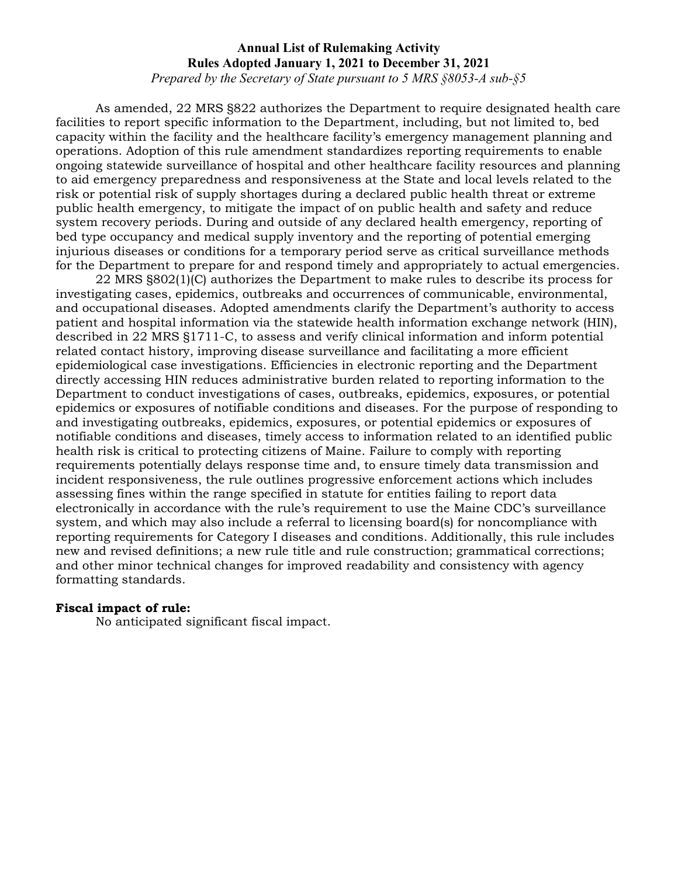*Prepared by the Secretary of State pursuant to 5 MRS §8053-A sub-§5*

As amended, 22 MRS §822 authorizes the Department to require designated health care facilities to report specific information to the Department, including, but not limited to, bed capacity within the facility and the healthcare facility's emergency management planning and operations. Adoption of this rule amendment standardizes reporting requirements to enable ongoing statewide surveillance of hospital and other healthcare facility resources and planning to aid emergency preparedness and responsiveness at the State and local levels related to the risk or potential risk of supply shortages during a declared public health threat or extreme public health emergency, to mitigate the impact of on public health and safety and reduce system recovery periods. During and outside of any declared health emergency, reporting of bed type occupancy and medical supply inventory and the reporting of potential emerging injurious diseases or conditions for a temporary period serve as critical surveillance methods for the Department to prepare for and respond timely and appropriately to actual emergencies.

22 MRS §802(1)(C) authorizes the Department to make rules to describe its process for investigating cases, epidemics, outbreaks and occurrences of communicable, environmental, and occupational diseases. Adopted amendments clarify the Department's authority to access patient and hospital information via the statewide health information exchange network (HIN), described in 22 MRS §1711-C, to assess and verify clinical information and inform potential related contact history, improving disease surveillance and facilitating a more efficient epidemiological case investigations. Efficiencies in electronic reporting and the Department directly accessing HIN reduces administrative burden related to reporting information to the Department to conduct investigations of cases, outbreaks, epidemics, exposures, or potential epidemics or exposures of notifiable conditions and diseases. For the purpose of responding to and investigating outbreaks, epidemics, exposures, or potential epidemics or exposures of notifiable conditions and diseases, timely access to information related to an identified public health risk is critical to protecting citizens of Maine. Failure to comply with reporting requirements potentially delays response time and, to ensure timely data transmission and incident responsiveness, the rule outlines progressive enforcement actions which includes assessing fines within the range specified in statute for entities failing to report data electronically in accordance with the rule's requirement to use the Maine CDC's surveillance system, and which may also include a referral to licensing board(s) for noncompliance with reporting requirements for Category I diseases and conditions. Additionally, this rule includes new and revised definitions; a new rule title and rule construction; grammatical corrections; and other minor technical changes for improved readability and consistency with agency formatting standards.

### **Fiscal impact of rule:**

No anticipated significant fiscal impact.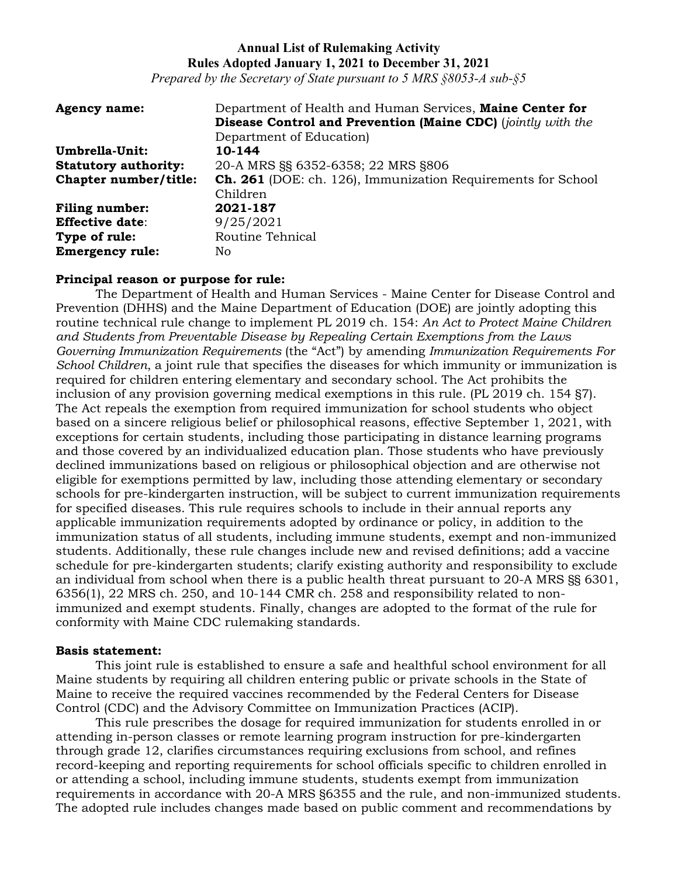*Prepared by the Secretary of State pursuant to 5 MRS §8053-A sub-§5*

| <b>Agency name:</b>         | Department of Health and Human Services, Maine Center for           |
|-----------------------------|---------------------------------------------------------------------|
|                             | <b>Disease Control and Prevention (Maine CDC)</b> (jointly with the |
|                             | Department of Education                                             |
| Umbrella-Unit:              | 10-144                                                              |
| <b>Statutory authority:</b> | 20-A MRS §§ 6352-6358; 22 MRS §806                                  |
| Chapter number/title:       | <b>Ch. 261</b> (DOE: ch. 126), Immunization Requirements for School |
|                             | Children                                                            |
| <b>Filing number:</b>       | 2021-187                                                            |
| <b>Effective date:</b>      | 9/25/2021                                                           |
| Type of rule:               | Routine Tehnical                                                    |
| <b>Emergency rule:</b>      | No.                                                                 |

#### **Principal reason or purpose for rule:**

The Department of Health and Human Services - Maine Center for Disease Control and Prevention (DHHS) and the Maine Department of Education (DOE) are jointly adopting this routine technical rule change to implement PL 2019 ch. 154: *An Act to Protect Maine Children and Students from Preventable Disease by Repealing Certain Exemptions from the Laws Governing Immunization Requirements* (the "Act") by amending *Immunization Requirements For School Children*, a joint rule that specifies the diseases for which immunity or immunization is required for children entering elementary and secondary school. The Act prohibits the inclusion of any provision governing medical exemptions in this rule. (PL 2019 ch. 154 §7). The Act repeals the exemption from required immunization for school students who object based on a sincere religious belief or philosophical reasons, effective September 1, 2021, with exceptions for certain students, including those participating in distance learning programs and those covered by an individualized education plan. Those students who have previously declined immunizations based on religious or philosophical objection and are otherwise not eligible for exemptions permitted by law, including those attending elementary or secondary schools for pre-kindergarten instruction, will be subject to current immunization requirements for specified diseases. This rule requires schools to include in their annual reports any applicable immunization requirements adopted by ordinance or policy, in addition to the immunization status of all students, including immune students, exempt and non-immunized students. Additionally, these rule changes include new and revised definitions; add a vaccine schedule for pre-kindergarten students; clarify existing authority and responsibility to exclude an individual from school when there is a public health threat pursuant to 20-A MRS §§ 6301, 6356(1), 22 MRS ch. 250, and 10-144 CMR ch. 258 and responsibility related to nonimmunized and exempt students. Finally, changes are adopted to the format of the rule for conformity with Maine CDC rulemaking standards.

#### **Basis statement:**

This joint rule is established to ensure a safe and healthful school environment for all Maine students by requiring all children entering public or private schools in the State of Maine to receive the required vaccines recommended by the Federal Centers for Disease Control (CDC) and the Advisory Committee on Immunization Practices (ACIP).

This rule prescribes the dosage for required immunization for students enrolled in or attending in-person classes or remote learning program instruction for pre-kindergarten through grade 12, clarifies circumstances requiring exclusions from school, and refines record-keeping and reporting requirements for school officials specific to children enrolled in or attending a school, including immune students, students exempt from immunization requirements in accordance with 20-A MRS §6355 and the rule, and non-immunized students. The adopted rule includes changes made based on public comment and recommendations by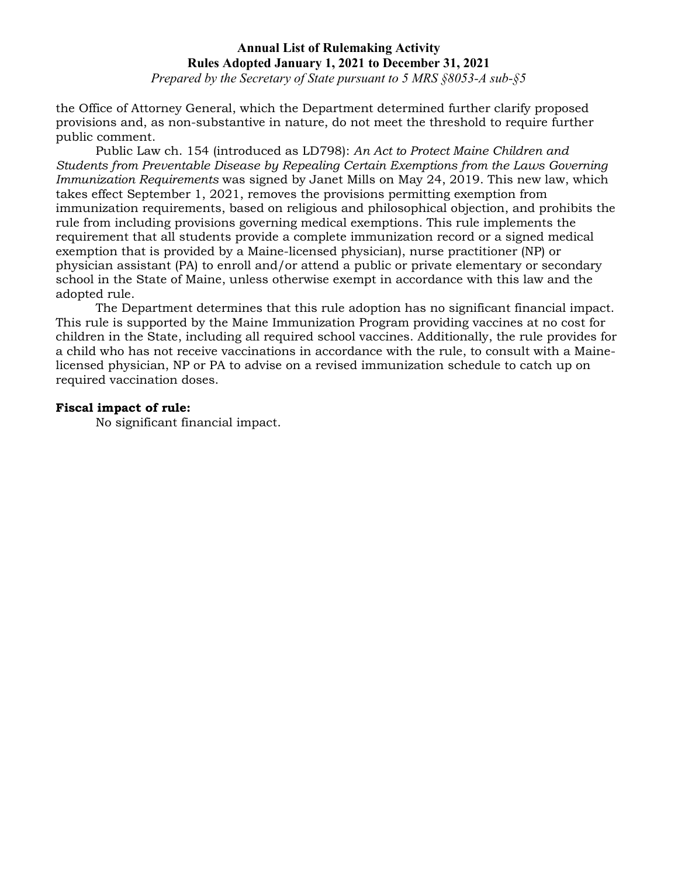*Prepared by the Secretary of State pursuant to 5 MRS §8053-A sub-§5*

the Office of Attorney General, which the Department determined further clarify proposed provisions and, as non-substantive in nature, do not meet the threshold to require further public comment.

Public Law ch. 154 (introduced as LD798): *An Act to Protect Maine Children and Students from Preventable Disease by Repealing Certain Exemptions from the Laws Governing Immunization Requirements* was signed by Janet Mills on May 24, 2019. This new law, which takes effect September 1, 2021, removes the provisions permitting exemption from immunization requirements, based on religious and philosophical objection, and prohibits the rule from including provisions governing medical exemptions. This rule implements the requirement that all students provide a complete immunization record or a signed medical exemption that is provided by a Maine-licensed physician), nurse practitioner (NP) or physician assistant (PA) to enroll and/or attend a public or private elementary or secondary school in the State of Maine, unless otherwise exempt in accordance with this law and the adopted rule.

The Department determines that this rule adoption has no significant financial impact. This rule is supported by the Maine Immunization Program providing vaccines at no cost for children in the State, including all required school vaccines. Additionally, the rule provides for a child who has not receive vaccinations in accordance with the rule, to consult with a Mainelicensed physician, NP or PA to advise on a revised immunization schedule to catch up on required vaccination doses.

### **Fiscal impact of rule:**

No significant financial impact.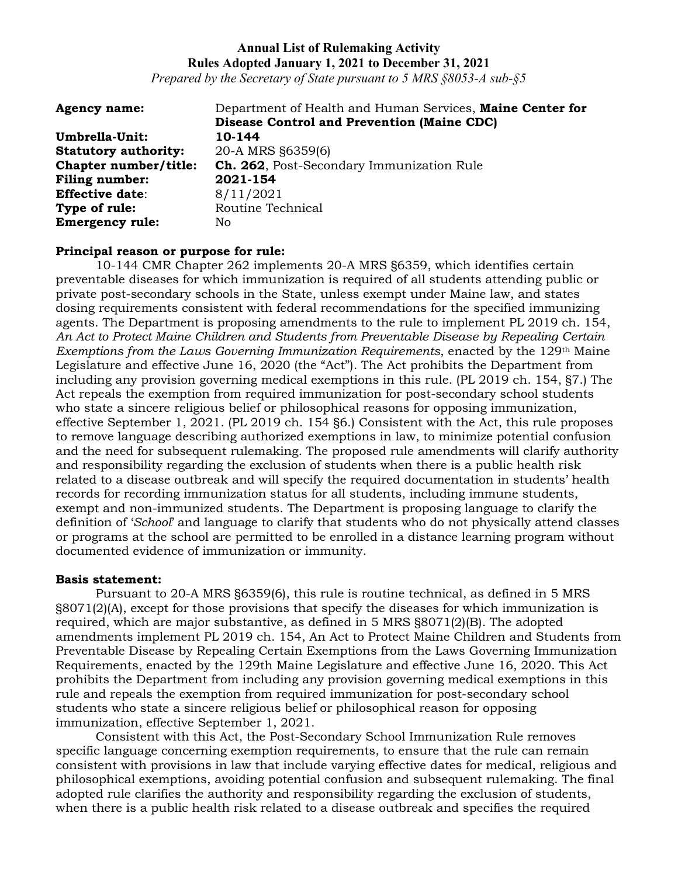*Prepared by the Secretary of State pursuant to 5 MRS §8053-A sub-§5*

| <b>Agency name:</b>         | Department of Health and Human Services, Maine Center for |
|-----------------------------|-----------------------------------------------------------|
|                             | <b>Disease Control and Prevention (Maine CDC)</b>         |
| Umbrella-Unit:              | 10-144                                                    |
| <b>Statutory authority:</b> | 20-A MRS §6359(6)                                         |
| Chapter number/title:       | <b>Ch. 262, Post-Secondary Immunization Rule</b>          |
| <b>Filing number:</b>       | 2021-154                                                  |
| <b>Effective date:</b>      | 8/11/2021                                                 |
| Type of rule:               | Routine Technical                                         |
| <b>Emergency rule:</b>      | No.                                                       |

### **Principal reason or purpose for rule:**

10-144 CMR Chapter 262 implements 20-A MRS §6359, which identifies certain preventable diseases for which immunization is required of all students attending public or private post-secondary schools in the State, unless exempt under Maine law, and states dosing requirements consistent with federal recommendations for the specified immunizing agents. The Department is proposing amendments to the rule to implement PL 2019 ch. 154, *An Act to Protect Maine Children and Students from Preventable Disease by Repealing Certain Exemptions from the Laws Governing Immunization Requirements*, enacted by the 129th Maine Legislature and effective June 16, 2020 (the "Act"). The Act prohibits the Department from including any provision governing medical exemptions in this rule. (PL 2019 ch. 154, §7.) The Act repeals the exemption from required immunization for post-secondary school students who state a sincere religious belief or philosophical reasons for opposing immunization, effective September 1, 2021. (PL 2019 ch. 154 §6.) Consistent with the Act, this rule proposes to remove language describing authorized exemptions in law, to minimize potential confusion and the need for subsequent rulemaking. The proposed rule amendments will clarify authority and responsibility regarding the exclusion of students when there is a public health risk related to a disease outbreak and will specify the required documentation in students' health records for recording immunization status for all students, including immune students, exempt and non-immunized students. The Department is proposing language to clarify the definition of '*School*' and language to clarify that students who do not physically attend classes or programs at the school are permitted to be enrolled in a distance learning program without documented evidence of immunization or immunity.

#### **Basis statement:**

Pursuant to 20-A MRS §6359(6), this rule is routine technical, as defined in 5 MRS §8071(2)(A), except for those provisions that specify the diseases for which immunization is required, which are major substantive, as defined in 5 MRS §8071(2)(B). The adopted amendments implement PL 2019 ch. 154, An Act to Protect Maine Children and Students from Preventable Disease by Repealing Certain Exemptions from the Laws Governing Immunization Requirements, enacted by the 129th Maine Legislature and effective June 16, 2020. This Act prohibits the Department from including any provision governing medical exemptions in this rule and repeals the exemption from required immunization for post-secondary school students who state a sincere religious belief or philosophical reason for opposing immunization, effective September 1, 2021.

Consistent with this Act, the Post-Secondary School Immunization Rule removes specific language concerning exemption requirements, to ensure that the rule can remain consistent with provisions in law that include varying effective dates for medical, religious and philosophical exemptions, avoiding potential confusion and subsequent rulemaking. The final adopted rule clarifies the authority and responsibility regarding the exclusion of students, when there is a public health risk related to a disease outbreak and specifies the required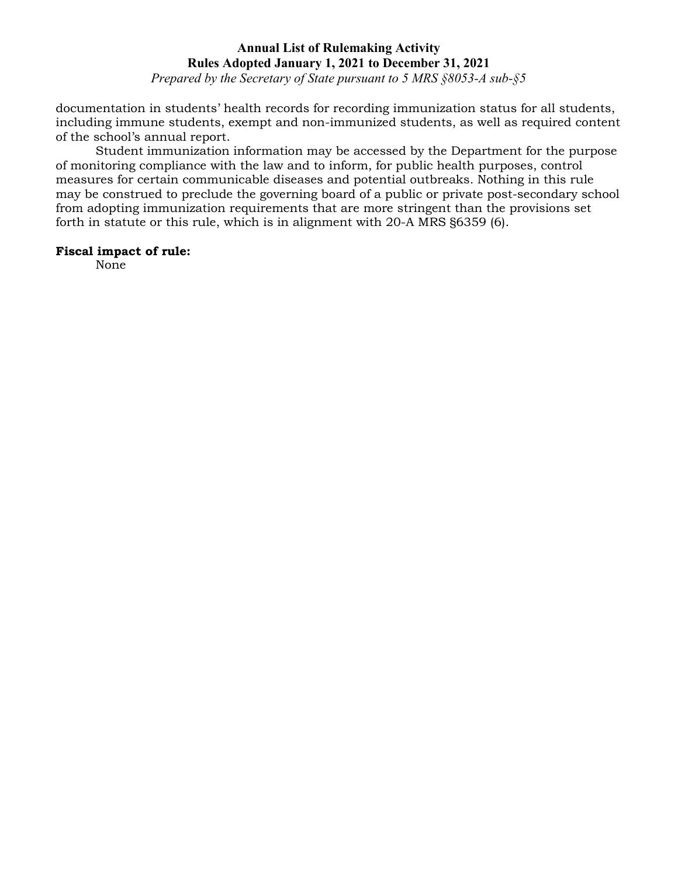*Prepared by the Secretary of State pursuant to 5 MRS §8053-A sub-§5*

documentation in students' health records for recording immunization status for all students, including immune students, exempt and non-immunized students, as well as required content of the school's annual report.

Student immunization information may be accessed by the Department for the purpose of monitoring compliance with the law and to inform, for public health purposes, control measures for certain communicable diseases and potential outbreaks*.* Nothing in this rule may be construed to preclude the governing board of a public or private post-secondary school from adopting immunization requirements that are more stringent than the provisions set forth in statute or this rule, which is in alignment with 20-A MRS §6359 (6).

### **Fiscal impact of rule:**

None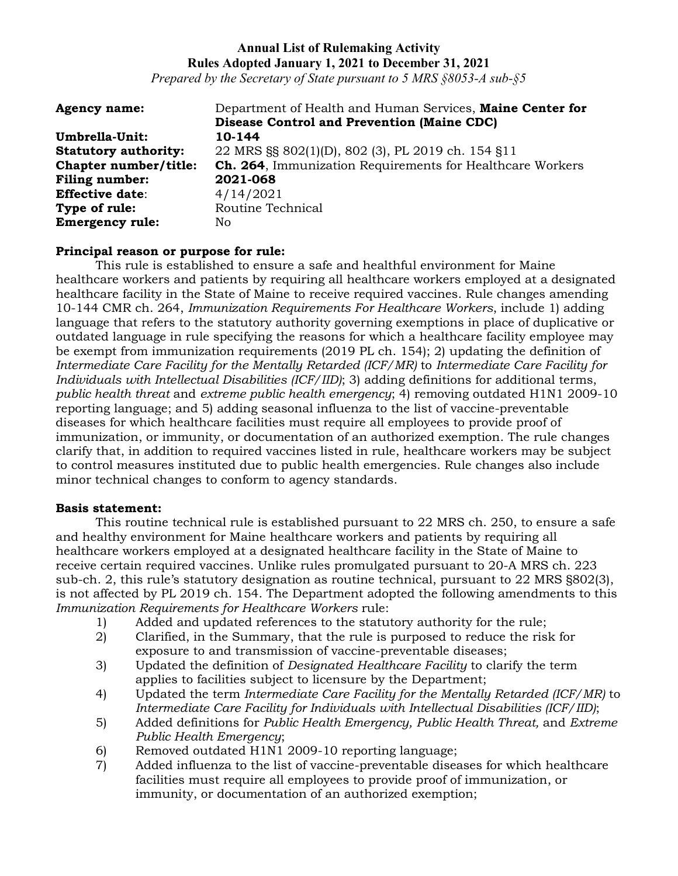*Prepared by the Secretary of State pursuant to 5 MRS §8053-A sub-§5*

| <b>Agency name:</b>         | Department of Health and Human Services, Maine Center for |
|-----------------------------|-----------------------------------------------------------|
|                             | <b>Disease Control and Prevention (Maine CDC)</b>         |
| Umbrella-Unit:              | 10-144                                                    |
| <b>Statutory authority:</b> | 22 MRS §§ 802(1)(D), 802 (3), PL 2019 ch. 154 §11         |
| Chapter number/title:       | Ch. 264, Immunization Requirements for Healthcare Workers |
| <b>Filing number:</b>       | 2021-068                                                  |
| <b>Effective date:</b>      | 4/14/2021                                                 |
| Type of rule:               | Routine Technical                                         |
| <b>Emergency rule:</b>      | No.                                                       |

### **Principal reason or purpose for rule:**

This rule is established to ensure a safe and healthful environment for Maine healthcare workers and patients by requiring all healthcare workers employed at a designated healthcare facility in the State of Maine to receive required vaccines. Rule changes amending 10-144 CMR ch. 264, *Immunization Requirements For Healthcare Workers*, include 1) adding language that refers to the statutory authority governing exemptions in place of duplicative or outdated language in rule specifying the reasons for which a healthcare facility employee may be exempt from immunization requirements (2019 PL ch. 154); 2) updating the definition of *Intermediate Care Facility for the Mentally Retarded (ICF/MR)* to *Intermediate Care Facility for Individuals with Intellectual Disabilities (ICF/IID)*; 3) adding definitions for additional terms, *public health threat* and *extreme public health emergency*; 4) removing outdated H1N1 2009-10 reporting language; and 5) adding seasonal influenza to the list of vaccine-preventable diseases for which healthcare facilities must require all employees to provide proof of immunization, or immunity, or documentation of an authorized exemption. The rule changes clarify that, in addition to required vaccines listed in rule, healthcare workers may be subject to control measures instituted due to public health emergencies. Rule changes also include minor technical changes to conform to agency standards.

### **Basis statement:**

This routine technical rule is established pursuant to 22 MRS ch. 250, to ensure a safe and healthy environment for Maine healthcare workers and patients by requiring all healthcare workers employed at a designated healthcare facility in the State of Maine to receive certain required vaccines. Unlike rules promulgated pursuant to 20-A MRS ch. 223 sub-ch. 2, this rule's statutory designation as routine technical, pursuant to 22 MRS §802(3), is not affected by PL 2019 ch. 154. The Department adopted the following amendments to this *Immunization Requirements for Healthcare Workers* rule:

- 
- 1) Added and updated references to the statutory authority for the rule;<br>2) Clarified, in the Summary, that the rule is purposed to reduce the risl 2) Clarified, in the Summary, that the rule is purposed to reduce the risk for exposure to and transmission of vaccine-preventable diseases;
- 3) Updated the definition of *Designated Healthcare Facility* to clarify the term applies to facilities subject to licensure by the Department;
- 4) Updated the term *Intermediate Care Facility for the Mentally Retarded (ICF/MR)* to *Intermediate Care Facility for Individuals with Intellectual Disabilities (ICF/IID)*;
- 5) Added definitions for *Public Health Emergency, Public Health Threat,* and *Extreme Public Health Emergency*;
- 6) Removed outdated H1N1 2009-10 reporting language;
- 7) Added influenza to the list of vaccine-preventable diseases for which healthcare facilities must require all employees to provide proof of immunization, or immunity, or documentation of an authorized exemption;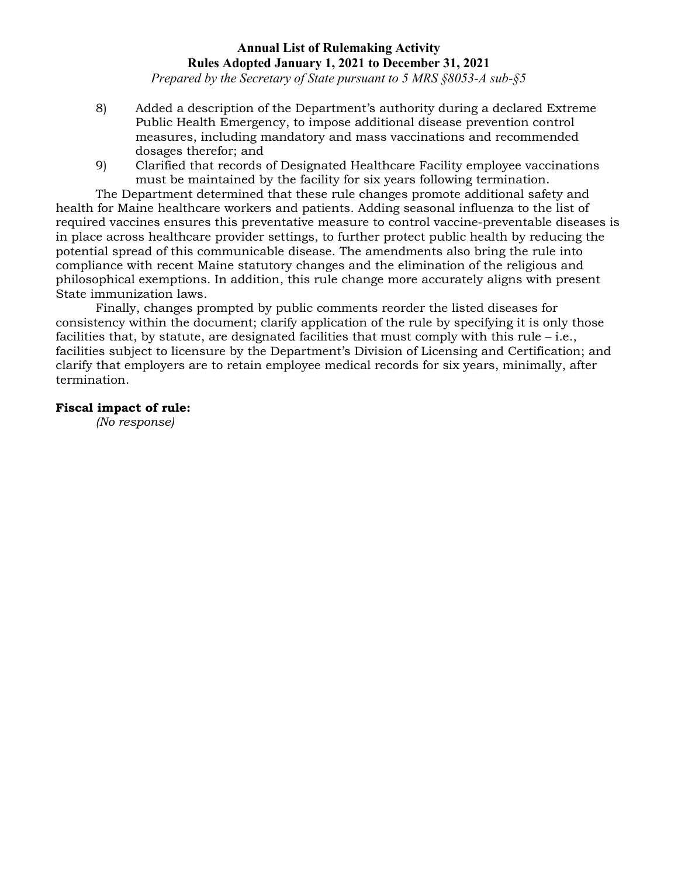*Prepared by the Secretary of State pursuant to 5 MRS §8053-A sub-§5*

- 8) Added a description of the Department's authority during a declared Extreme Public Health Emergency, to impose additional disease prevention control measures, including mandatory and mass vaccinations and recommended dosages therefor; and
- 9) Clarified that records of Designated Healthcare Facility employee vaccinations must be maintained by the facility for six years following termination.

The Department determined that these rule changes promote additional safety and health for Maine healthcare workers and patients. Adding seasonal influenza to the list of required vaccines ensures this preventative measure to control vaccine-preventable diseases is in place across healthcare provider settings, to further protect public health by reducing the potential spread of this communicable disease. The amendments also bring the rule into compliance with recent Maine statutory changes and the elimination of the religious and philosophical exemptions. In addition, this rule change more accurately aligns with present State immunization laws.

Finally, changes prompted by public comments reorder the listed diseases for consistency within the document; clarify application of the rule by specifying it is only those facilities that, by statute, are designated facilities that must comply with this rule  $-$  i.e., facilities subject to licensure by the Department's Division of Licensing and Certification; and clarify that employers are to retain employee medical records for six years, minimally, after termination.

# **Fiscal impact of rule:**

*(No response)*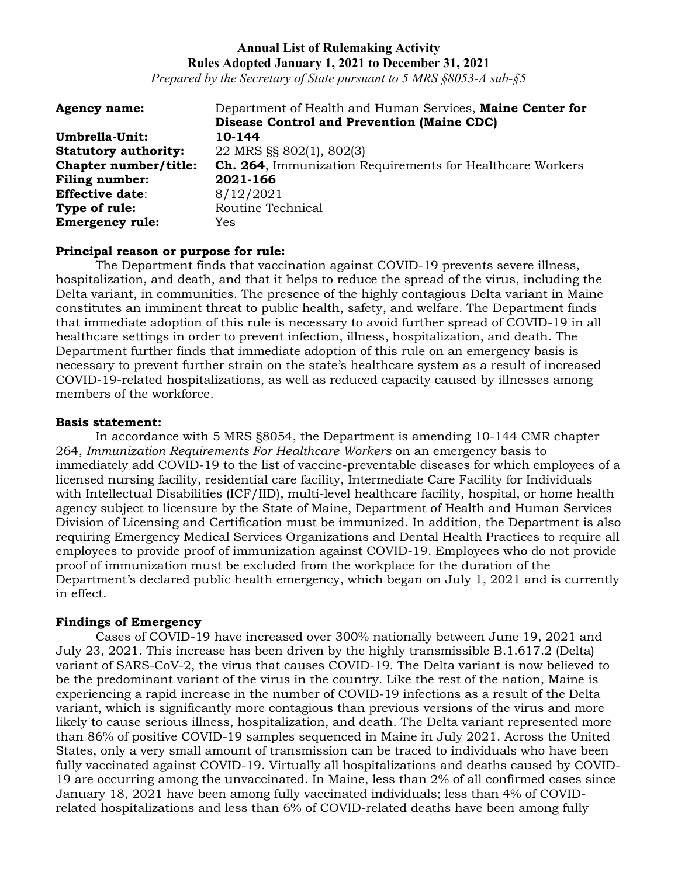*Prepared by the Secretary of State pursuant to 5 MRS §8053-A sub-§5*

| <b>Agency name:</b>         | Department of Health and Human Services, Maine Center for |
|-----------------------------|-----------------------------------------------------------|
|                             | <b>Disease Control and Prevention (Maine CDC)</b>         |
| Umbrella-Unit:              | 10-144                                                    |
| <b>Statutory authority:</b> | 22 MRS §§ 802(1), 802(3)                                  |
| Chapter number/title:       | Ch. 264, Immunization Requirements for Healthcare Workers |
| <b>Filing number:</b>       | 2021-166                                                  |
| <b>Effective date:</b>      | 8/12/2021                                                 |
| Type of rule:               | Routine Technical                                         |
| <b>Emergency rule:</b>      | Yes                                                       |

### **Principal reason or purpose for rule:**

The Department finds that vaccination against COVID-19 prevents severe illness, hospitalization, and death, and that it helps to reduce the spread of the virus, including the Delta variant, in communities. The presence of the highly contagious Delta variant in Maine constitutes an imminent threat to public health, safety, and welfare. The Department finds that immediate adoption of this rule is necessary to avoid further spread of COVID-19 in all healthcare settings in order to prevent infection, illness, hospitalization, and death. The Department further finds that immediate adoption of this rule on an emergency basis is necessary to prevent further strain on the state's healthcare system as a result of increased COVID-19-related hospitalizations, as well as reduced capacity caused by illnesses among members of the workforce.

#### **Basis statement:**

In accordance with 5 MRS §8054, the Department is amending 10-144 CMR chapter 264, *Immunization Requirements For Healthcare Workers* on an emergency basis to immediately add COVID-19 to the list of vaccine-preventable diseases for which employees of a licensed nursing facility, residential care facility, Intermediate Care Facility for Individuals with Intellectual Disabilities (ICF/IID), multi-level healthcare facility, hospital, or home health agency subject to licensure by the State of Maine, Department of Health and Human Services Division of Licensing and Certification must be immunized. In addition, the Department is also requiring Emergency Medical Services Organizations and Dental Health Practices to require all employees to provide proof of immunization against COVID-19. Employees who do not provide proof of immunization must be excluded from the workplace for the duration of the Department's declared public health emergency, which began on July 1, 2021 and is currently in effect.

### **Findings of Emergency**

Cases of COVID-19 have increased over 300% nationally between June 19, 2021 and July 23, 2021. This increase has been driven by the highly transmissible B.1.617.2 (Delta) variant of SARS-CoV-2, the virus that causes COVID-19. The Delta variant is now believed to be the predominant variant of the virus in the country. Like the rest of the nation, Maine is experiencing a rapid increase in the number of COVID-19 infections as a result of the Delta variant, which is significantly more contagious than previous versions of the virus and more likely to cause serious illness, hospitalization, and death. The Delta variant represented more than 86% of positive COVID-19 samples sequenced in Maine in July 2021. Across the United States, only a very small amount of transmission can be traced to individuals who have been fully vaccinated against COVID-19. Virtually all hospitalizations and deaths caused by COVID-19 are occurring among the unvaccinated. In Maine, less than 2% of all confirmed cases since January 18, 2021 have been among fully vaccinated individuals; less than 4% of COVIDrelated hospitalizations and less than 6% of COVID-related deaths have been among fully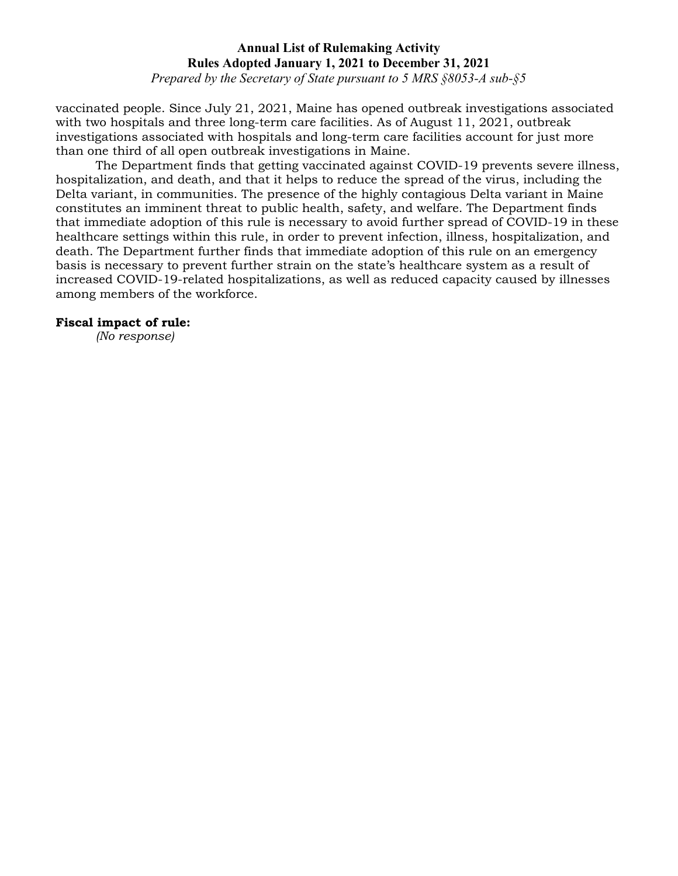*Prepared by the Secretary of State pursuant to 5 MRS §8053-A sub-§5*

vaccinated people. Since July 21, 2021, Maine has opened outbreak investigations associated with two hospitals and three long-term care facilities. As of August 11, 2021, outbreak investigations associated with hospitals and long-term care facilities account for just more than one third of all open outbreak investigations in Maine.

The Department finds that getting vaccinated against COVID-19 prevents severe illness, hospitalization, and death, and that it helps to reduce the spread of the virus, including the Delta variant, in communities. The presence of the highly contagious Delta variant in Maine constitutes an imminent threat to public health, safety, and welfare. The Department finds that immediate adoption of this rule is necessary to avoid further spread of COVID-19 in these healthcare settings within this rule, in order to prevent infection, illness, hospitalization, and death. The Department further finds that immediate adoption of this rule on an emergency basis is necessary to prevent further strain on the state's healthcare system as a result of increased COVID-19-related hospitalizations, as well as reduced capacity caused by illnesses among members of the workforce.

### **Fiscal impact of rule:**

*(No response)*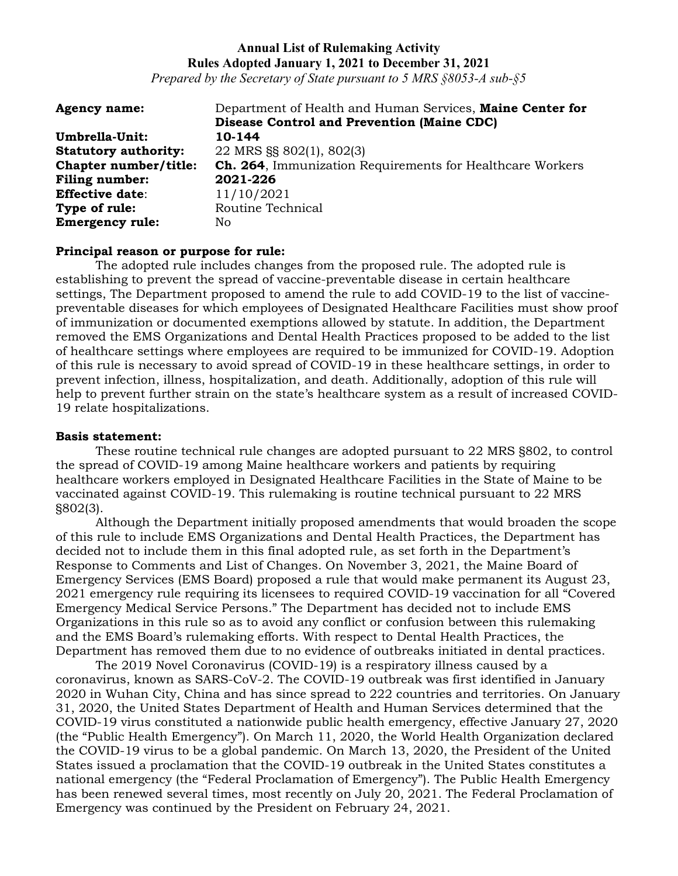*Prepared by the Secretary of State pursuant to 5 MRS §8053-A sub-§5*

| <b>Agency name:</b>         | Department of Health and Human Services, Maine Center for         |
|-----------------------------|-------------------------------------------------------------------|
|                             | <b>Disease Control and Prevention (Maine CDC)</b>                 |
| Umbrella-Unit:              | 10-144                                                            |
| <b>Statutory authority:</b> | 22 MRS §§ 802(1), 802(3)                                          |
| Chapter number/title:       | <b>Ch. 264</b> , Immunization Requirements for Healthcare Workers |
| <b>Filing number:</b>       | 2021-226                                                          |
| <b>Effective date:</b>      | 11/10/2021                                                        |
| Type of rule:               | Routine Technical                                                 |
| <b>Emergency rule:</b>      | No.                                                               |

### **Principal reason or purpose for rule:**

The adopted rule includes changes from the proposed rule. The adopted rule is establishing to prevent the spread of vaccine-preventable disease in certain healthcare settings, The Department proposed to amend the rule to add COVID-19 to the list of vaccinepreventable diseases for which employees of Designated Healthcare Facilities must show proof of immunization or documented exemptions allowed by statute. In addition, the Department removed the EMS Organizations and Dental Health Practices proposed to be added to the list of healthcare settings where employees are required to be immunized for COVID-19. Adoption of this rule is necessary to avoid spread of COVID-19 in these healthcare settings, in order to prevent infection, illness, hospitalization, and death. Additionally, adoption of this rule will help to prevent further strain on the state's healthcare system as a result of increased COVID-19 relate hospitalizations.

## **Basis statement:**

These routine technical rule changes are adopted pursuant to 22 MRS §802, to control the spread of COVID-19 among Maine healthcare workers and patients by requiring healthcare workers employed in Designated Healthcare Facilities in the State of Maine to be vaccinated against COVID-19. This rulemaking is routine technical pursuant to 22 MRS §802(3).

Although the Department initially proposed amendments that would broaden the scope of this rule to include EMS Organizations and Dental Health Practices, the Department has decided not to include them in this final adopted rule, as set forth in the Department's Response to Comments and List of Changes. On November 3, 2021, the Maine Board of Emergency Services (EMS Board) proposed a rule that would make permanent its August 23, 2021 emergency rule requiring its licensees to required COVID-19 vaccination for all "Covered Emergency Medical Service Persons." The Department has decided not to include EMS Organizations in this rule so as to avoid any conflict or confusion between this rulemaking and the EMS Board's rulemaking efforts. With respect to Dental Health Practices, the Department has removed them due to no evidence of outbreaks initiated in dental practices.

The 2019 Novel Coronavirus (COVID-19) is a respiratory illness caused by a coronavirus, known as SARS-CoV-2. The COVID-19 outbreak was first identified in January 2020 in Wuhan City, China and has since spread to 222 countries and territories. On January 31, 2020, the United States Department of Health and Human Services determined that the COVID-19 virus constituted a nationwide public health emergency, effective January 27, 2020 (the "Public Health Emergency"). On March 11, 2020, the World Health Organization declared the COVID-19 virus to be a global pandemic. On March 13, 2020, the President of the United States issued a proclamation that the COVID-19 outbreak in the United States constitutes a national emergency (the "Federal Proclamation of Emergency"). The Public Health Emergency has been renewed several times, most recently on July 20, 2021. The Federal Proclamation of Emergency was continued by the President on February 24, 2021.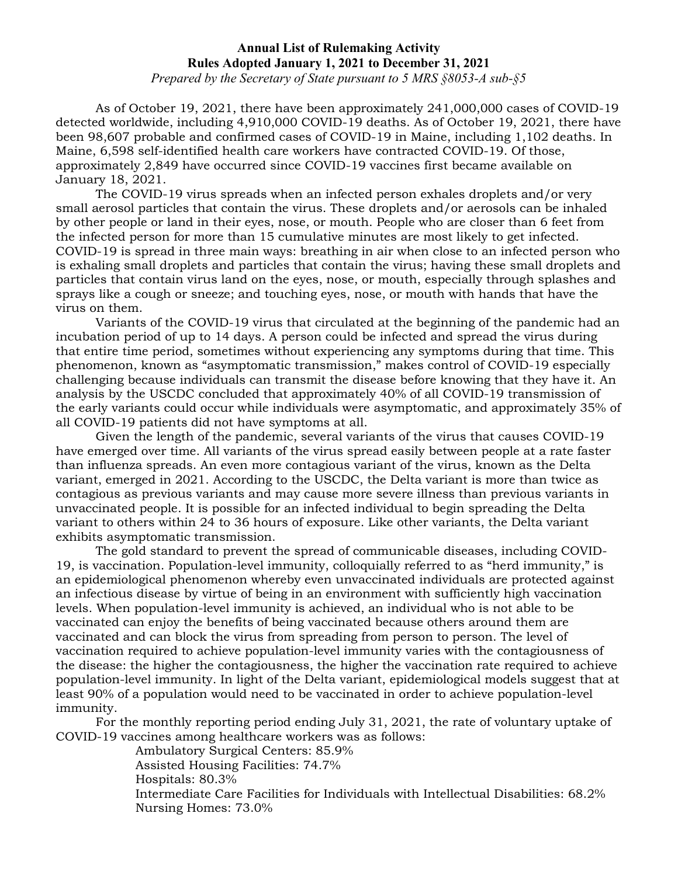*Prepared by the Secretary of State pursuant to 5 MRS §8053-A sub-§5*

As of October 19, 2021, there have been approximately 241,000,000 cases of COVID-19 detected worldwide, including 4,910,000 COVID-19 deaths. As of October 19, 2021, there have been 98,607 probable and confirmed cases of COVID-19 in Maine, including 1,102 deaths. In Maine, 6,598 self-identified health care workers have contracted COVID-19. Of those, approximately 2,849 have occurred since COVID-19 vaccines first became available on January 18, 2021.

The COVID-19 virus spreads when an infected person exhales droplets and/or very small aerosol particles that contain the virus. These droplets and/or aerosols can be inhaled by other people or land in their eyes, nose, or mouth. People who are closer than 6 feet from the infected person for more than 15 cumulative minutes are most likely to get infected. COVID-19 is spread in three main ways: breathing in air when close to an infected person who is exhaling small droplets and particles that contain the virus; having these small droplets and particles that contain virus land on the eyes, nose, or mouth, especially through splashes and sprays like a cough or sneeze; and touching eyes, nose, or mouth with hands that have the virus on them.

Variants of the COVID-19 virus that circulated at the beginning of the pandemic had an incubation period of up to 14 days. A person could be infected and spread the virus during that entire time period, sometimes without experiencing any symptoms during that time. This phenomenon, known as "asymptomatic transmission," makes control of COVID-19 especially challenging because individuals can transmit the disease before knowing that they have it. An analysis by the USCDC concluded that approximately 40% of all COVID-19 transmission of the early variants could occur while individuals were asymptomatic, and approximately 35% of all COVID-19 patients did not have symptoms at all.

Given the length of the pandemic, several variants of the virus that causes COVID-19 have emerged over time. All variants of the virus spread easily between people at a rate faster than influenza spreads. An even more contagious variant of the virus, known as the Delta variant, emerged in 2021. According to the USCDC, the Delta variant is more than twice as contagious as previous variants and may cause more severe illness than previous variants in unvaccinated people. It is possible for an infected individual to begin spreading the Delta variant to others within 24 to 36 hours of exposure. Like other variants, the Delta variant exhibits asymptomatic transmission.

The gold standard to prevent the spread of communicable diseases, including COVID-19, is vaccination. Population-level immunity, colloquially referred to as "herd immunity," is an epidemiological phenomenon whereby even unvaccinated individuals are protected against an infectious disease by virtue of being in an environment with sufficiently high vaccination levels. When population-level immunity is achieved, an individual who is not able to be vaccinated can enjoy the benefits of being vaccinated because others around them are vaccinated and can block the virus from spreading from person to person. The level of vaccination required to achieve population-level immunity varies with the contagiousness of the disease: the higher the contagiousness, the higher the vaccination rate required to achieve population-level immunity. In light of the Delta variant, epidemiological models suggest that at least 90% of a population would need to be vaccinated in order to achieve population-level immunity.

For the monthly reporting period ending July 31, 2021, the rate of voluntary uptake of COVID-19 vaccines among healthcare workers was as follows:

Ambulatory Surgical Centers: 85.9%

Assisted Housing Facilities: 74.7%

Hospitals: 80.3%

Intermediate Care Facilities for Individuals with Intellectual Disabilities: 68.2% Nursing Homes: 73.0%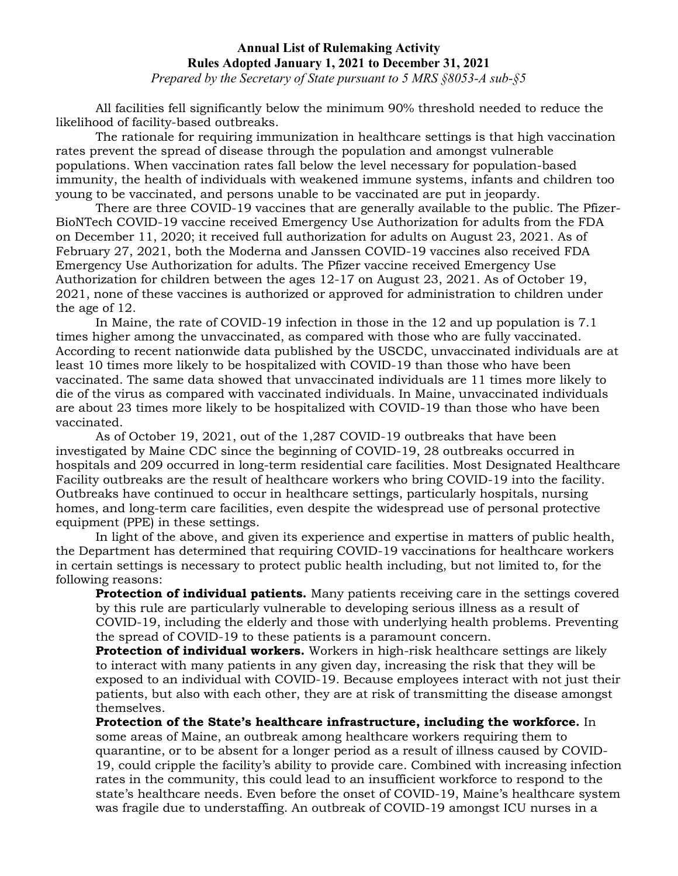*Prepared by the Secretary of State pursuant to 5 MRS §8053-A sub-§5*

All facilities fell significantly below the minimum 90% threshold needed to reduce the likelihood of facility-based outbreaks.

The rationale for requiring immunization in healthcare settings is that high vaccination rates prevent the spread of disease through the population and amongst vulnerable populations. When vaccination rates fall below the level necessary for population-based immunity, the health of individuals with weakened immune systems, infants and children too young to be vaccinated, and persons unable to be vaccinated are put in jeopardy.

There are three COVID-19 vaccines that are generally available to the public. The Pfizer-BioNTech COVID-19 vaccine received Emergency Use Authorization for adults from the FDA on December 11, 2020; it received full authorization for adults on August 23, 2021. As of February 27, 2021, both the Moderna and Janssen COVID-19 vaccines also received FDA Emergency Use Authorization for adults. The Pfizer vaccine received Emergency Use Authorization for children between the ages 12-17 on August 23, 2021. As of October 19, 2021, none of these vaccines is authorized or approved for administration to children under the age of 12.

In Maine, the rate of COVID-19 infection in those in the 12 and up population is 7.1 times higher among the unvaccinated, as compared with those who are fully vaccinated. According to recent nationwide data published by the USCDC, unvaccinated individuals are at least 10 times more likely to be hospitalized with COVID-19 than those who have been vaccinated. The same data showed that unvaccinated individuals are 11 times more likely to die of the virus as compared with vaccinated individuals. In Maine, unvaccinated individuals are about 23 times more likely to be hospitalized with COVID-19 than those who have been vaccinated.

As of October 19, 2021, out of the 1,287 COVID-19 outbreaks that have been investigated by Maine CDC since the beginning of COVID-19, 28 outbreaks occurred in hospitals and 209 occurred in long-term residential care facilities. Most Designated Healthcare Facility outbreaks are the result of healthcare workers who bring COVID-19 into the facility. Outbreaks have continued to occur in healthcare settings, particularly hospitals, nursing homes, and long-term care facilities, even despite the widespread use of personal protective equipment (PPE) in these settings.

In light of the above, and given its experience and expertise in matters of public health, the Department has determined that requiring COVID-19 vaccinations for healthcare workers in certain settings is necessary to protect public health including, but not limited to, for the following reasons:

**Protection of individual patients.** Many patients receiving care in the settings covered by this rule are particularly vulnerable to developing serious illness as a result of COVID-19, including the elderly and those with underlying health problems. Preventing the spread of COVID-19 to these patients is a paramount concern.

**Protection of individual workers.** Workers in high-risk healthcare settings are likely to interact with many patients in any given day, increasing the risk that they will be exposed to an individual with COVID-19. Because employees interact with not just their patients, but also with each other, they are at risk of transmitting the disease amongst themselves.

**Protection of the State's healthcare infrastructure, including the workforce.** In some areas of Maine, an outbreak among healthcare workers requiring them to quarantine, or to be absent for a longer period as a result of illness caused by COVID-19, could cripple the facility's ability to provide care. Combined with increasing infection rates in the community, this could lead to an insufficient workforce to respond to the state's healthcare needs. Even before the onset of COVID-19, Maine's healthcare system was fragile due to understaffing. An outbreak of COVID-19 amongst ICU nurses in a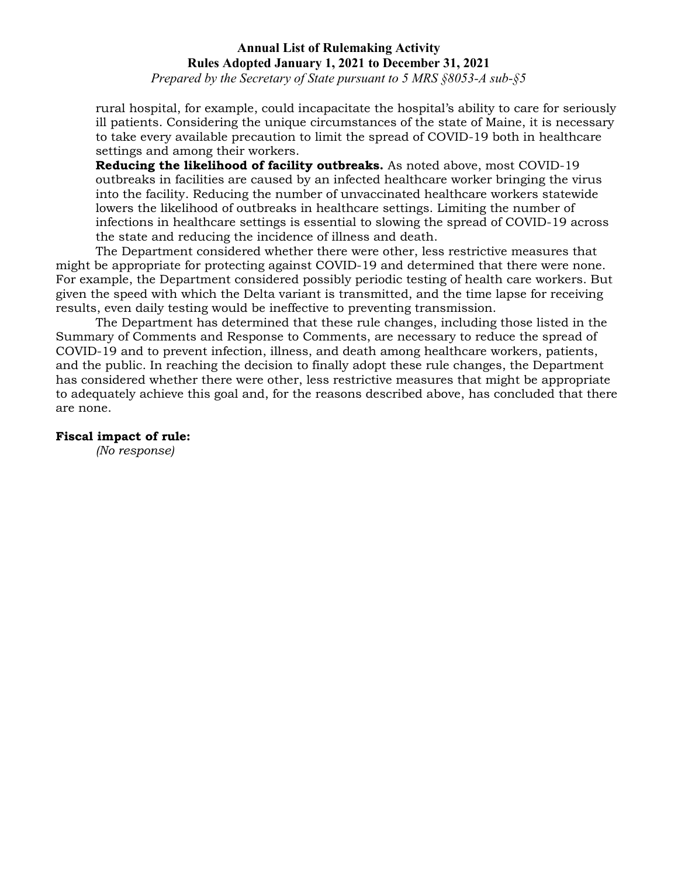*Prepared by the Secretary of State pursuant to 5 MRS §8053-A sub-§5*

rural hospital, for example, could incapacitate the hospital's ability to care for seriously ill patients. Considering the unique circumstances of the state of Maine, it is necessary to take every available precaution to limit the spread of COVID-19 both in healthcare settings and among their workers.

**Reducing the likelihood of facility outbreaks.** As noted above, most COVID-19 outbreaks in facilities are caused by an infected healthcare worker bringing the virus into the facility. Reducing the number of unvaccinated healthcare workers statewide lowers the likelihood of outbreaks in healthcare settings. Limiting the number of infections in healthcare settings is essential to slowing the spread of COVID-19 across the state and reducing the incidence of illness and death.

The Department considered whether there were other, less restrictive measures that might be appropriate for protecting against COVID-19 and determined that there were none. For example, the Department considered possibly periodic testing of health care workers. But given the speed with which the Delta variant is transmitted, and the time lapse for receiving results, even daily testing would be ineffective to preventing transmission.

The Department has determined that these rule changes, including those listed in the Summary of Comments and Response to Comments, are necessary to reduce the spread of COVID-19 and to prevent infection, illness, and death among healthcare workers, patients, and the public. In reaching the decision to finally adopt these rule changes, the Department has considered whether there were other, less restrictive measures that might be appropriate to adequately achieve this goal and, for the reasons described above, has concluded that there are none.

#### **Fiscal impact of rule:**

*(No response)*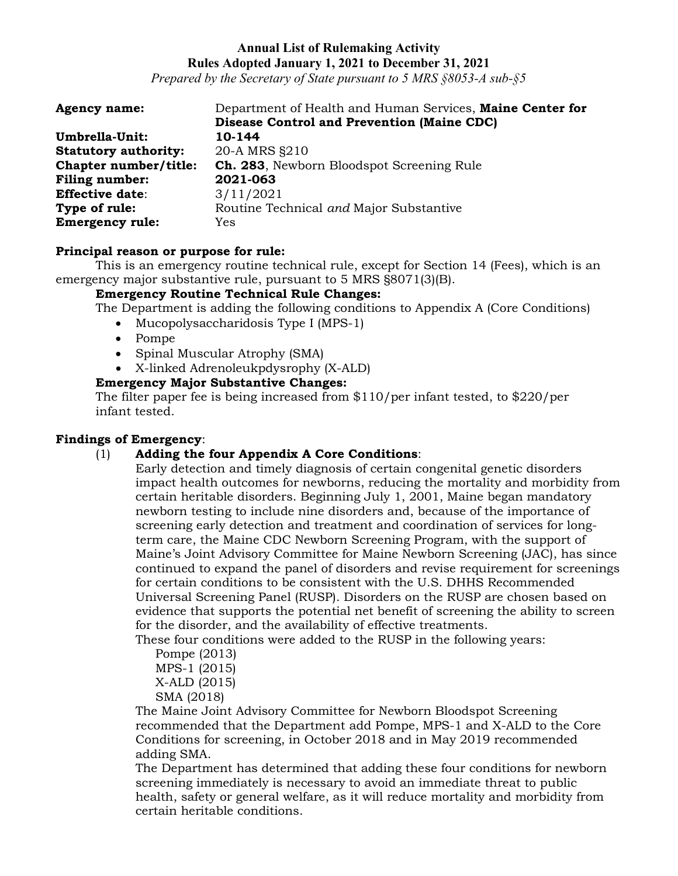*Prepared by the Secretary of State pursuant to 5 MRS §8053-A sub-§5*

| <b>Agency name:</b>         | Department of Health and Human Services, Maine Center for |
|-----------------------------|-----------------------------------------------------------|
|                             | <b>Disease Control and Prevention (Maine CDC)</b>         |
| Umbrella-Unit:              | 10-144                                                    |
| <b>Statutory authority:</b> | 20-A MRS §210                                             |
| Chapter number/title:       | <b>Ch. 283</b> , Newborn Bloodspot Screening Rule         |
| <b>Filing number:</b>       | 2021-063                                                  |
| <b>Effective date:</b>      | 3/11/2021                                                 |
| Type of rule:               | Routine Technical and Major Substantive                   |
| <b>Emergency rule:</b>      | Yes                                                       |

### **Principal reason or purpose for rule:**

This is an emergency routine technical rule, except for Section 14 (Fees), which is an emergency major substantive rule, pursuant to 5 MRS §8071(3)(B).

# **Emergency Routine Technical Rule Changes:**

The Department is adding the following conditions to Appendix A (Core Conditions)

- Mucopolysaccharidosis Type I (MPS-1)
- Pompe
- Spinal Muscular Atrophy (SMA)
- X-linked Adrenoleukpdysrophy (X-ALD)

### **Emergency Major Substantive Changes:**

The filter paper fee is being increased from \$110/per infant tested, to \$220/per infant tested.

#### **Findings of Emergency**:

# (1) **Adding the four Appendix A Core Conditions**:

Early detection and timely diagnosis of certain congenital genetic disorders impact health outcomes for newborns, reducing the mortality and morbidity from certain heritable disorders. Beginning July 1, 2001, Maine began mandatory newborn testing to include nine disorders and, because of the importance of screening early detection and treatment and coordination of services for longterm care, the Maine CDC Newborn Screening Program, with the support of Maine's Joint Advisory Committee for Maine Newborn Screening (JAC), has since continued to expand the panel of disorders and revise requirement for screenings for certain conditions to be consistent with the U.S. DHHS Recommended Universal Screening Panel (RUSP). Disorders on the RUSP are chosen based on evidence that supports the potential net benefit of screening the ability to screen for the disorder, and the availability of effective treatments.

These four conditions were added to the RUSP in the following years:

Pompe (2013) MPS-1 (2015) X-ALD (2015) SMA (2018)

The Maine Joint Advisory Committee for Newborn Bloodspot Screening recommended that the Department add Pompe, MPS-1 and X-ALD to the Core Conditions for screening, in October 2018 and in May 2019 recommended adding SMA.

The Department has determined that adding these four conditions for newborn screening immediately is necessary to avoid an immediate threat to public health, safety or general welfare, as it will reduce mortality and morbidity from certain heritable conditions.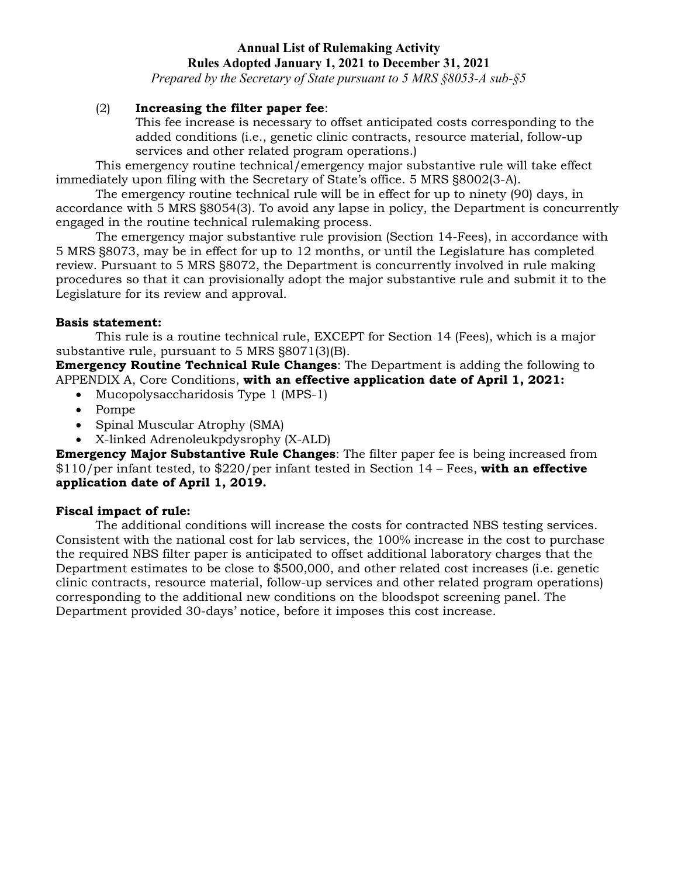*Prepared by the Secretary of State pursuant to 5 MRS §8053-A sub-§5*

# (2) **Increasing the filter paper fee**:

This fee increase is necessary to offset anticipated costs corresponding to the added conditions (i.e., genetic clinic contracts, resource material, follow-up services and other related program operations.)

This emergency routine technical/emergency major substantive rule will take effect immediately upon filing with the Secretary of State's office. 5 MRS §8002(3-A).

The emergency routine technical rule will be in effect for up to ninety (90) days, in accordance with 5 MRS §8054(3). To avoid any lapse in policy, the Department is concurrently engaged in the routine technical rulemaking process.

The emergency major substantive rule provision (Section 14-Fees), in accordance with 5 MRS §8073, may be in effect for up to 12 months, or until the Legislature has completed review. Pursuant to 5 MRS §8072, the Department is concurrently involved in rule making procedures so that it can provisionally adopt the major substantive rule and submit it to the Legislature for its review and approval.

# **Basis statement:**

This rule is a routine technical rule, EXCEPT for Section 14 (Fees), which is a major substantive rule, pursuant to 5 MRS §8071(3)(B).

**Emergency Routine Technical Rule Changes**: The Department is adding the following to APPENDIX A, Core Conditions, **with an effective application date of April 1, 2021:** 

- Mucopolysaccharidosis Type 1 (MPS-1)
- Pompe
- Spinal Muscular Atrophy (SMA)
- X-linked Adrenoleukpdysrophy (X-ALD)

**Emergency Major Substantive Rule Changes**: The filter paper fee is being increased from \$110/per infant tested, to \$220/per infant tested in Section 14 – Fees, **with an effective application date of April 1, 2019.** 

# **Fiscal impact of rule:**

The additional conditions will increase the costs for contracted NBS testing services. Consistent with the national cost for lab services, the 100% increase in the cost to purchase the required NBS filter paper is anticipated to offset additional laboratory charges that the Department estimates to be close to \$500,000, and other related cost increases (i.e. genetic clinic contracts, resource material, follow-up services and other related program operations) corresponding to the additional new conditions on the bloodspot screening panel. The Department provided 30-days' notice, before it imposes this cost increase.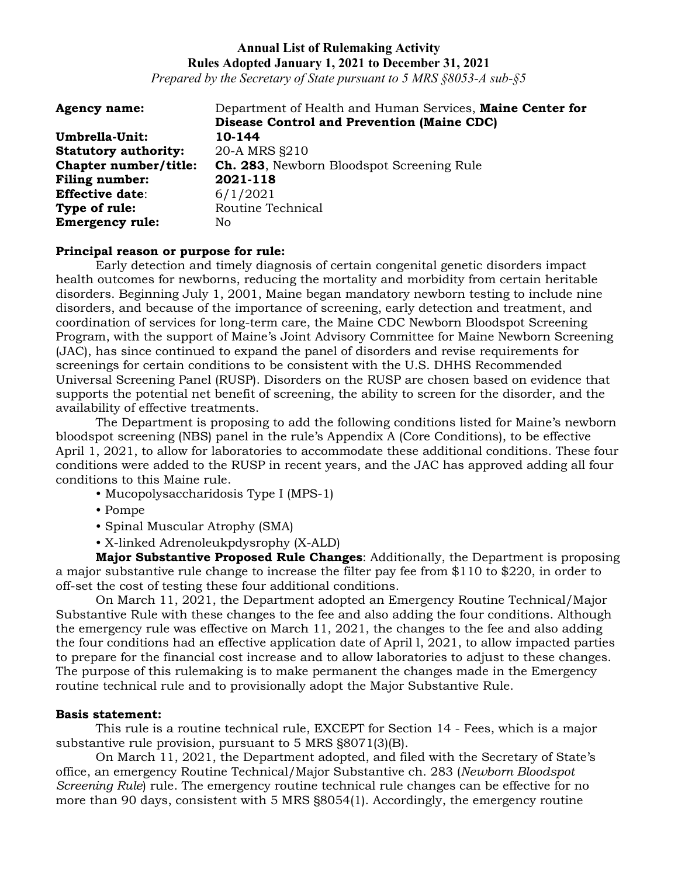*Prepared by the Secretary of State pursuant to 5 MRS §8053-A sub-§5*

| <b>Agency name:</b>         | Department of Health and Human Services, Maine Center for |
|-----------------------------|-----------------------------------------------------------|
|                             | <b>Disease Control and Prevention (Maine CDC)</b>         |
| Umbrella-Unit:              | 10-144                                                    |
| <b>Statutory authority:</b> | 20-A MRS §210                                             |
| Chapter number/title:       | <b>Ch. 283</b> , Newborn Bloodspot Screening Rule         |
| <b>Filing number:</b>       | 2021-118                                                  |
| <b>Effective date:</b>      | 6/1/2021                                                  |
| Type of rule:               | Routine Technical                                         |
| <b>Emergency rule:</b>      | No.                                                       |

#### **Principal reason or purpose for rule:**

Early detection and timely diagnosis of certain congenital genetic disorders impact health outcomes for newborns, reducing the mortality and morbidity from certain heritable disorders. Beginning July 1, 2001, Maine began mandatory newborn testing to include nine disorders, and because of the importance of screening, early detection and treatment, and coordination of services for long-term care, the Maine CDC Newborn Bloodspot Screening Program, with the support of Maine's Joint Advisory Committee for Maine Newborn Screening (JAC), has since continued to expand the panel of disorders and revise requirements for screenings for certain conditions to be consistent with the U.S. DHHS Recommended Universal Screening Panel (RUSP). Disorders on the RUSP are chosen based on evidence that supports the potential net benefit of screening, the ability to screen for the disorder, and the availability of effective treatments.

The Department is proposing to add the following conditions listed for Maine's newborn bloodspot screening (NBS) panel in the rule's Appendix A (Core Conditions), to be effective April 1, 2021, to allow for laboratories to accommodate these additional conditions. These four conditions were added to the RUSP in recent years, and the JAC has approved adding all four conditions to this Maine rule.

- Mucopolysaccharidosis Type I (MPS-1)
- Pompe
- Spinal Muscular Atrophy (SMA)
- X-linked Adrenoleukpdysrophy (X-ALD)

**Major Substantive Proposed Rule Changes**: Additionally, the Department is proposing a major substantive rule change to increase the filter pay fee from \$110 to \$220, in order to off-set the cost of testing these four additional conditions.

On March 11, 2021, the Department adopted an Emergency Routine Technical/Major Substantive Rule with these changes to the fee and also adding the four conditions. Although the emergency rule was effective on March 11, 2021, the changes to the fee and also adding the four conditions had an effective application date of April l, 2021, to allow impacted parties to prepare for the financial cost increase and to allow laboratories to adjust to these changes. The purpose of this rulemaking is to make permanent the changes made in the Emergency routine technical rule and to provisionally adopt the Major Substantive Rule.

#### **Basis statement:**

This rule is a routine technical rule, EXCEPT for Section 14 - Fees, which is a major substantive rule provision, pursuant to 5 MRS §8071(3)(B).

On March 11, 2021, the Department adopted, and filed with the Secretary of State's office, an emergency Routine Technical/Major Substantive ch. 283 (*Newborn Bloodspot Screening Rule*) rule. The emergency routine technical rule changes can be effective for no more than 90 days, consistent with 5 MRS §8054(1). Accordingly, the emergency routine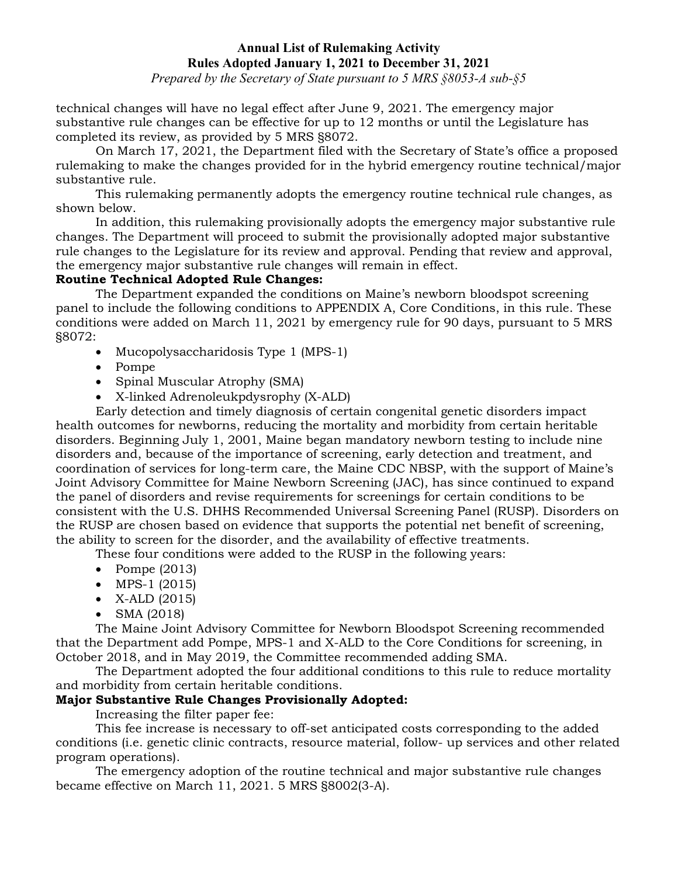*Prepared by the Secretary of State pursuant to 5 MRS §8053-A sub-§5*

technical changes will have no legal effect after June 9, 2021. The emergency major substantive rule changes can be effective for up to 12 months or until the Legislature has completed its review, as provided by 5 MRS §8072.

On March 17, 2021, the Department filed with the Secretary of State's office a proposed rulemaking to make the changes provided for in the hybrid emergency routine technical/major substantive rule.

This rulemaking permanently adopts the emergency routine technical rule changes, as shown below.

In addition, this rulemaking provisionally adopts the emergency major substantive rule changes. The Department will proceed to submit the provisionally adopted major substantive rule changes to the Legislature for its review and approval. Pending that review and approval, the emergency major substantive rule changes will remain in effect.

# **Routine Technical Adopted Rule Changes:**

The Department expanded the conditions on Maine's newborn bloodspot screening panel to include the following conditions to APPENDIX A, Core Conditions, in this rule. These conditions were added on March 11, 2021 by emergency rule for 90 days, pursuant to 5 MRS §8072:

- Mucopolysaccharidosis Type 1 (MPS-1)
- Pompe
- Spinal Muscular Atrophy (SMA)
- X-linked Adrenoleukpdysrophy (X-ALD)

Early detection and timely diagnosis of certain congenital genetic disorders impact health outcomes for newborns, reducing the mortality and morbidity from certain heritable disorders. Beginning July 1, 2001, Maine began mandatory newborn testing to include nine disorders and, because of the importance of screening, early detection and treatment, and coordination of services for long-term care, the Maine CDC NBSP, with the support of Maine's Joint Advisory Committee for Maine Newborn Screening (JAC), has since continued to expand the panel of disorders and revise requirements for screenings for certain conditions to be consistent with the U.S. DHHS Recommended Universal Screening Panel (RUSP). Disorders on the RUSP are chosen based on evidence that supports the potential net benefit of screening, the ability to screen for the disorder, and the availability of effective treatments.

These four conditions were added to the RUSP in the following years:

- Pompe (2013)
- MPS-1 (2015)
- X-ALD (2015)
- SMA (2018)

The Maine Joint Advisory Committee for Newborn Bloodspot Screening recommended that the Department add Pompe, MPS-1 and X-ALD to the Core Conditions for screening, in October 2018, and in May 2019, the Committee recommended adding SMA.

The Department adopted the four additional conditions to this rule to reduce mortality and morbidity from certain heritable conditions.

# **Major Substantive Rule Changes Provisionally Adopted:**

Increasing the filter paper fee:

This fee increase is necessary to off-set anticipated costs corresponding to the added conditions (i.e. genetic clinic contracts, resource material, follow- up services and other related program operations).

The emergency adoption of the routine technical and major substantive rule changes became effective on March 11, 2021. 5 MRS §8002(3-A).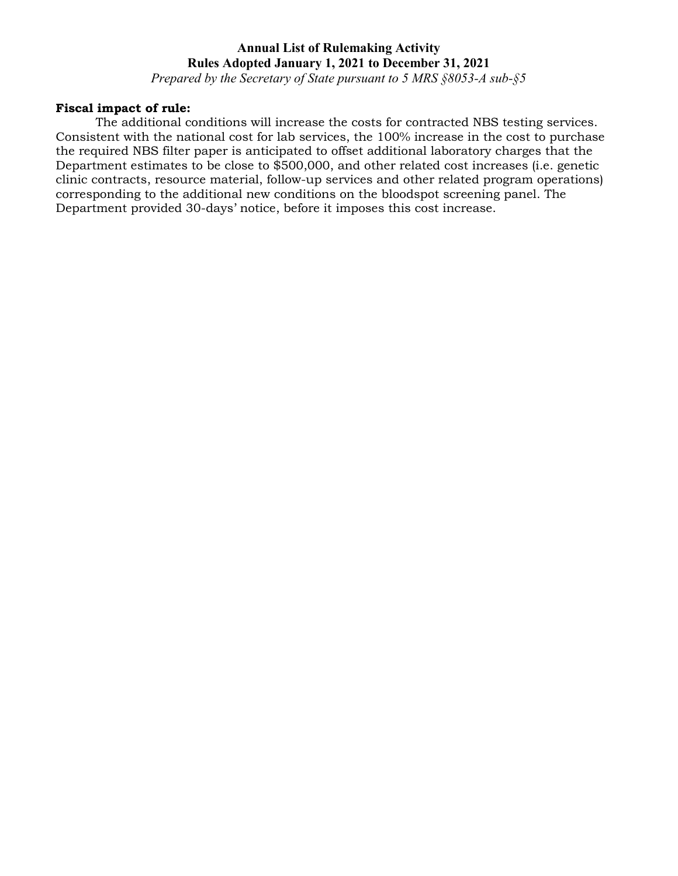*Prepared by the Secretary of State pursuant to 5 MRS §8053-A sub-§5*

### **Fiscal impact of rule:**

The additional conditions will increase the costs for contracted NBS testing services. Consistent with the national cost for lab services, the 100% increase in the cost to purchase the required NBS filter paper is anticipated to offset additional laboratory charges that the Department estimates to be close to \$500,000, and other related cost increases (i.e. genetic clinic contracts, resource material, follow-up services and other related program operations) corresponding to the additional new conditions on the bloodspot screening panel. The Department provided 30-days' notice, before it imposes this cost increase.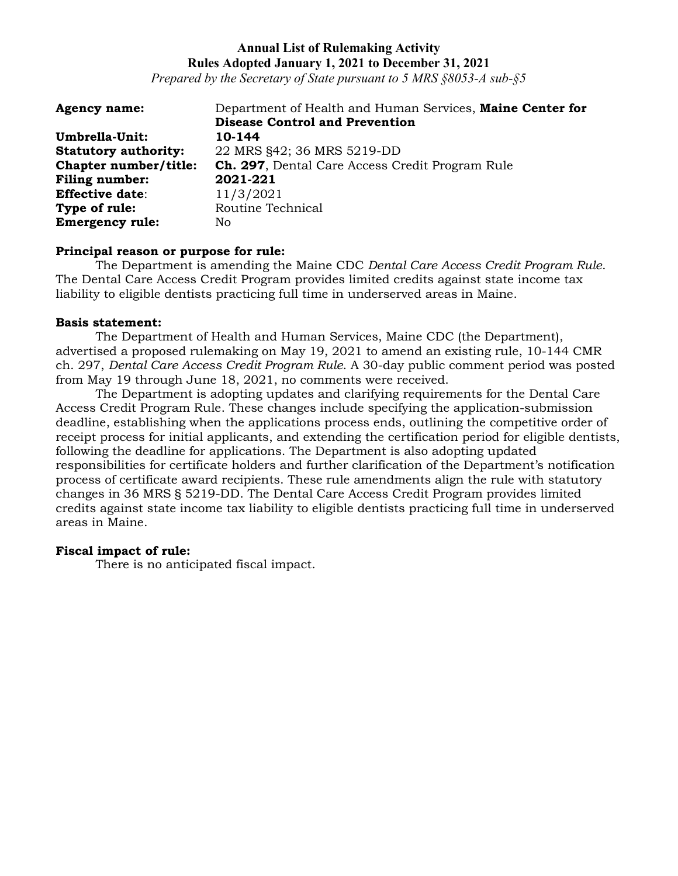*Prepared by the Secretary of State pursuant to 5 MRS §8053-A sub-§5*

| <b>Agency name:</b>         | Department of Health and Human Services, Maine Center for |
|-----------------------------|-----------------------------------------------------------|
|                             | <b>Disease Control and Prevention</b>                     |
| Umbrella-Unit:              | 10-144                                                    |
| <b>Statutory authority:</b> | 22 MRS §42; 36 MRS 5219-DD                                |
| Chapter number/title:       | <b>Ch. 297</b> , Dental Care Access Credit Program Rule   |
| Filing number:              | 2021-221                                                  |
| <b>Effective date:</b>      | 11/3/2021                                                 |
| Type of rule:               | Routine Technical                                         |
| <b>Emergency rule:</b>      | No.                                                       |

### **Principal reason or purpose for rule:**

The Department is amending the Maine CDC *Dental Care Access Credit Program Rule*. The Dental Care Access Credit Program provides limited credits against state income tax liability to eligible dentists practicing full time in underserved areas in Maine.

#### **Basis statement:**

The Department of Health and Human Services, Maine CDC (the Department), advertised a proposed rulemaking on May 19, 2021 to amend an existing rule, 10-144 CMR ch. 297, *Dental Care Access Credit Program Rule*. A 30-day public comment period was posted from May 19 through June 18, 2021, no comments were received.

The Department is adopting updates and clarifying requirements for the Dental Care Access Credit Program Rule. These changes include specifying the application-submission deadline, establishing when the applications process ends, outlining the competitive order of receipt process for initial applicants, and extending the certification period for eligible dentists, following the deadline for applications. The Department is also adopting updated responsibilities for certificate holders and further clarification of the Department's notification process of certificate award recipients. These rule amendments align the rule with statutory changes in 36 MRS § 5219-DD. The Dental Care Access Credit Program provides limited credits against state income tax liability to eligible dentists practicing full time in underserved areas in Maine.

#### **Fiscal impact of rule:**

There is no anticipated fiscal impact.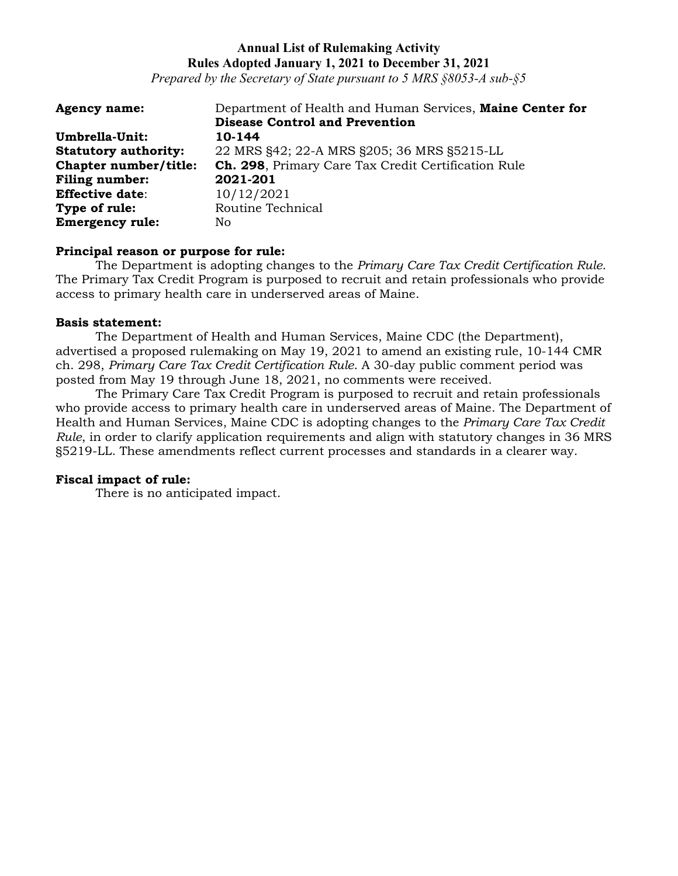*Prepared by the Secretary of State pursuant to 5 MRS §8053-A sub-§5*

| <b>Agency name:</b>         | Department of Health and Human Services, Maine Center for |
|-----------------------------|-----------------------------------------------------------|
|                             | <b>Disease Control and Prevention</b>                     |
| Umbrella-Unit:              | 10-144                                                    |
| <b>Statutory authority:</b> | 22 MRS §42; 22-A MRS §205; 36 MRS §5215-LL                |
| Chapter number/title:       | Ch. 298, Primary Care Tax Credit Certification Rule       |
| <b>Filing number:</b>       | 2021-201                                                  |
| <b>Effective date:</b>      | 10/12/2021                                                |
| Type of rule:               | Routine Technical                                         |
| <b>Emergency rule:</b>      | No.                                                       |

#### **Principal reason or purpose for rule:**

The Department is adopting changes to the *Primary Care Tax Credit Certification Rule*. The Primary Tax Credit Program is purposed to recruit and retain professionals who provide access to primary health care in underserved areas of Maine.

#### **Basis statement:**

The Department of Health and Human Services, Maine CDC (the Department), advertised a proposed rulemaking on May 19, 2021 to amend an existing rule, 10-144 CMR ch. 298, *Primary Care Tax Credit Certification Rule*. A 30-day public comment period was posted from May 19 through June 18, 2021, no comments were received.

The Primary Care Tax Credit Program is purposed to recruit and retain professionals who provide access to primary health care in underserved areas of Maine. The Department of Health and Human Services, Maine CDC is adopting changes to the *Primary Care Tax Credit Rule*, in order to clarify application requirements and align with statutory changes in 36 MRS §5219-LL. These amendments reflect current processes and standards in a clearer way.

#### **Fiscal impact of rule:**

There is no anticipated impact.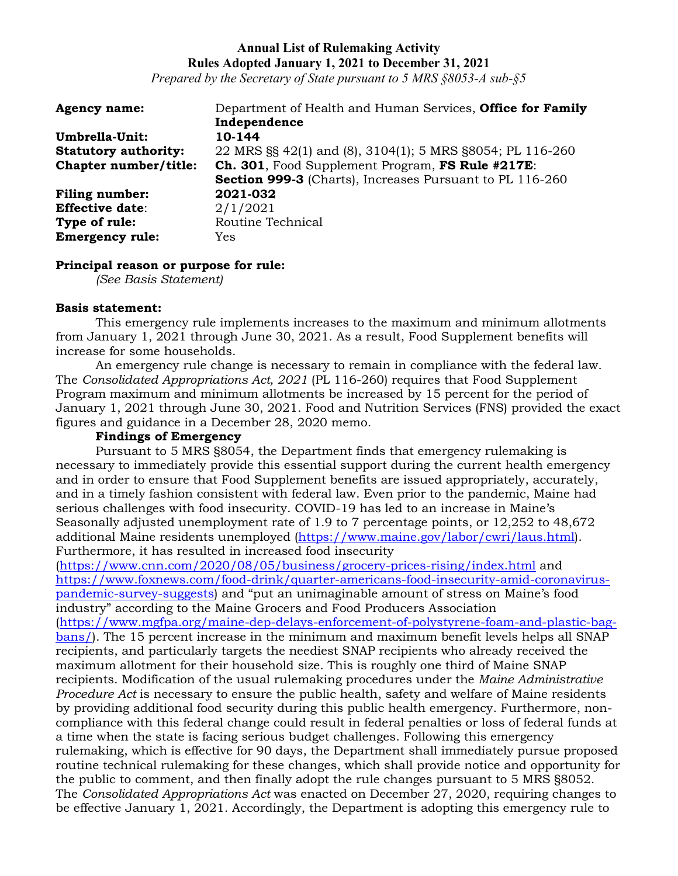*Prepared by the Secretary of State pursuant to 5 MRS §8053-A sub-§5*

| <b>Agency name:</b>         | Department of Health and Human Services, Office for Family |
|-----------------------------|------------------------------------------------------------|
|                             | Independence                                               |
| Umbrella-Unit:              | 10-144                                                     |
| <b>Statutory authority:</b> | 22 MRS §§ 42(1) and (8), 3104(1); 5 MRS §8054; PL 116-260  |
| Chapter number/title:       | Ch. 301, Food Supplement Program, FS Rule #217E:           |
|                             | Section 999-3 (Charts), Increases Pursuant to PL 116-260   |
| <b>Filing number:</b>       | 2021-032                                                   |
| <b>Effective date:</b>      | 2/1/2021                                                   |
| Type of rule:               | Routine Technical                                          |
| <b>Emergency rule:</b>      | Yes                                                        |

### **Principal reason or purpose for rule:**

*(See Basis Statement)*

### **Basis statement:**

This emergency rule implements increases to the maximum and minimum allotments from January 1, 2021 through June 30, 2021. As a result, Food Supplement benefits will increase for some households.

An emergency rule change is necessary to remain in compliance with the federal law. The *Consolidated Appropriations Act, 2021* (PL 116-260) requires that Food Supplement Program maximum and minimum allotments be increased by 15 percent for the period of January 1, 2021 through June 30, 2021. Food and Nutrition Services (FNS) provided the exact figures and guidance in a December 28, 2020 memo.

### **Findings of Emergency**

Pursuant to 5 MRS §8054, the Department finds that emergency rulemaking is necessary to immediately provide this essential support during the current health emergency and in order to ensure that Food Supplement benefits are issued appropriately, accurately, and in a timely fashion consistent with federal law. Even prior to the pandemic, Maine had serious challenges with food insecurity. COVID-19 has led to an increase in Maine's Seasonally adjusted unemployment rate of 1.9 to 7 percentage points, or 12,252 to 48,672 additional Maine residents unemployed [\(https://www.maine.gov/labor/cwri/laus.html\)](https://www.maine.gov/labor/cwri/laus.html). Furthermore, it has resulted in increased food insecurity

[\(https://www.cnn.com/2020/08/05/business/grocery-prices-rising/index.html](https://www.cnn.com/2020/08/05/business/grocery-prices-rising/index.html) and [https://www.foxnews.com/food-drink/quarter-americans-food-insecurity-amid-coronavirus](https://www.foxnews.com/food-drink/quarter-americans-food-insecurity-amid-coronavirus-pandemic-survey-suggests)[pandemic-survey-suggests\)](https://www.foxnews.com/food-drink/quarter-americans-food-insecurity-amid-coronavirus-pandemic-survey-suggests) and "put an unimaginable amount of stress on Maine's food industry" according to the Maine Grocers and Food Producers Association [\(https://www.mgfpa.org/maine-dep-delays-enforcement-of-polystyrene-foam-and-plastic-bag](https://www.mgfpa.org/maine-dep-delays-enforcement-of-polystyrene-foam-and-plastic-bag-bans/)[bans/\)](https://www.mgfpa.org/maine-dep-delays-enforcement-of-polystyrene-foam-and-plastic-bag-bans/). The 15 percent increase in the minimum and maximum benefit levels helps all SNAP recipients, and particularly targets the neediest SNAP recipients who already received the maximum allotment for their household size. This is roughly one third of Maine SNAP recipients. Modification of the usual rulemaking procedures under the *Maine Administrative Procedure Act* is necessary to ensure the public health, safety and welfare of Maine residents by providing additional food security during this public health emergency. Furthermore, noncompliance with this federal change could result in federal penalties or loss of federal funds at a time when the state is facing serious budget challenges. Following this emergency rulemaking, which is effective for 90 days, the Department shall immediately pursue proposed routine technical rulemaking for these changes, which shall provide notice and opportunity for the public to comment, and then finally adopt the rule changes pursuant to 5 MRS §8052. The *Consolidated Appropriations Act* was enacted on December 27, 2020, requiring changes to be effective January 1, 2021. Accordingly, the Department is adopting this emergency rule to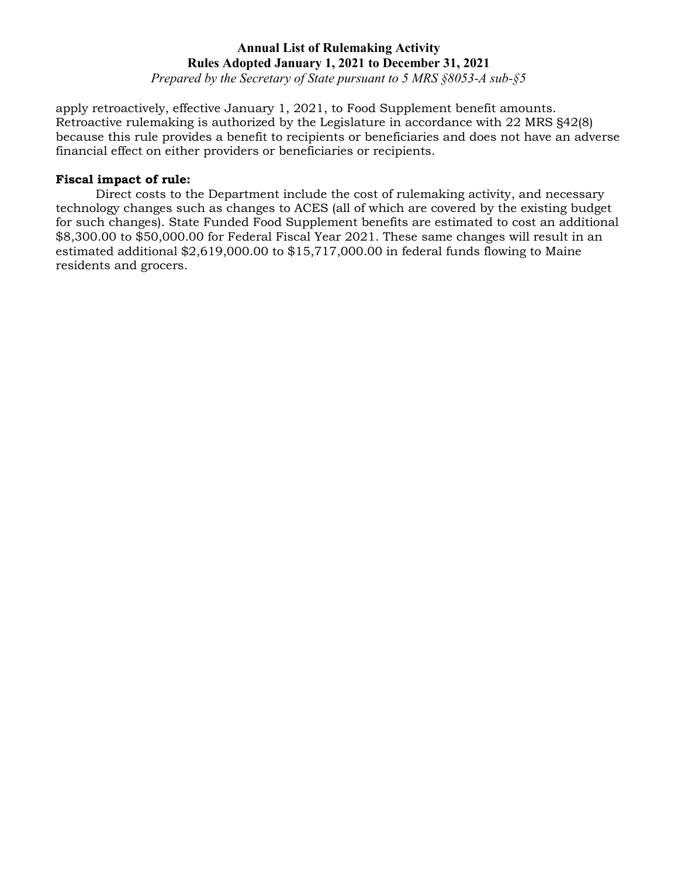*Prepared by the Secretary of State pursuant to 5 MRS §8053-A sub-§5*

apply retroactively, effective January 1, 2021, to Food Supplement benefit amounts. Retroactive rulemaking is authorized by the Legislature in accordance with 22 MRS §42(8) because this rule provides a benefit to recipients or beneficiaries and does not have an adverse financial effect on either providers or beneficiaries or recipients.

# **Fiscal impact of rule:**

Direct costs to the Department include the cost of rulemaking activity, and necessary technology changes such as changes to ACES (all of which are covered by the existing budget for such changes). State Funded Food Supplement benefits are estimated to cost an additional \$8,300.00 to \$50,000.00 for Federal Fiscal Year 2021. These same changes will result in an estimated additional \$2,619,000.00 to \$15,717,000.00 in federal funds flowing to Maine residents and grocers.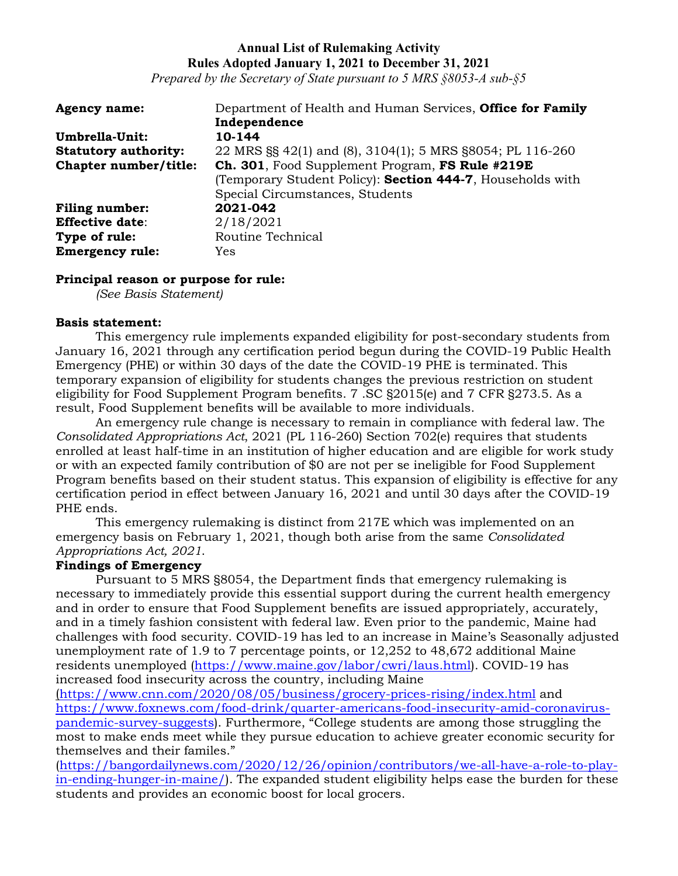*Prepared by the Secretary of State pursuant to 5 MRS §8053-A sub-§5*

| <b>Agency name:</b>         | Department of Health and Human Services, Office for Family |
|-----------------------------|------------------------------------------------------------|
|                             | Independence                                               |
| Umbrella-Unit:              | 10-144                                                     |
| <b>Statutory authority:</b> | 22 MRS §§ 42(1) and (8), 3104(1); 5 MRS §8054; PL 116-260  |
| Chapter number/title:       | Ch. 301, Food Supplement Program, FS Rule #219E            |
|                             | (Temporary Student Policy): Section 444-7, Households with |
|                             | Special Circumstances, Students                            |
| <b>Filing number:</b>       | 2021-042                                                   |
| <b>Effective date:</b>      | 2/18/2021                                                  |
| Type of rule:               | Routine Technical                                          |
| <b>Emergency rule:</b>      | Yes                                                        |

#### **Principal reason or purpose for rule:**

*(See Basis Statement)*

#### **Basis statement:**

This emergency rule implements expanded eligibility for post-secondary students from January 16, 2021 through any certification period begun during the COVID-19 Public Health Emergency (PHE) or within 30 days of the date the COVID-19 PHE is terminated. This temporary expansion of eligibility for students changes the previous restriction on student eligibility for Food Supplement Program benefits. 7 .SC §2015(e) and 7 CFR §273.5. As a result, Food Supplement benefits will be available to more individuals.

An emergency rule change is necessary to remain in compliance with federal law. The *Consolidated Appropriations Act*, 2021 (PL 116-260) Section 702(e) requires that students enrolled at least half-time in an institution of higher education and are eligible for work study or with an expected family contribution of \$0 are not per se ineligible for Food Supplement Program benefits based on their student status. This expansion of eligibility is effective for any certification period in effect between January 16, 2021 and until 30 days after the COVID-19 PHE ends.

This emergency rulemaking is distinct from 217E which was implemented on an emergency basis on February 1, 2021, though both arise from the same *Consolidated Appropriations Act, 2021*.

# **Findings of Emergency**

Pursuant to 5 MRS §8054, the Department finds that emergency rulemaking is necessary to immediately provide this essential support during the current health emergency and in order to ensure that Food Supplement benefits are issued appropriately, accurately, and in a timely fashion consistent with federal law. Even prior to the pandemic, Maine had challenges with food security. COVID-19 has led to an increase in Maine's Seasonally adjusted unemployment rate of 1.9 to 7 percentage points, or 12,252 to 48,672 additional Maine residents unemployed [\(https://www.maine.gov/labor/cwri/laus.html\)](https://www.maine.gov/labor/cwri/laus.html). COVID-19 has increased food insecurity across the country, including Maine

[\(https://www.cnn.com/2020/08/05/business/grocery-prices-rising/index.html](https://www.cnn.com/2020/08/05/business/grocery-prices-rising/index.html) and [https://www.foxnews.com/food-drink/quarter-americans-food-insecurity-amid-coronavirus](https://www.foxnews.com/food-drink/quarter-americans-food-insecurity-amid-coronavirus-pandemic-survey-suggests)[pandemic-survey-suggests\)](https://www.foxnews.com/food-drink/quarter-americans-food-insecurity-amid-coronavirus-pandemic-survey-suggests). Furthermore, "College students are among those struggling the most to make ends meet while they pursue education to achieve greater economic security for themselves and their familes."

[\(https://bangordailynews.com/2020/12/26/opinion/contributors/we-all-have-a-role-to-play](https://bangordailynews.com/2020/12/26/opinion/contributors/we-all-have-a-role-to-play-in-ending-hunger-in-maine/)[in-ending-hunger-in-maine/\)](https://bangordailynews.com/2020/12/26/opinion/contributors/we-all-have-a-role-to-play-in-ending-hunger-in-maine/). The expanded student eligibility helps ease the burden for these students and provides an economic boost for local grocers.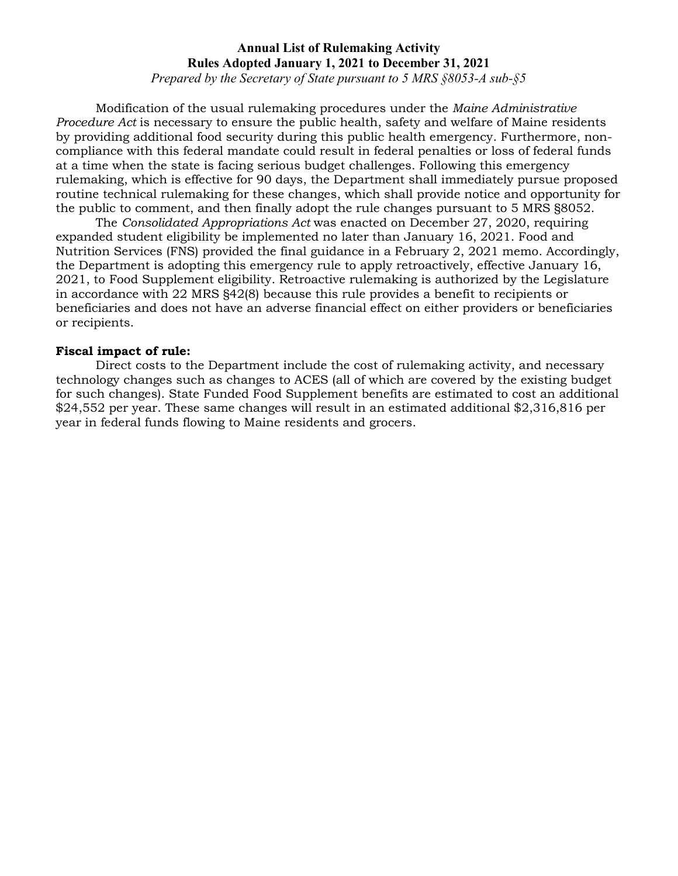*Prepared by the Secretary of State pursuant to 5 MRS §8053-A sub-§5*

Modification of the usual rulemaking procedures under the *Maine Administrative Procedure Act* is necessary to ensure the public health, safety and welfare of Maine residents by providing additional food security during this public health emergency. Furthermore, noncompliance with this federal mandate could result in federal penalties or loss of federal funds at a time when the state is facing serious budget challenges. Following this emergency rulemaking, which is effective for 90 days, the Department shall immediately pursue proposed routine technical rulemaking for these changes, which shall provide notice and opportunity for the public to comment, and then finally adopt the rule changes pursuant to 5 MRS §8052.

The *Consolidated Appropriations Act* was enacted on December 27, 2020, requiring expanded student eligibility be implemented no later than January 16, 2021. Food and Nutrition Services (FNS) provided the final guidance in a February 2, 2021 memo. Accordingly, the Department is adopting this emergency rule to apply retroactively, effective January 16, 2021, to Food Supplement eligibility. Retroactive rulemaking is authorized by the Legislature in accordance with 22 MRS §42(8) because this rule provides a benefit to recipients or beneficiaries and does not have an adverse financial effect on either providers or beneficiaries or recipients.

### **Fiscal impact of rule:**

Direct costs to the Department include the cost of rulemaking activity, and necessary technology changes such as changes to ACES (all of which are covered by the existing budget for such changes). State Funded Food Supplement benefits are estimated to cost an additional \$24,552 per year. These same changes will result in an estimated additional \$2,316,816 per year in federal funds flowing to Maine residents and grocers.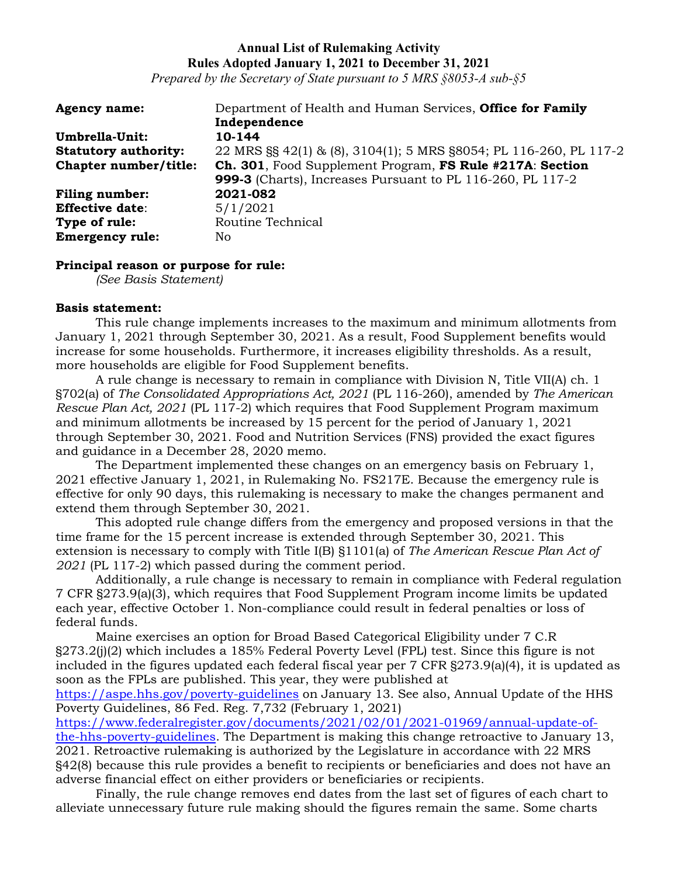*Prepared by the Secretary of State pursuant to 5 MRS §8053-A sub-§5*

| <b>Agency name:</b>         | Department of Health and Human Services, Office for Family        |
|-----------------------------|-------------------------------------------------------------------|
|                             | Independence                                                      |
| Umbrella-Unit:              | 10-144                                                            |
| <b>Statutory authority:</b> | 22 MRS §§ 42(1) & (8), 3104(1); 5 MRS §8054; PL 116-260, PL 117-2 |
| Chapter number/title:       | Ch. 301, Food Supplement Program, FS Rule #217A: Section          |
|                             | <b>999-3</b> (Charts), Increases Pursuant to PL 116-260, PL 117-2 |
| <b>Filing number:</b>       | 2021-082                                                          |
| <b>Effective date:</b>      | 5/1/2021                                                          |
| Type of rule:               | Routine Technical                                                 |
| <b>Emergency rule:</b>      | No                                                                |

### **Principal reason or purpose for rule:**

*(See Basis Statement)*

### **Basis statement:**

This rule change implements increases to the maximum and minimum allotments from January 1, 2021 through September 30, 2021. As a result, Food Supplement benefits would increase for some households. Furthermore, it increases eligibility thresholds. As a result, more households are eligible for Food Supplement benefits.

A rule change is necessary to remain in compliance with Division N, Title VII(A) ch. 1 §702(a) of *The Consolidated Appropriations Act, 2021* (PL 116-260), amended by *The American Rescue Plan Act, 2021* (PL 117-2) which requires that Food Supplement Program maximum and minimum allotments be increased by 15 percent for the period of January 1, 2021 through September 30, 2021. Food and Nutrition Services (FNS) provided the exact figures and guidance in a December 28, 2020 memo.

The Department implemented these changes on an emergency basis on February 1, 2021 effective January 1, 2021, in Rulemaking No. FS217E. Because the emergency rule is effective for only 90 days, this rulemaking is necessary to make the changes permanent and extend them through September 30, 2021.

This adopted rule change differs from the emergency and proposed versions in that the time frame for the 15 percent increase is extended through September 30, 2021. This extension is necessary to comply with Title I(B) §1101(a) of *The American Rescue Plan Act of 2021* (PL 117-2) which passed during the comment period.

Additionally, a rule change is necessary to remain in compliance with Federal regulation 7 CFR §273.9(a)(3), which requires that Food Supplement Program income limits be updated each year, effective October 1. Non-compliance could result in federal penalties or loss of federal funds.

Maine exercises an option for Broad Based Categorical Eligibility under 7 C.R §273.2(j)(2) which includes a 185% Federal Poverty Level (FPL) test. Since this figure is not included in the figures updated each federal fiscal year per 7 CFR §273.9(a)(4), it is updated as soon as the FPLs are published. This year, they were published at

<https://aspe.hhs.gov/poverty-guidelines> on January 13. See also, Annual Update of the HHS Poverty Guidelines, 86 Fed. Reg. 7,732 (February 1, 2021)

[https://www.federalregister.gov/documents/2021/02/01/2021-01969/annual-update-of](https://www.federalregister.gov/documents/2021/02/01/2021-01969/annual-update-of-the-hhs-poverty-guidelines)[the-hhs-poverty-guidelines.](https://www.federalregister.gov/documents/2021/02/01/2021-01969/annual-update-of-the-hhs-poverty-guidelines) The Department is making this change retroactive to January 13, 2021. Retroactive rulemaking is authorized by the Legislature in accordance with 22 MRS §42(8) because this rule provides a benefit to recipients or beneficiaries and does not have an adverse financial effect on either providers or beneficiaries or recipients.

Finally, the rule change removes end dates from the last set of figures of each chart to alleviate unnecessary future rule making should the figures remain the same. Some charts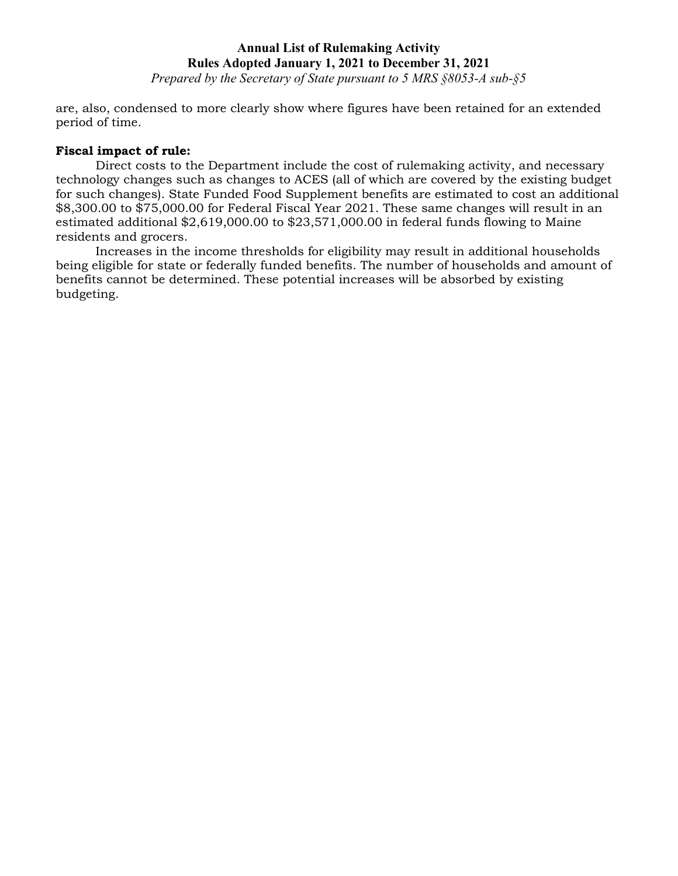*Prepared by the Secretary of State pursuant to 5 MRS §8053-A sub-§5*

are, also, condensed to more clearly show where figures have been retained for an extended period of time.

#### **Fiscal impact of rule:**

Direct costs to the Department include the cost of rulemaking activity, and necessary technology changes such as changes to ACES (all of which are covered by the existing budget for such changes). State Funded Food Supplement benefits are estimated to cost an additional \$8,300.00 to \$75,000.00 for Federal Fiscal Year 2021. These same changes will result in an estimated additional \$2,619,000.00 to \$23,571,000.00 in federal funds flowing to Maine residents and grocers.

Increases in the income thresholds for eligibility may result in additional households being eligible for state or federally funded benefits. The number of households and amount of benefits cannot be determined. These potential increases will be absorbed by existing budgeting.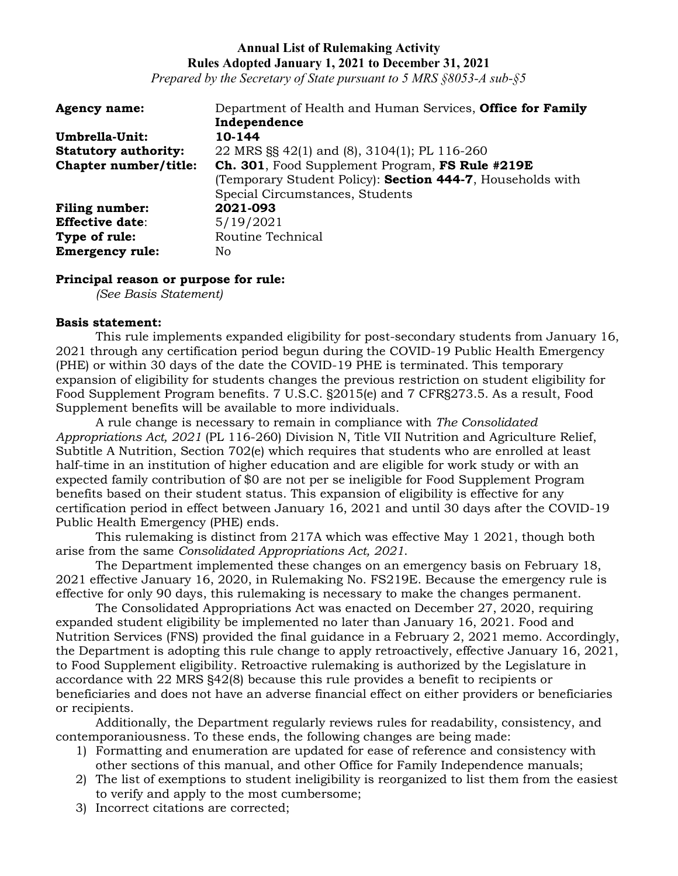*Prepared by the Secretary of State pursuant to 5 MRS §8053-A sub-§5*

| <b>Agency name:</b>         | Department of Health and Human Services, Office for Family |
|-----------------------------|------------------------------------------------------------|
|                             | Independence                                               |
| Umbrella-Unit:              | 10-144                                                     |
| <b>Statutory authority:</b> | 22 MRS §§ 42(1) and (8), 3104(1); PL 116-260               |
| Chapter number/title:       | Ch. 301, Food Supplement Program, FS Rule #219E            |
|                             | (Temporary Student Policy): Section 444-7, Households with |
|                             | Special Circumstances, Students                            |
| <b>Filing number:</b>       | 2021-093                                                   |
| <b>Effective date:</b>      | 5/19/2021                                                  |
| Type of rule:               | Routine Technical                                          |
| <b>Emergency rule:</b>      | No.                                                        |

#### **Principal reason or purpose for rule:**

*(See Basis Statement)*

#### **Basis statement:**

This rule implements expanded eligibility for post-secondary students from January 16, 2021 through any certification period begun during the COVID-19 Public Health Emergency (PHE) or within 30 days of the date the COVID-19 PHE is terminated. This temporary expansion of eligibility for students changes the previous restriction on student eligibility for Food Supplement Program benefits. 7 U.S.C. §2015(e) and 7 CFR§273.5. As a result, Food Supplement benefits will be available to more individuals.

A rule change is necessary to remain in compliance with *The Consolidated Appropriations Act, 2021* (PL 116-260) Division N, Title VII Nutrition and Agriculture Relief, Subtitle A Nutrition, Section 702(e) which requires that students who are enrolled at least half-time in an institution of higher education and are eligible for work study or with an expected family contribution of \$0 are not per se ineligible for Food Supplement Program benefits based on their student status. This expansion of eligibility is effective for any certification period in effect between January 16, 2021 and until 30 days after the COVID-19 Public Health Emergency (PHE) ends.

This rulemaking is distinct from 217A which was effective May 1 2021, though both arise from the same *Consolidated Appropriations Act, 2021*.

The Department implemented these changes on an emergency basis on February 18, 2021 effective January 16, 2020, in Rulemaking No. FS219E. Because the emergency rule is effective for only 90 days, this rulemaking is necessary to make the changes permanent.

The Consolidated Appropriations Act was enacted on December 27, 2020, requiring expanded student eligibility be implemented no later than January 16, 2021. Food and Nutrition Services (FNS) provided the final guidance in a February 2, 2021 memo. Accordingly, the Department is adopting this rule change to apply retroactively, effective January 16, 2021, to Food Supplement eligibility. Retroactive rulemaking is authorized by the Legislature in accordance with 22 MRS §42(8) because this rule provides a benefit to recipients or beneficiaries and does not have an adverse financial effect on either providers or beneficiaries or recipients.

Additionally, the Department regularly reviews rules for readability, consistency, and contemporaniousness. To these ends, the following changes are being made:

- 1) Formatting and enumeration are updated for ease of reference and consistency with other sections of this manual, and other Office for Family Independence manuals;
- 2) The list of exemptions to student ineligibility is reorganized to list them from the easiest to verify and apply to the most cumbersome;
- 3) Incorrect citations are corrected;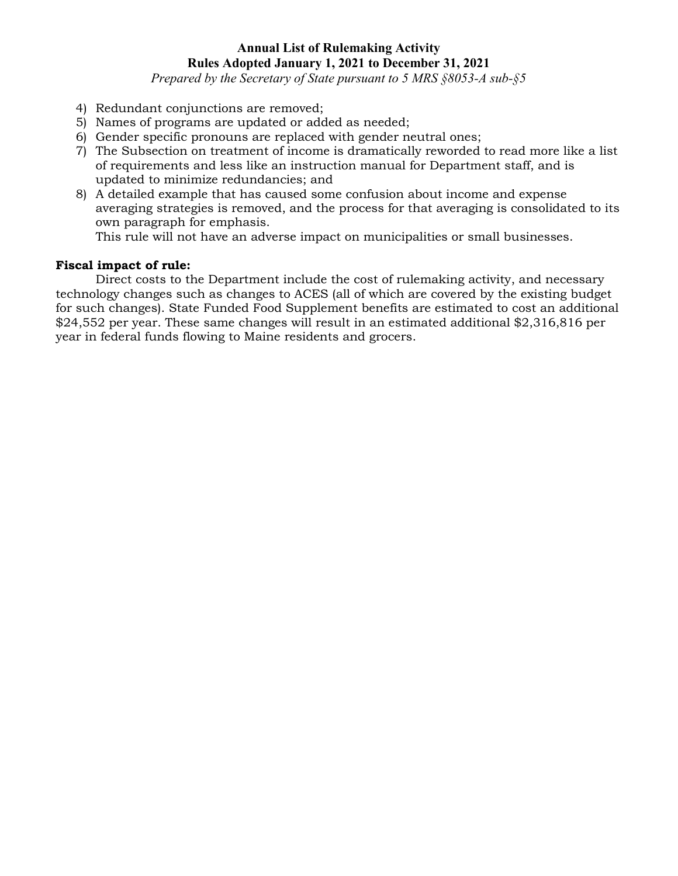*Prepared by the Secretary of State pursuant to 5 MRS §8053-A sub-§5*

- 4) Redundant conjunctions are removed;
- 5) Names of programs are updated or added as needed;
- 6) Gender specific pronouns are replaced with gender neutral ones;
- 7) The Subsection on treatment of income is dramatically reworded to read more like a list of requirements and less like an instruction manual for Department staff, and is updated to minimize redundancies; and
- 8) A detailed example that has caused some confusion about income and expense averaging strategies is removed, and the process for that averaging is consolidated to its own paragraph for emphasis.

This rule will not have an adverse impact on municipalities or small businesses.

# **Fiscal impact of rule:**

Direct costs to the Department include the cost of rulemaking activity, and necessary technology changes such as changes to ACES (all of which are covered by the existing budget for such changes). State Funded Food Supplement benefits are estimated to cost an additional \$24,552 per year. These same changes will result in an estimated additional \$2,316,816 per year in federal funds flowing to Maine residents and grocers.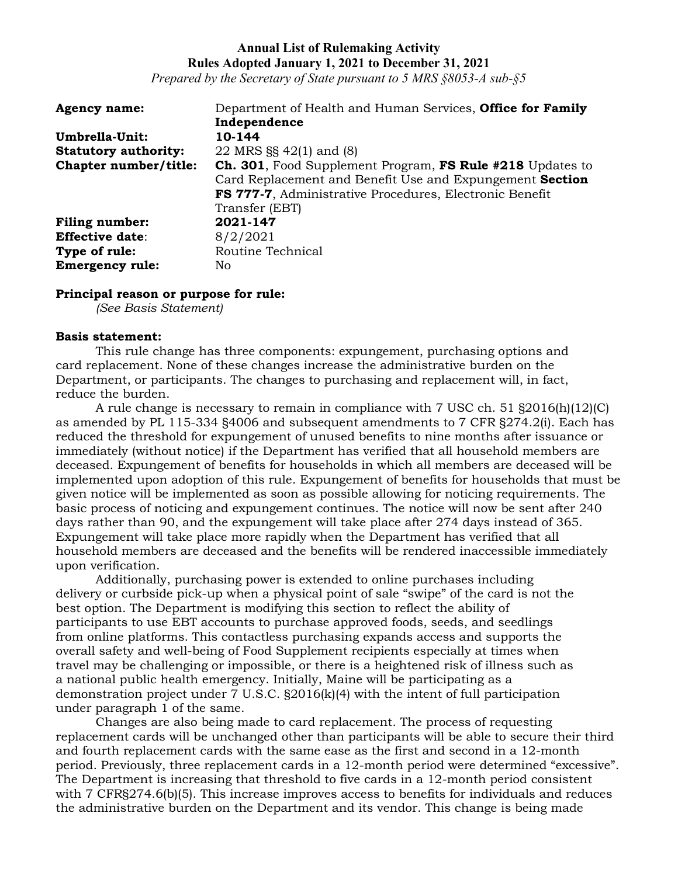*Prepared by the Secretary of State pursuant to 5 MRS §8053-A sub-§5*

| <b>Agency name:</b>         | Department of Health and Human Services, Office for Family        |
|-----------------------------|-------------------------------------------------------------------|
|                             | Independence                                                      |
| Umbrella-Unit:              | 10-144                                                            |
| <b>Statutory authority:</b> | 22 MRS §§ 42(1) and (8)                                           |
| Chapter number/title:       | <b>Ch. 301</b> , Food Supplement Program, FS Rule #218 Updates to |
|                             | Card Replacement and Benefit Use and Expungement Section          |
|                             | FS 777-7, Administrative Procedures, Electronic Benefit           |
|                             | Transfer (EBT)                                                    |
| <b>Filing number:</b>       | 2021-147                                                          |
| <b>Effective date:</b>      | 8/2/2021                                                          |
| Type of rule:               | Routine Technical                                                 |
| <b>Emergency rule:</b>      | No.                                                               |

#### **Principal reason or purpose for rule:**

*(See Basis Statement)*

#### **Basis statement:**

This rule change has three components: expungement, purchasing options and card replacement. None of these changes increase the administrative burden on the Department, or participants. The changes to purchasing and replacement will, in fact, reduce the burden.

A rule change is necessary to remain in compliance with 7 USC ch. 51 §2016(h)(12)(C) as amended by PL 115-334 §4006 and subsequent amendments to 7 CFR §274.2(i). Each has reduced the threshold for expungement of unused benefits to nine months after issuance or immediately (without notice) if the Department has verified that all household members are deceased. Expungement of benefits for households in which all members are deceased will be implemented upon adoption of this rule. Expungement of benefits for households that must be given notice will be implemented as soon as possible allowing for noticing requirements. The basic process of noticing and expungement continues. The notice will now be sent after 240 days rather than 90, and the expungement will take place after 274 days instead of 365. Expungement will take place more rapidly when the Department has verified that all household members are deceased and the benefits will be rendered inaccessible immediately upon verification.

Additionally, purchasing power is extended to online purchases including delivery or curbside pick-up when a physical point of sale "swipe" of the card is not the best option. The Department is modifying this section to reflect the ability of participants to use EBT accounts to purchase approved foods, seeds, and seedlings from online platforms. This contactless purchasing expands access and supports the overall safety and well-being of Food Supplement recipients especially at times when travel may be challenging or impossible, or there is a heightened risk of illness such as a national public health emergency. Initially, Maine will be participating as a demonstration project under 7 U.S.C. §2016(k)(4) with the intent of full participation under paragraph 1 of the same.

Changes are also being made to card replacement. The process of requesting replacement cards will be unchanged other than participants will be able to secure their third and fourth replacement cards with the same ease as the first and second in a 12-month period. Previously, three replacement cards in a 12-month period were determined "excessive". The Department is increasing that threshold to five cards in a 12-month period consistent with 7 CFR§274.6(b)(5). This increase improves access to benefits for individuals and reduces the administrative burden on the Department and its vendor. This change is being made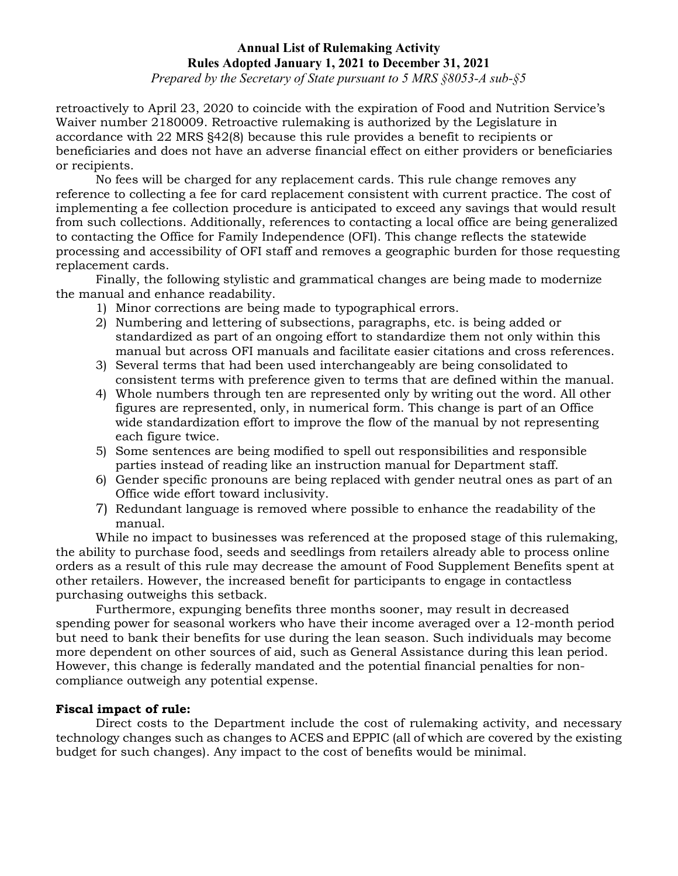*Prepared by the Secretary of State pursuant to 5 MRS §8053-A sub-§5*

retroactively to April 23, 2020 to coincide with the expiration of Food and Nutrition Service's Waiver number 2180009. Retroactive rulemaking is authorized by the Legislature in accordance with 22 MRS §42(8) because this rule provides a benefit to recipients or beneficiaries and does not have an adverse financial effect on either providers or beneficiaries or recipients.

No fees will be charged for any replacement cards. This rule change removes any reference to collecting a fee for card replacement consistent with current practice. The cost of implementing a fee collection procedure is anticipated to exceed any savings that would result from such collections. Additionally, references to contacting a local office are being generalized to contacting the Office for Family Independence (OFI). This change reflects the statewide processing and accessibility of OFI staff and removes a geographic burden for those requesting replacement cards.

Finally, the following stylistic and grammatical changes are being made to modernize the manual and enhance readability.

- 1) Minor corrections are being made to typographical errors.
- 2) Numbering and lettering of subsections, paragraphs, etc. is being added or standardized as part of an ongoing effort to standardize them not only within this manual but across OFI manuals and facilitate easier citations and cross references.
- 3) Several terms that had been used interchangeably are being consolidated to consistent terms with preference given to terms that are defined within the manual.
- 4) Whole numbers through ten are represented only by writing out the word. All other figures are represented, only, in numerical form. This change is part of an Office wide standardization effort to improve the flow of the manual by not representing each figure twice.
- 5) Some sentences are being modified to spell out responsibilities and responsible parties instead of reading like an instruction manual for Department staff.
- 6) Gender specific pronouns are being replaced with gender neutral ones as part of an Office wide effort toward inclusivity.
- 7) Redundant language is removed where possible to enhance the readability of the manual.

While no impact to businesses was referenced at the proposed stage of this rulemaking, the ability to purchase food, seeds and seedlings from retailers already able to process online orders as a result of this rule may decrease the amount of Food Supplement Benefits spent at other retailers. However, the increased benefit for participants to engage in contactless purchasing outweighs this setback.

Furthermore, expunging benefits three months sooner, may result in decreased spending power for seasonal workers who have their income averaged over a 12-month period but need to bank their benefits for use during the lean season. Such individuals may become more dependent on other sources of aid, such as General Assistance during this lean period. However, this change is federally mandated and the potential financial penalties for noncompliance outweigh any potential expense.

# **Fiscal impact of rule:**

Direct costs to the Department include the cost of rulemaking activity, and necessary technology changes such as changes to ACES and EPPIC (all of which are covered by the existing budget for such changes). Any impact to the cost of benefits would be minimal.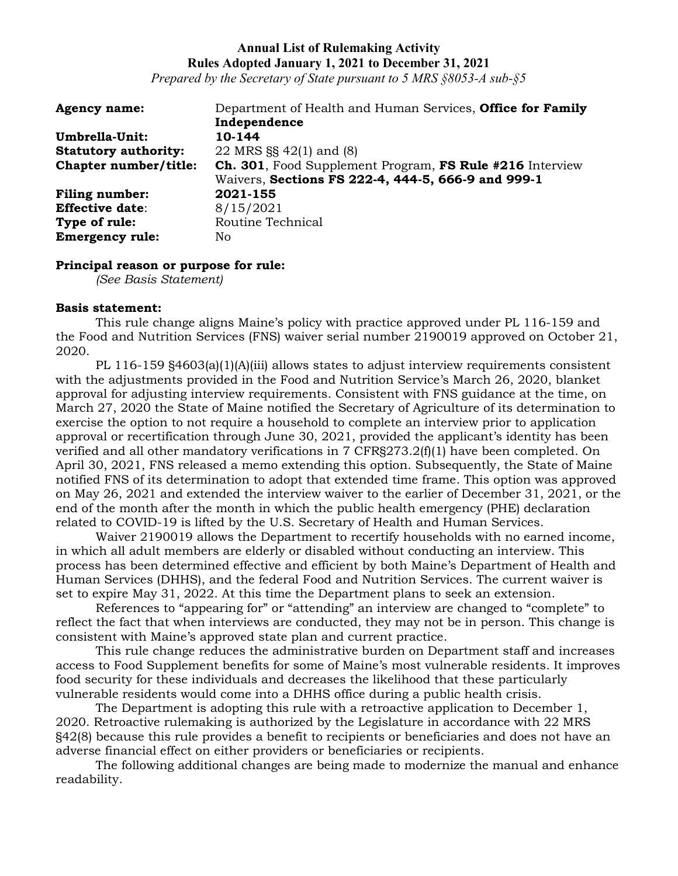*Prepared by the Secretary of State pursuant to 5 MRS §8053-A sub-§5*

| <b>Agency name:</b>         | Department of Health and Human Services, Office for Family       |
|-----------------------------|------------------------------------------------------------------|
|                             | Independence                                                     |
| Umbrella-Unit:              | 10-144                                                           |
| <b>Statutory authority:</b> | 22 MRS §§ 42(1) and (8)                                          |
| Chapter number/title:       | <b>Ch. 301</b> , Food Supplement Program, FS Rule #216 Interview |
|                             | Waivers, Sections FS 222-4, 444-5, 666-9 and 999-1               |
| <b>Filing number:</b>       | 2021-155                                                         |
| <b>Effective date:</b>      | 8/15/2021                                                        |
| Type of rule:               | Routine Technical                                                |
| <b>Emergency rule:</b>      | No.                                                              |

### **Principal reason or purpose for rule:**

*(See Basis Statement)*

### **Basis statement:**

This rule change aligns Maine's policy with practice approved under PL 116-159 and the Food and Nutrition Services (FNS) waiver serial number 2190019 approved on October 21, 2020.

PL 116-159 §4603(a)(1)(A)(iii) allows states to adjust interview requirements consistent with the adjustments provided in the Food and Nutrition Service's March 26, 2020, blanket approval for adjusting interview requirements. Consistent with FNS guidance at the time, on March 27, 2020 the State of Maine notified the Secretary of Agriculture of its determination to exercise the option to not require a household to complete an interview prior to application approval or recertification through June 30, 2021, provided the applicant's identity has been verified and all other mandatory verifications in 7 CFR§273.2(f)(1) have been completed. On April 30, 2021, FNS released a memo extending this option. Subsequently, the State of Maine notified FNS of its determination to adopt that extended time frame. This option was approved on May 26, 2021 and extended the interview waiver to the earlier of December 31, 2021, or the end of the month after the month in which the public health emergency (PHE) declaration related to COVID-19 is lifted by the U.S. Secretary of Health and Human Services.

Waiver 2190019 allows the Department to recertify households with no earned income, in which all adult members are elderly or disabled without conducting an interview. This process has been determined effective and efficient by both Maine's Department of Health and Human Services (DHHS), and the federal Food and Nutrition Services. The current waiver is set to expire May 31, 2022. At this time the Department plans to seek an extension.

References to "appearing for" or "attending" an interview are changed to "complete" to reflect the fact that when interviews are conducted, they may not be in person. This change is consistent with Maine's approved state plan and current practice.

This rule change reduces the administrative burden on Department staff and increases access to Food Supplement benefits for some of Maine's most vulnerable residents. It improves food security for these individuals and decreases the likelihood that these particularly vulnerable residents would come into a DHHS office during a public health crisis.

The Department is adopting this rule with a retroactive application to December 1, 2020. Retroactive rulemaking is authorized by the Legislature in accordance with 22 MRS §42(8) because this rule provides a benefit to recipients or beneficiaries and does not have an adverse financial effect on either providers or beneficiaries or recipients.

The following additional changes are being made to modernize the manual and enhance readability.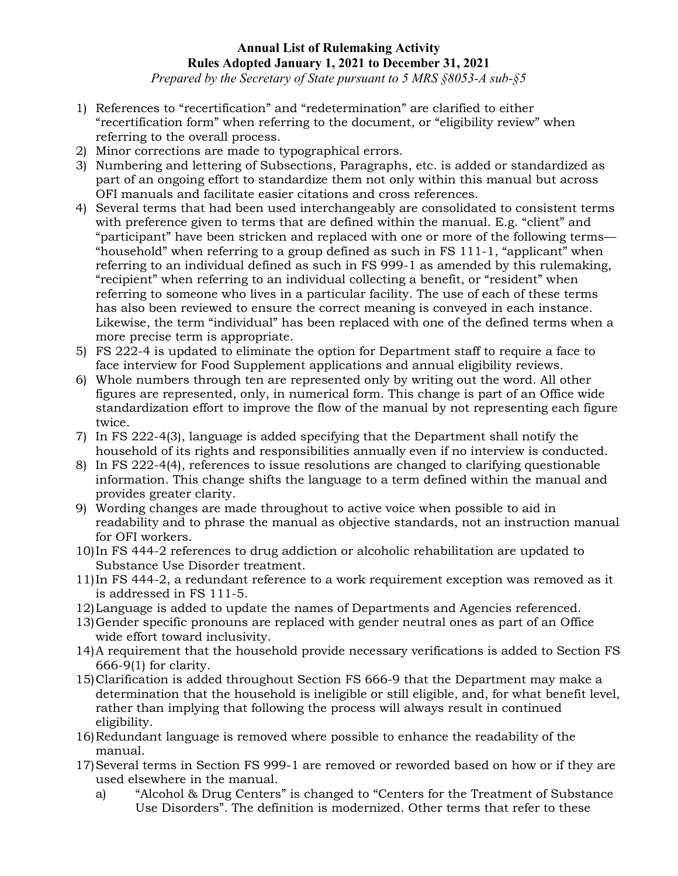*Prepared by the Secretary of State pursuant to 5 MRS §8053-A sub-§5*

- 1) References to "recertification" and "redetermination" are clarified to either "recertification form" when referring to the document, or "eligibility review" when referring to the overall process.
- 2) Minor corrections are made to typographical errors.
- 3) Numbering and lettering of Subsections, Paragraphs, etc. is added or standardized as part of an ongoing effort to standardize them not only within this manual but across OFI manuals and facilitate easier citations and cross references.
- 4) Several terms that had been used interchangeably are consolidated to consistent terms with preference given to terms that are defined within the manual. E.g. "client" and "participant" have been stricken and replaced with one or more of the following terms— "household" when referring to a group defined as such in FS 111-1, "applicant" when referring to an individual defined as such in FS 999-1 as amended by this rulemaking, "recipient" when referring to an individual collecting a benefit, or "resident" when referring to someone who lives in a particular facility. The use of each of these terms has also been reviewed to ensure the correct meaning is conveyed in each instance. Likewise, the term "individual" has been replaced with one of the defined terms when a more precise term is appropriate.
- 5) FS 222-4 is updated to eliminate the option for Department staff to require a face to face interview for Food Supplement applications and annual eligibility reviews.
- 6) Whole numbers through ten are represented only by writing out the word. All other figures are represented, only, in numerical form. This change is part of an Office wide standardization effort to improve the flow of the manual by not representing each figure twice.
- 7) In FS 222-4(3), language is added specifying that the Department shall notify the household of its rights and responsibilities annually even if no interview is conducted.
- 8) In FS 222-4(4), references to issue resolutions are changed to clarifying questionable information. This change shifts the language to a term defined within the manual and provides greater clarity.
- 9) Wording changes are made throughout to active voice when possible to aid in readability and to phrase the manual as objective standards, not an instruction manual for OFI workers.
- 10)In FS 444-2 references to drug addiction or alcoholic rehabilitation are updated to Substance Use Disorder treatment.
- 11)In FS 444-2, a redundant reference to a work requirement exception was removed as it is addressed in FS 111-5.
- 12)Language is added to update the names of Departments and Agencies referenced.
- 13)Gender specific pronouns are replaced with gender neutral ones as part of an Office wide effort toward inclusivity.
- 14)A requirement that the household provide necessary verifications is added to Section FS 666-9(1) for clarity.
- 15)Clarification is added throughout Section FS 666-9 that the Department may make a determination that the household is ineligible or still eligible, and, for what benefit level, rather than implying that following the process will always result in continued eligibility.
- 16)Redundant language is removed where possible to enhance the readability of the manual.
- 17)Several terms in Section FS 999-1 are removed or reworded based on how or if they are used elsewhere in the manual.
	- a) "Alcohol & Drug Centers" is changed to "Centers for the Treatment of Substance Use Disorders". The definition is modernized. Other terms that refer to these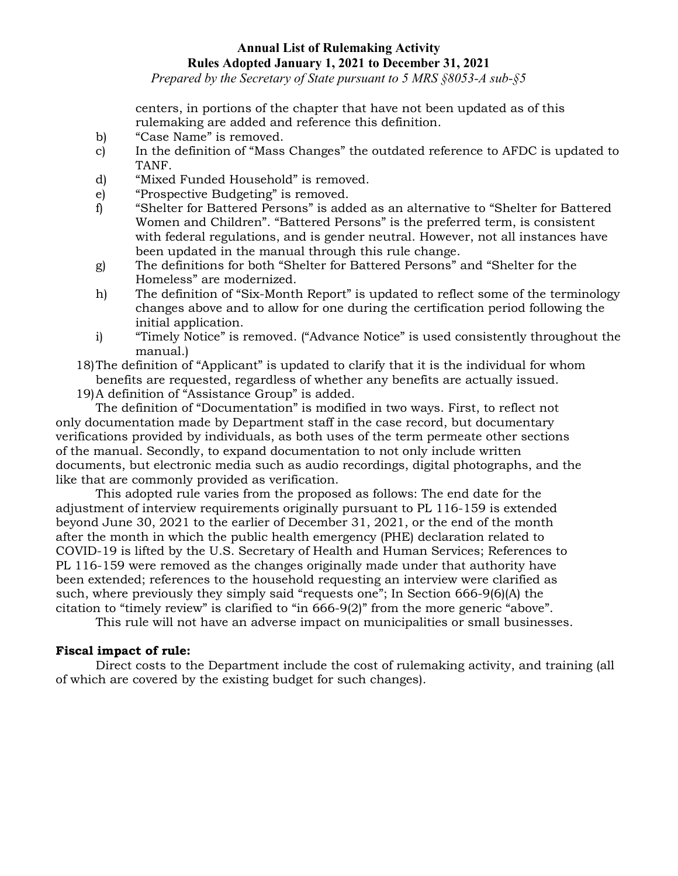*Prepared by the Secretary of State pursuant to 5 MRS §8053-A sub-§5*

centers, in portions of the chapter that have not been updated as of this rulemaking are added and reference this definition.

- b) "Case Name" is removed.
- c) In the definition of "Mass Changes" the outdated reference to AFDC is updated to TANF.
- d) "Mixed Funded Household" is removed.
- e) "Prospective Budgeting" is removed.
- f) "Shelter for Battered Persons" is added as an alternative to "Shelter for Battered Women and Children". "Battered Persons" is the preferred term, is consistent with federal regulations, and is gender neutral. However, not all instances have been updated in the manual through this rule change.
- g) The definitions for both "Shelter for Battered Persons" and "Shelter for the Homeless" are modernized.
- h) The definition of "Six-Month Report" is updated to reflect some of the terminology changes above and to allow for one during the certification period following the initial application.
- i) "Timely Notice" is removed. ("Advance Notice" is used consistently throughout the manual.)

18)The definition of "Applicant" is updated to clarify that it is the individual for whom benefits are requested, regardless of whether any benefits are actually issued.

19)A definition of "Assistance Group" is added.

The definition of "Documentation" is modified in two ways. First, to reflect not only documentation made by Department staff in the case record, but documentary verifications provided by individuals, as both uses of the term permeate other sections of the manual. Secondly, to expand documentation to not only include written documents, but electronic media such as audio recordings, digital photographs, and the like that are commonly provided as verification.

This adopted rule varies from the proposed as follows: The end date for the adjustment of interview requirements originally pursuant to PL 116-159 is extended beyond June 30, 2021 to the earlier of December 31, 2021, or the end of the month after the month in which the public health emergency (PHE) declaration related to COVID-19 is lifted by the U.S. Secretary of Health and Human Services; References to PL 116-159 were removed as the changes originally made under that authority have been extended; references to the household requesting an interview were clarified as such, where previously they simply said "requests one"; In Section 666-9(6)(A) the citation to "timely review" is clarified to "in 666-9(2)" from the more generic "above".

This rule will not have an adverse impact on municipalities or small businesses.

# **Fiscal impact of rule:**

Direct costs to the Department include the cost of rulemaking activity, and training (all of which are covered by the existing budget for such changes).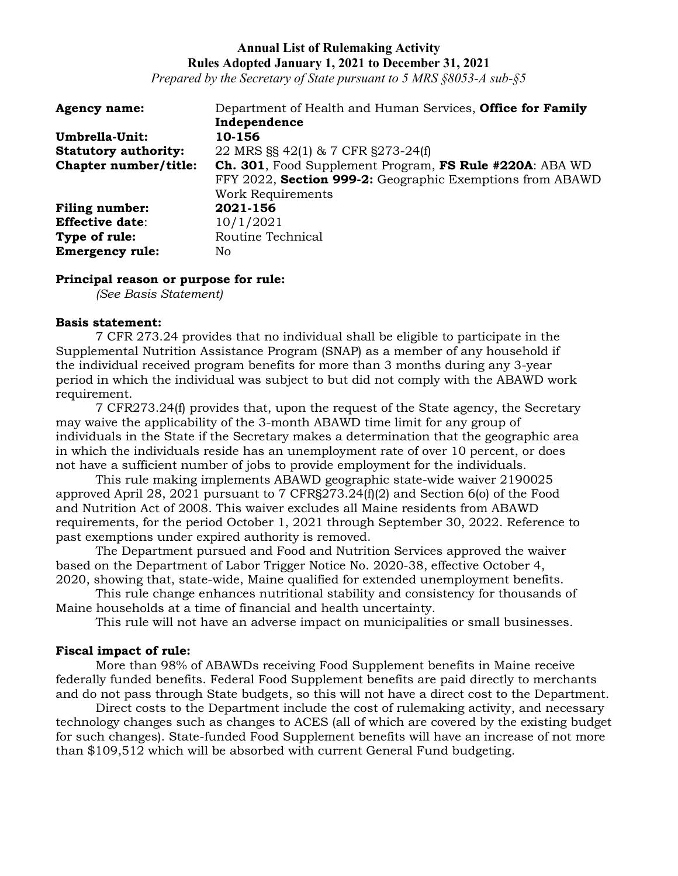*Prepared by the Secretary of State pursuant to 5 MRS §8053-A sub-§5*

| <b>Agency name:</b>         | Department of Health and Human Services, Office for Family      |
|-----------------------------|-----------------------------------------------------------------|
|                             | Independence                                                    |
| Umbrella-Unit:              | 10-156                                                          |
| <b>Statutory authority:</b> | 22 MRS §§ 42(1) & 7 CFR §273-24(f)                              |
| Chapter number/title:       | <b>Ch. 301</b> , Food Supplement Program, FS Rule #220A: ABA WD |
|                             | FFY 2022, Section 999-2: Geographic Exemptions from ABAWD       |
|                             | Work Requirements                                               |
| <b>Filing number:</b>       | 2021-156                                                        |
| <b>Effective date:</b>      | 10/1/2021                                                       |
| Type of rule:               | Routine Technical                                               |
| <b>Emergency rule:</b>      | No.                                                             |

#### **Principal reason or purpose for rule:**

*(See Basis Statement)*

#### **Basis statement:**

7 CFR 273.24 provides that no individual shall be eligible to participate in the Supplemental Nutrition Assistance Program (SNAP) as a member of any household if the individual received program benefits for more than 3 months during any 3-year period in which the individual was subject to but did not comply with the ABAWD work requirement.

7 CFR273.24(f) provides that, upon the request of the State agency, the Secretary may waive the applicability of the 3-month ABAWD time limit for any group of individuals in the State if the Secretary makes a determination that the geographic area in which the individuals reside has an unemployment rate of over 10 percent, or does not have a sufficient number of jobs to provide employment for the individuals.

This rule making implements ABAWD geographic state-wide waiver 2190025 approved April 28, 2021 pursuant to 7 CFR§273.24(f)(2) and Section 6(o) of the Food and Nutrition Act of 2008. This waiver excludes all Maine residents from ABAWD requirements, for the period October 1, 2021 through September 30, 2022. Reference to past exemptions under expired authority is removed.

The Department pursued and Food and Nutrition Services approved the waiver based on the Department of Labor Trigger Notice No. 2020-38, effective October 4, 2020, showing that, state-wide, Maine qualified for extended unemployment benefits.

This rule change enhances nutritional stability and consistency for thousands of Maine households at a time of financial and health uncertainty.

This rule will not have an adverse impact on municipalities or small businesses.

#### **Fiscal impact of rule:**

More than 98% of ABAWDs receiving Food Supplement benefits in Maine receive federally funded benefits. Federal Food Supplement benefits are paid directly to merchants and do not pass through State budgets, so this will not have a direct cost to the Department.

Direct costs to the Department include the cost of rulemaking activity, and necessary technology changes such as changes to ACES (all of which are covered by the existing budget for such changes). State-funded Food Supplement benefits will have an increase of not more than \$109,512 which will be absorbed with current General Fund budgeting.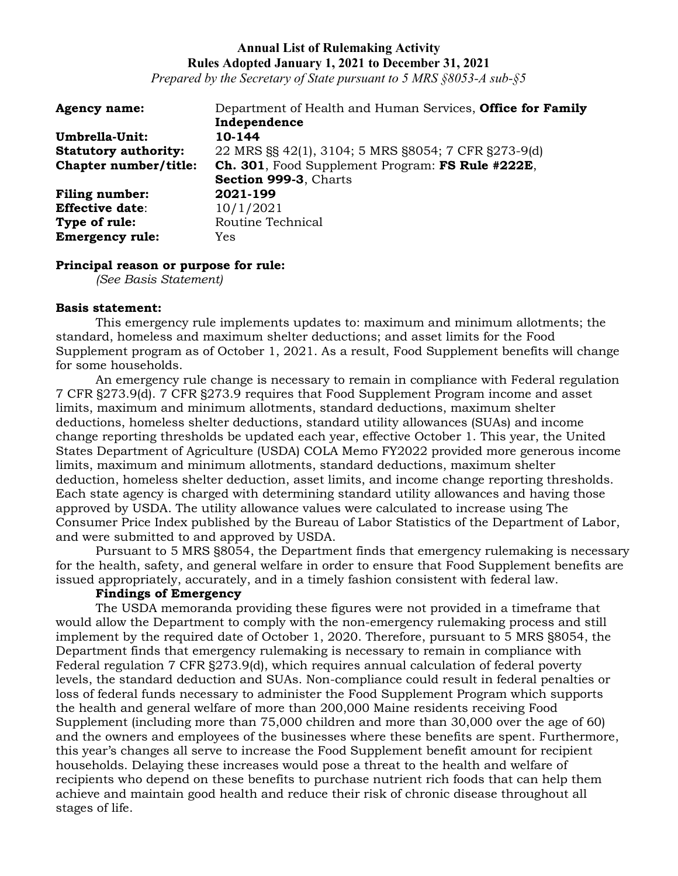*Prepared by the Secretary of State pursuant to 5 MRS §8053-A sub-§5*

| <b>Agency name:</b>         | Department of Health and Human Services, Office for Family |
|-----------------------------|------------------------------------------------------------|
|                             | Independence                                               |
| Umbrella-Unit:              | 10-144                                                     |
| <b>Statutory authority:</b> | 22 MRS §§ 42(1), 3104; 5 MRS §8054; 7 CFR §273-9(d)        |
| Chapter number/title:       | Ch. 301, Food Supplement Program: FS Rule #222E,           |
|                             | Section 999-3, Charts                                      |
| <b>Filing number:</b>       | 2021-199                                                   |
| <b>Effective date:</b>      | 10/1/2021                                                  |
| Type of rule:               | Routine Technical                                          |
| <b>Emergency rule:</b>      | Yes                                                        |

#### **Principal reason or purpose for rule:**

*(See Basis Statement)*

#### **Basis statement:**

This emergency rule implements updates to: maximum and minimum allotments; the standard, homeless and maximum shelter deductions; and asset limits for the Food Supplement program as of October 1, 2021. As a result, Food Supplement benefits will change for some households.

An emergency rule change is necessary to remain in compliance with Federal regulation 7 CFR §273.9(d). 7 CFR §273.9 requires that Food Supplement Program income and asset limits, maximum and minimum allotments, standard deductions, maximum shelter deductions, homeless shelter deductions, standard utility allowances (SUAs) and income change reporting thresholds be updated each year, effective October 1. This year, the United States Department of Agriculture (USDA) COLA Memo FY2022 provided more generous income limits, maximum and minimum allotments, standard deductions, maximum shelter deduction, homeless shelter deduction, asset limits, and income change reporting thresholds. Each state agency is charged with determining standard utility allowances and having those approved by USDA. The utility allowance values were calculated to increase using The Consumer Price Index published by the Bureau of Labor Statistics of the Department of Labor, and were submitted to and approved by USDA.

Pursuant to 5 MRS §8054, the Department finds that emergency rulemaking is necessary for the health, safety, and general welfare in order to ensure that Food Supplement benefits are issued appropriately, accurately, and in a timely fashion consistent with federal law.

# **Findings of Emergency**

The USDA memoranda providing these figures were not provided in a timeframe that would allow the Department to comply with the non-emergency rulemaking process and still implement by the required date of October 1, 2020. Therefore, pursuant to 5 MRS §8054, the Department finds that emergency rulemaking is necessary to remain in compliance with Federal regulation 7 CFR §273.9(d), which requires annual calculation of federal poverty levels, the standard deduction and SUAs. Non-compliance could result in federal penalties or loss of federal funds necessary to administer the Food Supplement Program which supports the health and general welfare of more than 200,000 Maine residents receiving Food Supplement (including more than 75,000 children and more than 30,000 over the age of 60) and the owners and employees of the businesses where these benefits are spent. Furthermore, this year's changes all serve to increase the Food Supplement benefit amount for recipient households. Delaying these increases would pose a threat to the health and welfare of recipients who depend on these benefits to purchase nutrient rich foods that can help them achieve and maintain good health and reduce their risk of chronic disease throughout all stages of life.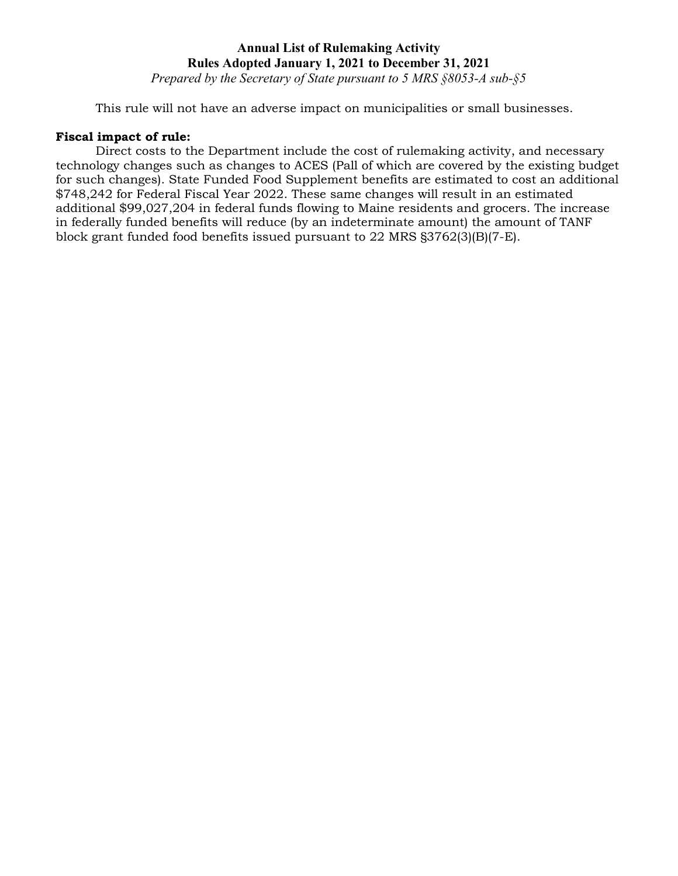*Prepared by the Secretary of State pursuant to 5 MRS §8053-A sub-§5*

This rule will not have an adverse impact on municipalities or small businesses.

### **Fiscal impact of rule:**

Direct costs to the Department include the cost of rulemaking activity, and necessary technology changes such as changes to ACES (Pall of which are covered by the existing budget for such changes). State Funded Food Supplement benefits are estimated to cost an additional \$748,242 for Federal Fiscal Year 2022. These same changes will result in an estimated additional \$99,027,204 in federal funds flowing to Maine residents and grocers. The increase in federally funded benefits will reduce (by an indeterminate amount) the amount of TANF block grant funded food benefits issued pursuant to 22 MRS §3762(3)(B)(7-E).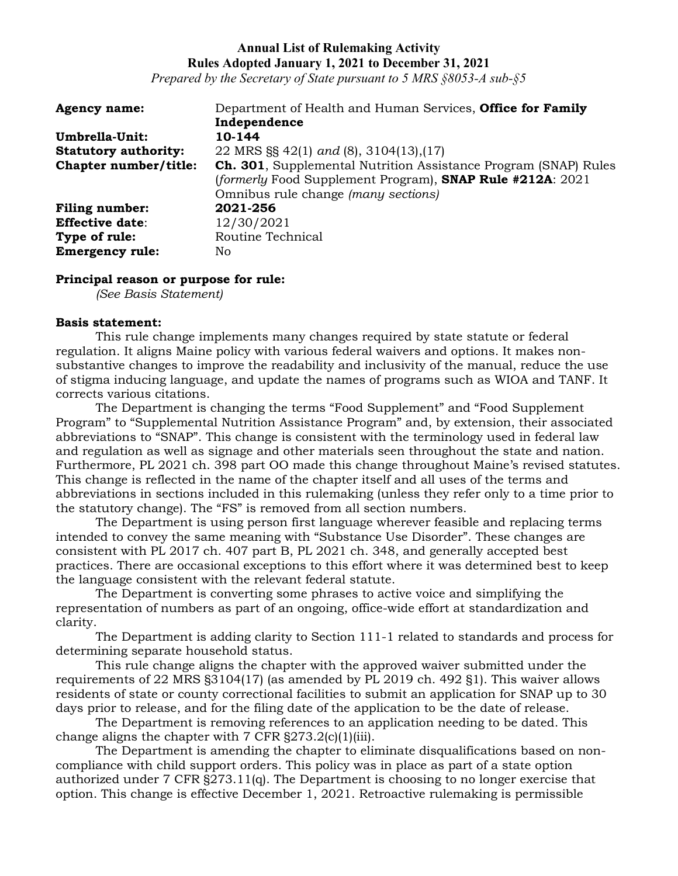*Prepared by the Secretary of State pursuant to 5 MRS §8053-A sub-§5*

| <b>Agency name:</b>         | Department of Health and Human Services, Office for Family              |
|-----------------------------|-------------------------------------------------------------------------|
|                             | Independence                                                            |
| Umbrella-Unit:              | 10-144                                                                  |
| <b>Statutory authority:</b> | 22 MRS $\S$ 42(1) and (8), 3104(13), (17)                               |
| Chapter number/title:       | <b>Ch. 301</b> , Supplemental Nutrition Assistance Program (SNAP) Rules |
|                             | (formerly Food Supplement Program), SNAP Rule #212A: 2021               |
|                             | Omnibus rule change (many sections)                                     |
| <b>Filing number:</b>       | 2021-256                                                                |
| <b>Effective date:</b>      | 12/30/2021                                                              |
| Type of rule:               | Routine Technical                                                       |
| <b>Emergency rule:</b>      | No                                                                      |

#### **Principal reason or purpose for rule:**

*(See Basis Statement)*

#### **Basis statement:**

This rule change implements many changes required by state statute or federal regulation. It aligns Maine policy with various federal waivers and options. It makes nonsubstantive changes to improve the readability and inclusivity of the manual, reduce the use of stigma inducing language, and update the names of programs such as WIOA and TANF. It corrects various citations.

The Department is changing the terms "Food Supplement" and "Food Supplement Program" to "Supplemental Nutrition Assistance Program" and, by extension, their associated abbreviations to "SNAP". This change is consistent with the terminology used in federal law and regulation as well as signage and other materials seen throughout the state and nation. Furthermore, PL 2021 ch. 398 part OO made this change throughout Maine's revised statutes. This change is reflected in the name of the chapter itself and all uses of the terms and abbreviations in sections included in this rulemaking (unless they refer only to a time prior to the statutory change). The "FS" is removed from all section numbers.

The Department is using person first language wherever feasible and replacing terms intended to convey the same meaning with "Substance Use Disorder". These changes are consistent with PL 2017 ch. 407 part B, PL 2021 ch. 348, and generally accepted best practices. There are occasional exceptions to this effort where it was determined best to keep the language consistent with the relevant federal statute.

The Department is converting some phrases to active voice and simplifying the representation of numbers as part of an ongoing, office-wide effort at standardization and clarity.

The Department is adding clarity to Section 111-1 related to standards and process for determining separate household status.

This rule change aligns the chapter with the approved waiver submitted under the requirements of 22 MRS §3104(17) (as amended by PL 2019 ch. 492 §1). This waiver allows residents of state or county correctional facilities to submit an application for SNAP up to 30 days prior to release, and for the filing date of the application to be the date of release.

The Department is removing references to an application needing to be dated. This change aligns the chapter with  $7 \text{ CFR } $273.2(c)(1)(iii)$ .

The Department is amending the chapter to eliminate disqualifications based on noncompliance with child support orders. This policy was in place as part of a state option authorized under 7 CFR §273.11(q). The Department is choosing to no longer exercise that option. This change is effective December 1, 2021. Retroactive rulemaking is permissible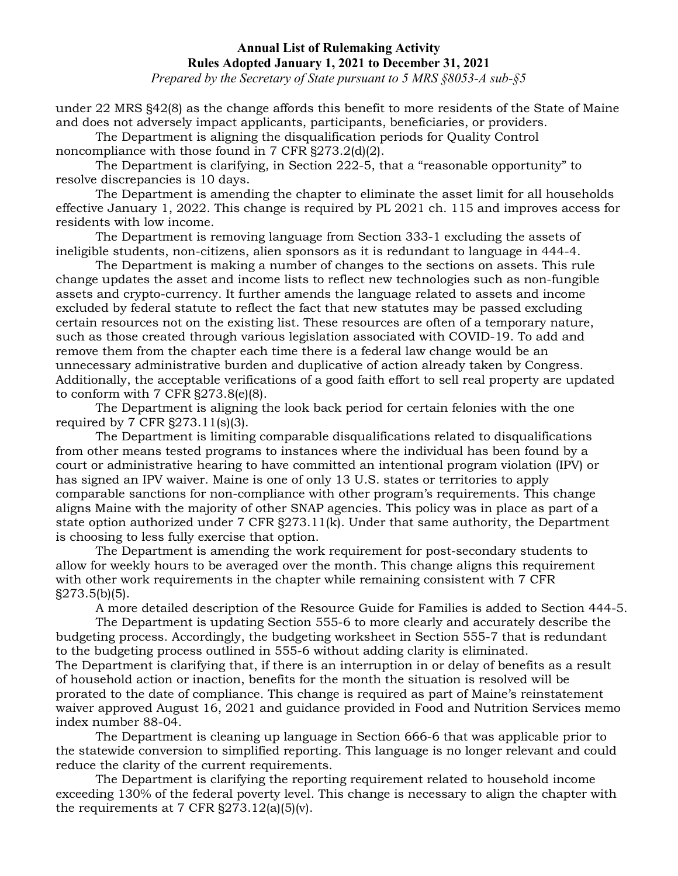*Prepared by the Secretary of State pursuant to 5 MRS §8053-A sub-§5*

under 22 MRS §42(8) as the change affords this benefit to more residents of the State of Maine and does not adversely impact applicants, participants, beneficiaries, or providers.

The Department is aligning the disqualification periods for Quality Control noncompliance with those found in 7 CFR §273.2(d)(2).

The Department is clarifying, in Section 222-5, that a "reasonable opportunity" to resolve discrepancies is 10 days.

The Department is amending the chapter to eliminate the asset limit for all households effective January 1, 2022. This change is required by PL 2021 ch. 115 and improves access for residents with low income.

The Department is removing language from Section 333-1 excluding the assets of ineligible students, non-citizens, alien sponsors as it is redundant to language in 444-4.

The Department is making a number of changes to the sections on assets. This rule change updates the asset and income lists to reflect new technologies such as non-fungible assets and crypto-currency. It further amends the language related to assets and income excluded by federal statute to reflect the fact that new statutes may be passed excluding certain resources not on the existing list. These resources are often of a temporary nature, such as those created through various legislation associated with COVID-19. To add and remove them from the chapter each time there is a federal law change would be an unnecessary administrative burden and duplicative of action already taken by Congress. Additionally, the acceptable verifications of a good faith effort to sell real property are updated to conform with 7 CFR §273.8(e)(8).

The Department is aligning the look back period for certain felonies with the one required by 7 CFR §273.11(s)(3).

The Department is limiting comparable disqualifications related to disqualifications from other means tested programs to instances where the individual has been found by a court or administrative hearing to have committed an intentional program violation (IPV) or has signed an IPV waiver. Maine is one of only 13 U.S. states or territories to apply comparable sanctions for non-compliance with other program's requirements. This change aligns Maine with the majority of other SNAP agencies. This policy was in place as part of a state option authorized under 7 CFR §273.11(k). Under that same authority, the Department is choosing to less fully exercise that option.

The Department is amending the work requirement for post-secondary students to allow for weekly hours to be averaged over the month. This change aligns this requirement with other work requirements in the chapter while remaining consistent with 7 CFR §273.5(b)(5).

A more detailed description of the Resource Guide for Families is added to Section 444-5.

The Department is updating Section 555-6 to more clearly and accurately describe the budgeting process. Accordingly, the budgeting worksheet in Section 555-7 that is redundant to the budgeting process outlined in 555-6 without adding clarity is eliminated. The Department is clarifying that, if there is an interruption in or delay of benefits as a result of household action or inaction, benefits for the month the situation is resolved will be prorated to the date of compliance. This change is required as part of Maine's reinstatement waiver approved August 16, 2021 and guidance provided in Food and Nutrition Services memo index number 88-04.

The Department is cleaning up language in Section 666-6 that was applicable prior to the statewide conversion to simplified reporting. This language is no longer relevant and could reduce the clarity of the current requirements.

The Department is clarifying the reporting requirement related to household income exceeding 130% of the federal poverty level. This change is necessary to align the chapter with the requirements at 7 CFR  $\S 273.12(a)(5)(v)$ .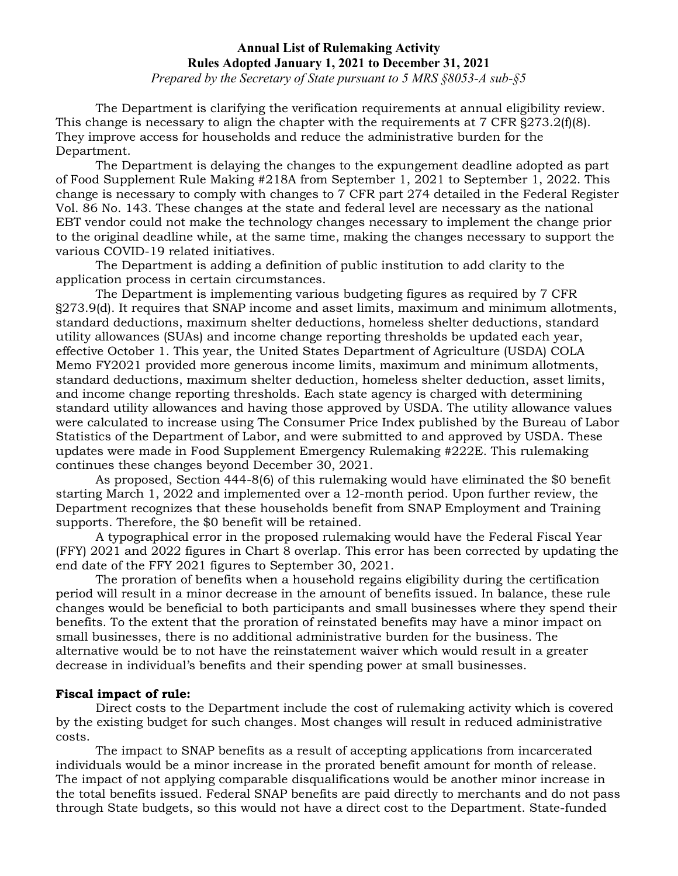*Prepared by the Secretary of State pursuant to 5 MRS §8053-A sub-§5*

The Department is clarifying the verification requirements at annual eligibility review. This change is necessary to align the chapter with the requirements at 7 CFR §273.2(f)(8). They improve access for households and reduce the administrative burden for the Department.

The Department is delaying the changes to the expungement deadline adopted as part of Food Supplement Rule Making #218A from September 1, 2021 to September 1, 2022. This change is necessary to comply with changes to 7 CFR part 274 detailed in the Federal Register Vol. 86 No. 143. These changes at the state and federal level are necessary as the national EBT vendor could not make the technology changes necessary to implement the change prior to the original deadline while, at the same time, making the changes necessary to support the various COVID-19 related initiatives.

The Department is adding a definition of public institution to add clarity to the application process in certain circumstances.

The Department is implementing various budgeting figures as required by 7 CFR §273.9(d). It requires that SNAP income and asset limits, maximum and minimum allotments, standard deductions, maximum shelter deductions, homeless shelter deductions, standard utility allowances (SUAs) and income change reporting thresholds be updated each year, effective October 1. This year, the United States Department of Agriculture (USDA) COLA Memo FY2021 provided more generous income limits, maximum and minimum allotments, standard deductions, maximum shelter deduction, homeless shelter deduction, asset limits, and income change reporting thresholds. Each state agency is charged with determining standard utility allowances and having those approved by USDA. The utility allowance values were calculated to increase using The Consumer Price Index published by the Bureau of Labor Statistics of the Department of Labor, and were submitted to and approved by USDA. These updates were made in Food Supplement Emergency Rulemaking #222E. This rulemaking continues these changes beyond December 30, 2021.

As proposed, Section 444-8(6) of this rulemaking would have eliminated the \$0 benefit starting March 1, 2022 and implemented over a 12-month period. Upon further review, the Department recognizes that these households benefit from SNAP Employment and Training supports. Therefore, the \$0 benefit will be retained.

A typographical error in the proposed rulemaking would have the Federal Fiscal Year (FFY) 2021 and 2022 figures in Chart 8 overlap. This error has been corrected by updating the end date of the FFY 2021 figures to September 30, 2021.

The proration of benefits when a household regains eligibility during the certification period will result in a minor decrease in the amount of benefits issued. In balance, these rule changes would be beneficial to both participants and small businesses where they spend their benefits. To the extent that the proration of reinstated benefits may have a minor impact on small businesses, there is no additional administrative burden for the business. The alternative would be to not have the reinstatement waiver which would result in a greater decrease in individual's benefits and their spending power at small businesses.

#### **Fiscal impact of rule:**

Direct costs to the Department include the cost of rulemaking activity which is covered by the existing budget for such changes. Most changes will result in reduced administrative costs.

The impact to SNAP benefits as a result of accepting applications from incarcerated individuals would be a minor increase in the prorated benefit amount for month of release. The impact of not applying comparable disqualifications would be another minor increase in the total benefits issued. Federal SNAP benefits are paid directly to merchants and do not pass through State budgets, so this would not have a direct cost to the Department. State-funded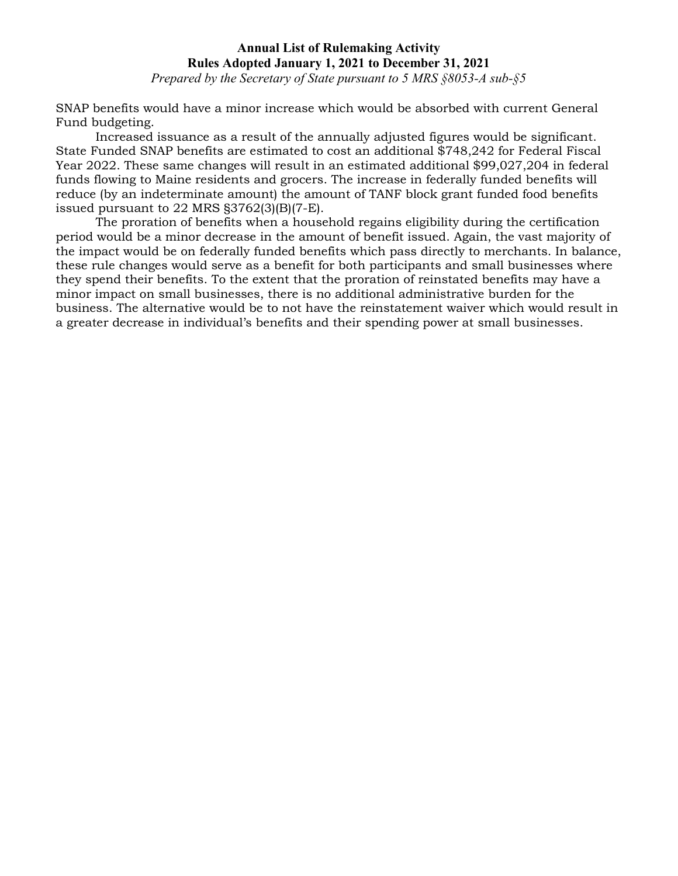*Prepared by the Secretary of State pursuant to 5 MRS §8053-A sub-§5*

SNAP benefits would have a minor increase which would be absorbed with current General Fund budgeting.

Increased issuance as a result of the annually adjusted figures would be significant. State Funded SNAP benefits are estimated to cost an additional \$748,242 for Federal Fiscal Year 2022. These same changes will result in an estimated additional \$99,027,204 in federal funds flowing to Maine residents and grocers. The increase in federally funded benefits will reduce (by an indeterminate amount) the amount of TANF block grant funded food benefits issued pursuant to 22 MRS §3762(3)(B)(7-E).

The proration of benefits when a household regains eligibility during the certification period would be a minor decrease in the amount of benefit issued. Again, the vast majority of the impact would be on federally funded benefits which pass directly to merchants. In balance, these rule changes would serve as a benefit for both participants and small businesses where they spend their benefits. To the extent that the proration of reinstated benefits may have a minor impact on small businesses, there is no additional administrative burden for the business. The alternative would be to not have the reinstatement waiver which would result in a greater decrease in individual's benefits and their spending power at small businesses.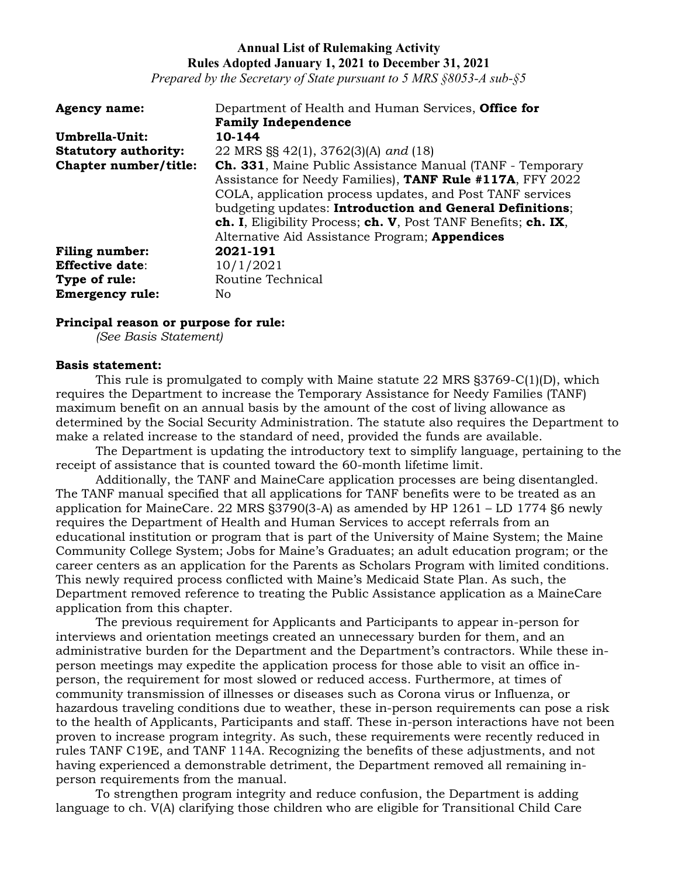*Prepared by the Secretary of State pursuant to 5 MRS §8053-A sub-§5*

| <b>Agency name:</b>         | Department of Health and Human Services, Office for               |
|-----------------------------|-------------------------------------------------------------------|
|                             | <b>Family Independence</b>                                        |
| Umbrella-Unit:              | 10-144                                                            |
| <b>Statutory authority:</b> | 22 MRS §§ 42(1), 3762(3)(A) and (18)                              |
| Chapter number/title:       | <b>Ch. 331</b> , Maine Public Assistance Manual (TANF - Temporary |
|                             | Assistance for Needy Families), TANF Rule #117A, FFY 2022         |
|                             | COLA, application process updates, and Post TANF services         |
|                             | budgeting updates: Introduction and General Definitions;          |
|                             | ch. I, Eligibility Process; ch. V, Post TANF Benefits; ch. IX,    |
|                             | Alternative Aid Assistance Program; <b>Appendices</b>             |
| <b>Filing number:</b>       | 2021-191                                                          |
| <b>Effective date:</b>      | 10/1/2021                                                         |
| Type of rule:               | Routine Technical                                                 |
| <b>Emergency rule:</b>      | No.                                                               |

#### **Principal reason or purpose for rule:**

*(See Basis Statement)*

#### **Basis statement:**

This rule is promulgated to comply with Maine statute 22 MRS §3769-C(1)(D), which requires the Department to increase the Temporary Assistance for Needy Families (TANF) maximum benefit on an annual basis by the amount of the cost of living allowance as determined by the Social Security Administration. The statute also requires the Department to make a related increase to the standard of need, provided the funds are available.

The Department is updating the introductory text to simplify language, pertaining to the receipt of assistance that is counted toward the 60-month lifetime limit.

Additionally, the TANF and MaineCare application processes are being disentangled. The TANF manual specified that all applications for TANF benefits were to be treated as an application for MaineCare. 22 MRS §3790(3-A) as amended by HP 1261 – LD 1774 §6 newly requires the Department of Health and Human Services to accept referrals from an educational institution or program that is part of the University of Maine System; the Maine Community College System; Jobs for Maine's Graduates; an adult education program; or the career centers as an application for the Parents as Scholars Program with limited conditions. This newly required process conflicted with Maine's Medicaid State Plan. As such, the Department removed reference to treating the Public Assistance application as a MaineCare application from this chapter.

The previous requirement for Applicants and Participants to appear in-person for interviews and orientation meetings created an unnecessary burden for them, and an administrative burden for the Department and the Department's contractors. While these inperson meetings may expedite the application process for those able to visit an office inperson, the requirement for most slowed or reduced access. Furthermore, at times of community transmission of illnesses or diseases such as Corona virus or Influenza, or hazardous traveling conditions due to weather, these in-person requirements can pose a risk to the health of Applicants, Participants and staff. These in-person interactions have not been proven to increase program integrity. As such, these requirements were recently reduced in rules TANF C19E, and TANF 114A. Recognizing the benefits of these adjustments, and not having experienced a demonstrable detriment, the Department removed all remaining inperson requirements from the manual.

To strengthen program integrity and reduce confusion, the Department is adding language to ch. V(A) clarifying those children who are eligible for Transitional Child Care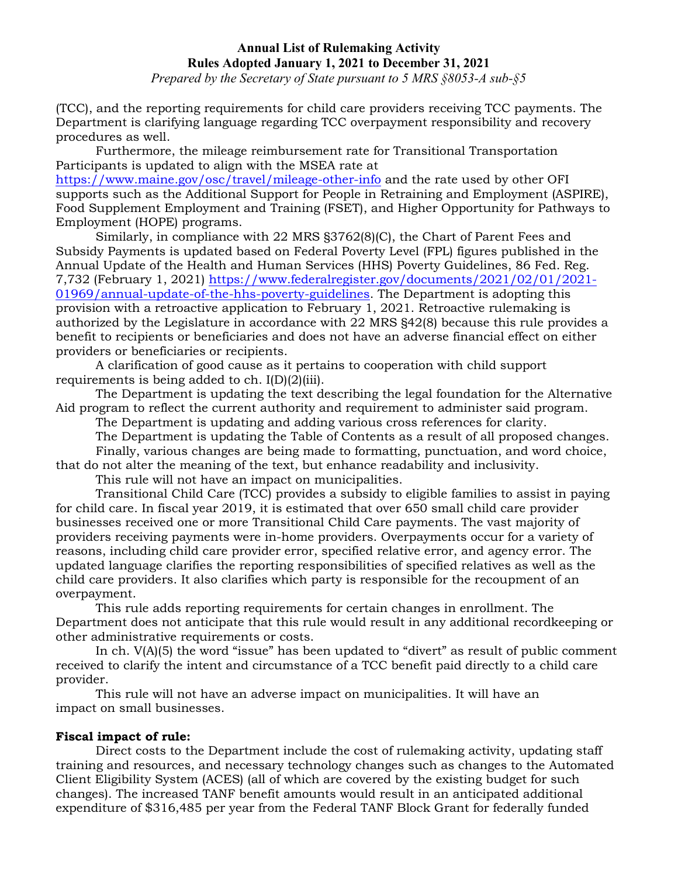*Prepared by the Secretary of State pursuant to 5 MRS §8053-A sub-§5*

(TCC), and the reporting requirements for child care providers receiving TCC payments. The Department is clarifying language regarding TCC overpayment responsibility and recovery procedures as well.

Furthermore, the mileage reimbursement rate for Transitional Transportation Participants is updated to align with the MSEA rate at

<https://www.maine.gov/osc/travel/mileage-other-info> and the rate used by other OFI supports such as the Additional Support for People in Retraining and Employment (ASPIRE), Food Supplement Employment and Training (FSET), and Higher Opportunity for Pathways to Employment (HOPE) programs.

Similarly, in compliance with 22 MRS §3762(8)(C), the Chart of Parent Fees and Subsidy Payments is updated based on Federal Poverty Level (FPL) figures published in the Annual Update of the Health and Human Services (HHS) Poverty Guidelines, 86 Fed. Reg. 7,732 (February 1, 2021) [https://www.federalregister.gov/documents/2021/02/01/2021-](https://www.federalregister.gov/documents/2021/02/01/2021-01969/annual-update-of-the-hhs-poverty-guidelines) [01969/annual-update-of-the-hhs-poverty-guidelines.](https://www.federalregister.gov/documents/2021/02/01/2021-01969/annual-update-of-the-hhs-poverty-guidelines) The Department is adopting this provision with a retroactive application to February 1, 2021. Retroactive rulemaking is authorized by the Legislature in accordance with 22 MRS §42(8) because this rule provides a benefit to recipients or beneficiaries and does not have an adverse financial effect on either providers or beneficiaries or recipients.

A clarification of good cause as it pertains to cooperation with child support requirements is being added to ch. I(D)(2)(iii).

The Department is updating the text describing the legal foundation for the Alternative Aid program to reflect the current authority and requirement to administer said program.

The Department is updating and adding various cross references for clarity.

The Department is updating the Table of Contents as a result of all proposed changes. Finally, various changes are being made to formatting, punctuation, and word choice, that do not alter the meaning of the text, but enhance readability and inclusivity.

This rule will not have an impact on municipalities.

Transitional Child Care (TCC) provides a subsidy to eligible families to assist in paying for child care. In fiscal year 2019, it is estimated that over 650 small child care provider businesses received one or more Transitional Child Care payments. The vast majority of providers receiving payments were in-home providers. Overpayments occur for a variety of reasons, including child care provider error, specified relative error, and agency error. The updated language clarifies the reporting responsibilities of specified relatives as well as the child care providers. It also clarifies which party is responsible for the recoupment of an overpayment.

This rule adds reporting requirements for certain changes in enrollment. The Department does not anticipate that this rule would result in any additional recordkeeping or other administrative requirements or costs.

In ch. V(A)(5) the word "issue" has been updated to "divert" as result of public comment received to clarify the intent and circumstance of a TCC benefit paid directly to a child care provider.

This rule will not have an adverse impact on municipalities. It will have an impact on small businesses.

# **Fiscal impact of rule:**

Direct costs to the Department include the cost of rulemaking activity, updating staff training and resources, and necessary technology changes such as changes to the Automated Client Eligibility System (ACES) (all of which are covered by the existing budget for such changes). The increased TANF benefit amounts would result in an anticipated additional expenditure of \$316,485 per year from the Federal TANF Block Grant for federally funded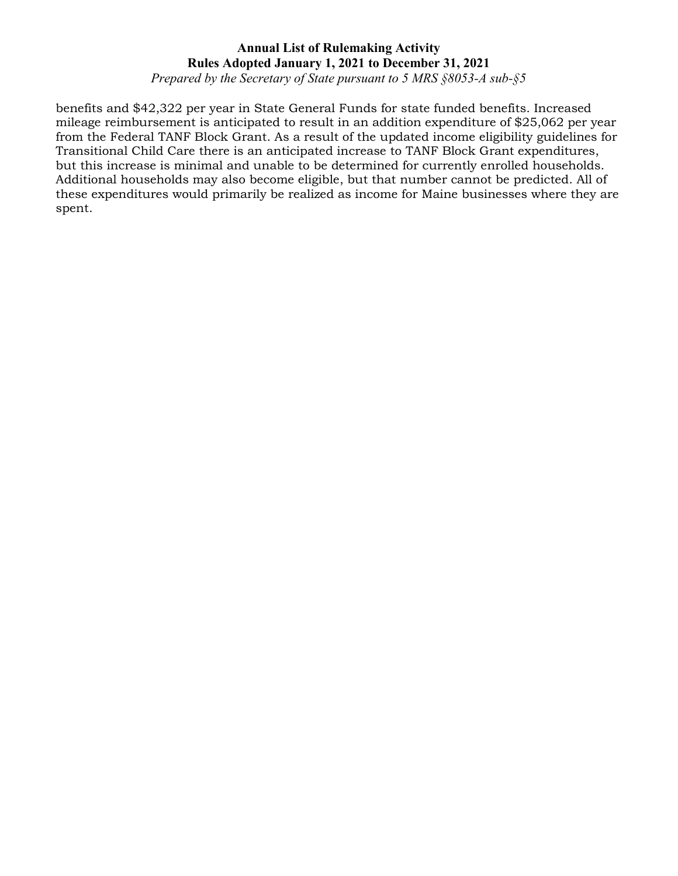*Prepared by the Secretary of State pursuant to 5 MRS §8053-A sub-§5*

benefits and \$42,322 per year in State General Funds for state funded benefits. Increased mileage reimbursement is anticipated to result in an addition expenditure of \$25,062 per year from the Federal TANF Block Grant. As a result of the updated income eligibility guidelines for Transitional Child Care there is an anticipated increase to TANF Block Grant expenditures, but this increase is minimal and unable to be determined for currently enrolled households. Additional households may also become eligible, but that number cannot be predicted. All of these expenditures would primarily be realized as income for Maine businesses where they are spent.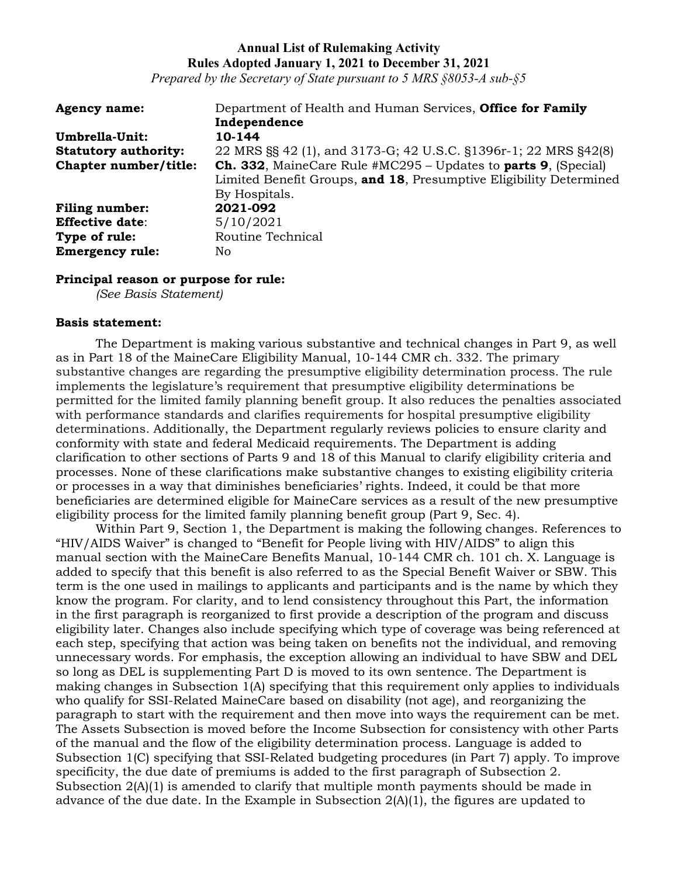*Prepared by the Secretary of State pursuant to 5 MRS §8053-A sub-§5*

| <b>Agency name:</b>         | Department of Health and Human Services, Office for Family            |
|-----------------------------|-----------------------------------------------------------------------|
|                             | Independence                                                          |
| Umbrella-Unit:              | 10-144                                                                |
| <b>Statutory authority:</b> | 22 MRS §§ 42 (1), and 3173-G; 42 U.S.C. §1396r-1; 22 MRS §42(8)       |
| Chapter number/title:       | <b>Ch. 332, MaineCare Rule #MC295 – Updates to parts 9, (Special)</b> |
|                             | Limited Benefit Groups, and 18, Presumptive Eligibility Determined    |
|                             | By Hospitals.                                                         |
| <b>Filing number:</b>       | 2021-092                                                              |
| <b>Effective date:</b>      | 5/10/2021                                                             |
| Type of rule:               | Routine Technical                                                     |
| <b>Emergency rule:</b>      | No                                                                    |

#### **Principal reason or purpose for rule:**

*(See Basis Statement)*

#### **Basis statement:**

The Department is making various substantive and technical changes in Part 9, as well as in Part 18 of the MaineCare Eligibility Manual, 10-144 CMR ch. 332. The primary substantive changes are regarding the presumptive eligibility determination process. The rule implements the legislature's requirement that presumptive eligibility determinations be permitted for the limited family planning benefit group. It also reduces the penalties associated with performance standards and clarifies requirements for hospital presumptive eligibility determinations. Additionally, the Department regularly reviews policies to ensure clarity and conformity with state and federal Medicaid requirements. The Department is adding clarification to other sections of Parts 9 and 18 of this Manual to clarify eligibility criteria and processes. None of these clarifications make substantive changes to existing eligibility criteria or processes in a way that diminishes beneficiaries' rights. Indeed, it could be that more beneficiaries are determined eligible for MaineCare services as a result of the new presumptive eligibility process for the limited family planning benefit group (Part 9, Sec. 4).

Within Part 9, Section 1, the Department is making the following changes. References to "HIV/AIDS Waiver" is changed to "Benefit for People living with HIV/AIDS" to align this manual section with the MaineCare Benefits Manual, 10-144 CMR ch. 101 ch. X. Language is added to specify that this benefit is also referred to as the Special Benefit Waiver or SBW. This term is the one used in mailings to applicants and participants and is the name by which they know the program. For clarity, and to lend consistency throughout this Part, the information in the first paragraph is reorganized to first provide a description of the program and discuss eligibility later. Changes also include specifying which type of coverage was being referenced at each step, specifying that action was being taken on benefits not the individual, and removing unnecessary words. For emphasis, the exception allowing an individual to have SBW and DEL so long as DEL is supplementing Part D is moved to its own sentence. The Department is making changes in Subsection 1(A) specifying that this requirement only applies to individuals who qualify for SSI-Related MaineCare based on disability (not age), and reorganizing the paragraph to start with the requirement and then move into ways the requirement can be met. The Assets Subsection is moved before the Income Subsection for consistency with other Parts of the manual and the flow of the eligibility determination process. Language is added to Subsection 1(C) specifying that SSI-Related budgeting procedures (in Part 7) apply. To improve specificity, the due date of premiums is added to the first paragraph of Subsection 2. Subsection  $2(A)(1)$  is amended to clarify that multiple month payments should be made in advance of the due date. In the Example in Subsection 2(A)(1), the figures are updated to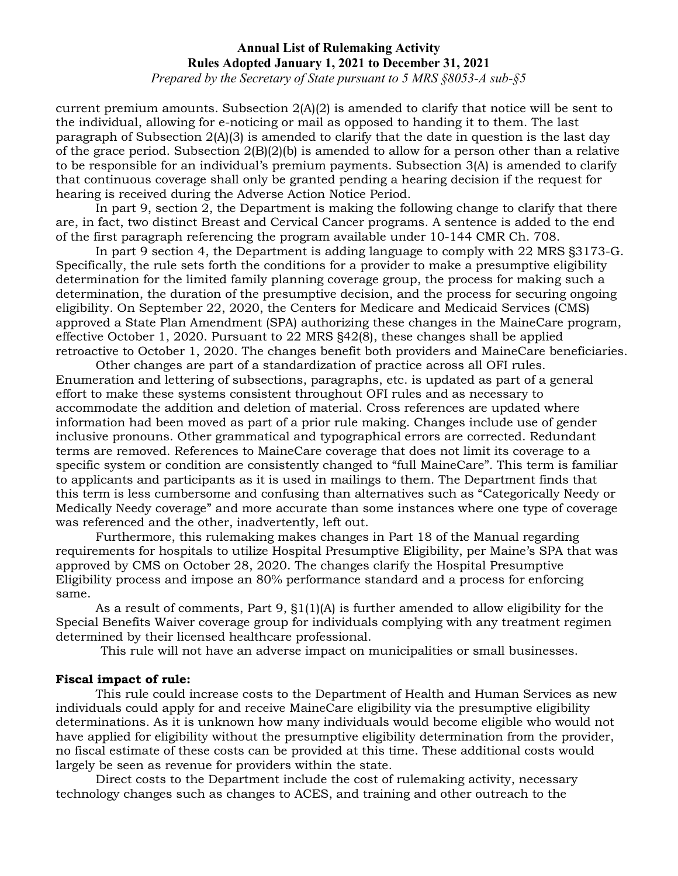*Prepared by the Secretary of State pursuant to 5 MRS §8053-A sub-§5*

current premium amounts. Subsection  $2(A)(2)$  is amended to clarify that notice will be sent to the individual, allowing for e-noticing or mail as opposed to handing it to them. The last paragraph of Subsection 2(A)(3) is amended to clarify that the date in question is the last day of the grace period. Subsection  $2(B)(2)(b)$  is amended to allow for a person other than a relative to be responsible for an individual's premium payments. Subsection 3(A) is amended to clarify that continuous coverage shall only be granted pending a hearing decision if the request for hearing is received during the Adverse Action Notice Period.

In part 9, section 2, the Department is making the following change to clarify that there are, in fact, two distinct Breast and Cervical Cancer programs. A sentence is added to the end of the first paragraph referencing the program available under 10-144 CMR Ch. 708.

In part 9 section 4, the Department is adding language to comply with 22 MRS §3173-G. Specifically, the rule sets forth the conditions for a provider to make a presumptive eligibility determination for the limited family planning coverage group, the process for making such a determination, the duration of the presumptive decision, and the process for securing ongoing eligibility. On September 22, 2020, the Centers for Medicare and Medicaid Services (CMS) approved a State Plan Amendment (SPA) authorizing these changes in the MaineCare program, effective October 1, 2020. Pursuant to 22 MRS §42(8), these changes shall be applied retroactive to October 1, 2020. The changes benefit both providers and MaineCare beneficiaries.

Other changes are part of a standardization of practice across all OFI rules. Enumeration and lettering of subsections, paragraphs, etc. is updated as part of a general effort to make these systems consistent throughout OFI rules and as necessary to accommodate the addition and deletion of material. Cross references are updated where information had been moved as part of a prior rule making. Changes include use of gender inclusive pronouns. Other grammatical and typographical errors are corrected. Redundant terms are removed. References to MaineCare coverage that does not limit its coverage to a specific system or condition are consistently changed to "full MaineCare". This term is familiar to applicants and participants as it is used in mailings to them. The Department finds that this term is less cumbersome and confusing than alternatives such as "Categorically Needy or Medically Needy coverage" and more accurate than some instances where one type of coverage was referenced and the other, inadvertently, left out.

Furthermore, this rulemaking makes changes in Part 18 of the Manual regarding requirements for hospitals to utilize Hospital Presumptive Eligibility, per Maine's SPA that was approved by CMS on October 28, 2020. The changes clarify the Hospital Presumptive Eligibility process and impose an 80% performance standard and a process for enforcing same.

As a result of comments, Part 9, §1(1)(A) is further amended to allow eligibility for the Special Benefits Waiver coverage group for individuals complying with any treatment regimen determined by their licensed healthcare professional.

This rule will not have an adverse impact on municipalities or small businesses.

#### **Fiscal impact of rule:**

This rule could increase costs to the Department of Health and Human Services as new individuals could apply for and receive MaineCare eligibility via the presumptive eligibility determinations. As it is unknown how many individuals would become eligible who would not have applied for eligibility without the presumptive eligibility determination from the provider, no fiscal estimate of these costs can be provided at this time. These additional costs would largely be seen as revenue for providers within the state.

Direct costs to the Department include the cost of rulemaking activity, necessary technology changes such as changes to ACES, and training and other outreach to the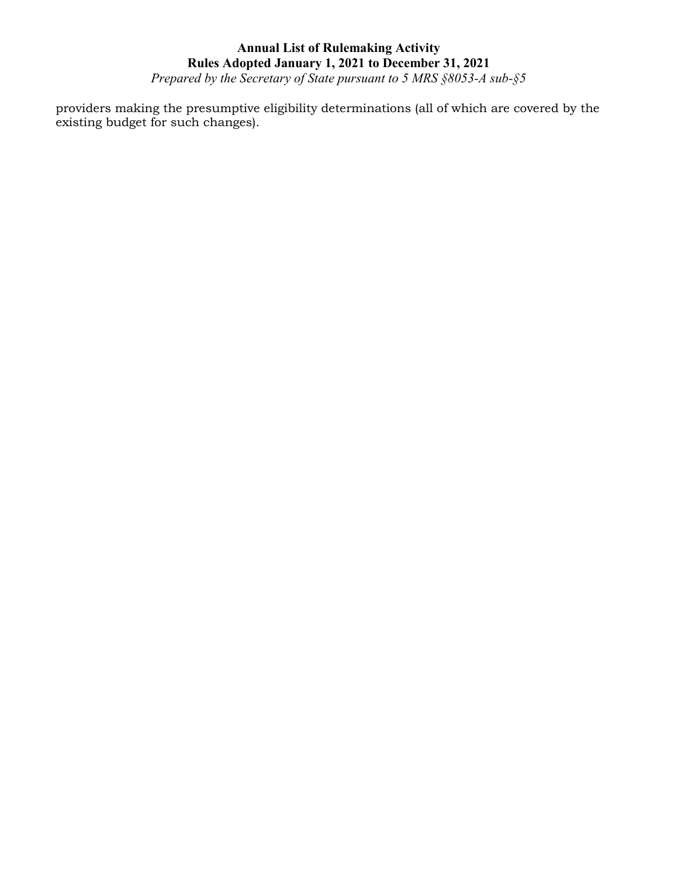*Prepared by the Secretary of State pursuant to 5 MRS §8053-A sub-§5*

providers making the presumptive eligibility determinations (all of which are covered by the existing budget for such changes).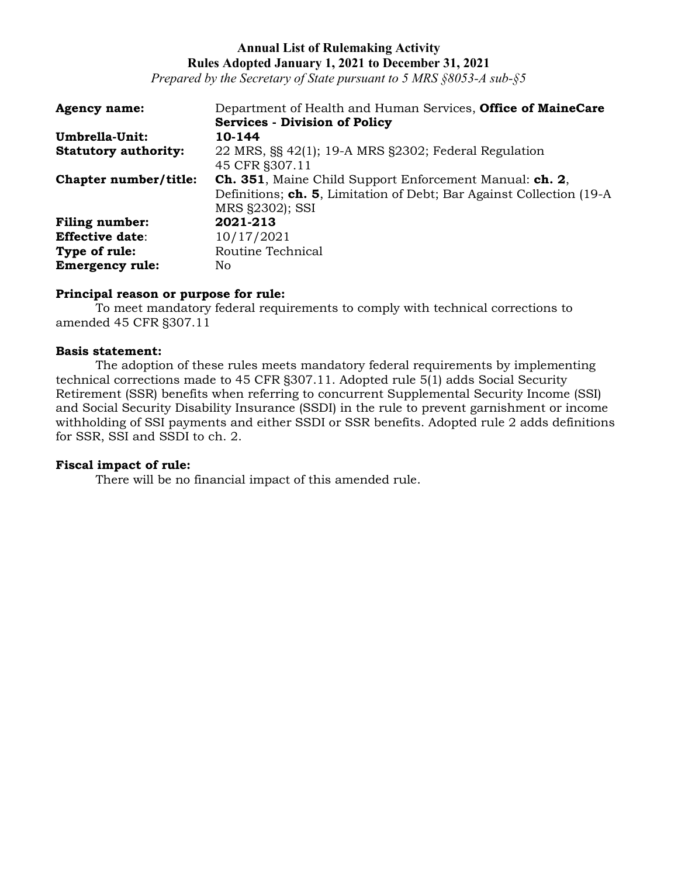*Prepared by the Secretary of State pursuant to 5 MRS §8053-A sub-§5*

| <b>Agency name:</b>         | Department of Health and Human Services, Office of MaineCare          |
|-----------------------------|-----------------------------------------------------------------------|
|                             | <b>Services - Division of Policy</b>                                  |
| Umbrella-Unit:              | 10-144                                                                |
| <b>Statutory authority:</b> | 22 MRS, §§ 42(1); 19-A MRS §2302; Federal Regulation                  |
|                             | 45 CFR §307.11                                                        |
| Chapter number/title:       | <b>Ch. 351</b> , Maine Child Support Enforcement Manual: ch. 2,       |
|                             | Definitions; ch. 5, Limitation of Debt; Bar Against Collection (19-A) |
|                             | MRS §2302); SSI                                                       |
| <b>Filing number:</b>       | 2021-213                                                              |
| <b>Effective date:</b>      | 10/17/2021                                                            |
| Type of rule:               | Routine Technical                                                     |
| <b>Emergency rule:</b>      | No.                                                                   |

### **Principal reason or purpose for rule:**

To meet mandatory federal requirements to comply with technical corrections to amended 45 CFR §307.11

#### **Basis statement:**

The adoption of these rules meets mandatory federal requirements by implementing technical corrections made to 45 CFR §307.11. Adopted rule 5(1) adds Social Security Retirement (SSR) benefits when referring to concurrent Supplemental Security Income (SSI) and Social Security Disability Insurance (SSDI) in the rule to prevent garnishment or income withholding of SSI payments and either SSDI or SSR benefits. Adopted rule 2 adds definitions for SSR, SSI and SSDI to ch. 2.

#### **Fiscal impact of rule:**

There will be no financial impact of this amended rule.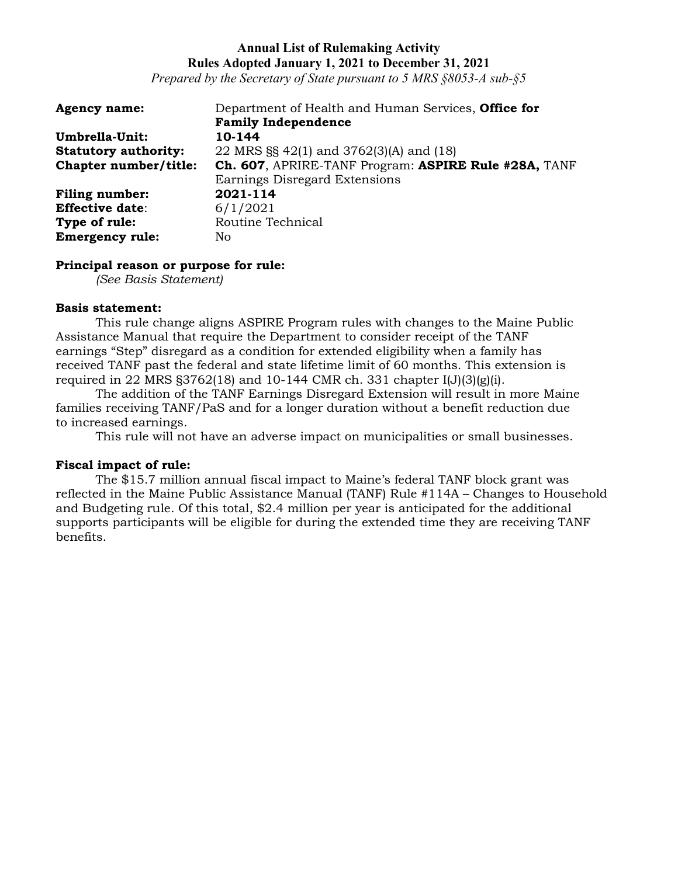*Prepared by the Secretary of State pursuant to 5 MRS §8053-A sub-§5*

| <b>Agency name:</b>         | Department of Health and Human Services, Office for  |
|-----------------------------|------------------------------------------------------|
|                             | <b>Family Independence</b>                           |
| Umbrella-Unit:              | 10-144                                               |
| <b>Statutory authority:</b> | 22 MRS $\S$ 42(1) and 3762(3)(A) and (18)            |
| Chapter number/title:       | Ch. 607, APRIRE-TANF Program: ASPIRE Rule #28A, TANF |
|                             | Earnings Disregard Extensions                        |
| <b>Filing number:</b>       | 2021-114                                             |
| <b>Effective date:</b>      | 6/1/2021                                             |
| Type of rule:               | Routine Technical                                    |
| <b>Emergency rule:</b>      | No.                                                  |

### **Principal reason or purpose for rule:**

*(See Basis Statement)*

### **Basis statement:**

This rule change aligns ASPIRE Program rules with changes to the Maine Public Assistance Manual that require the Department to consider receipt of the TANF earnings "Step" disregard as a condition for extended eligibility when a family has received TANF past the federal and state lifetime limit of 60 months. This extension is required in 22 MRS  $\S 3762(18)$  and 10-144 CMR ch. 331 chapter I(J)(3)(g)(i).

The addition of the TANF Earnings Disregard Extension will result in more Maine families receiving TANF/PaS and for a longer duration without a benefit reduction due to increased earnings.

This rule will not have an adverse impact on municipalities or small businesses.

# **Fiscal impact of rule:**

The \$15.7 million annual fiscal impact to Maine's federal TANF block grant was reflected in the Maine Public Assistance Manual (TANF) Rule #114A – Changes to Household and Budgeting rule. Of this total, \$2.4 million per year is anticipated for the additional supports participants will be eligible for during the extended time they are receiving TANF benefits.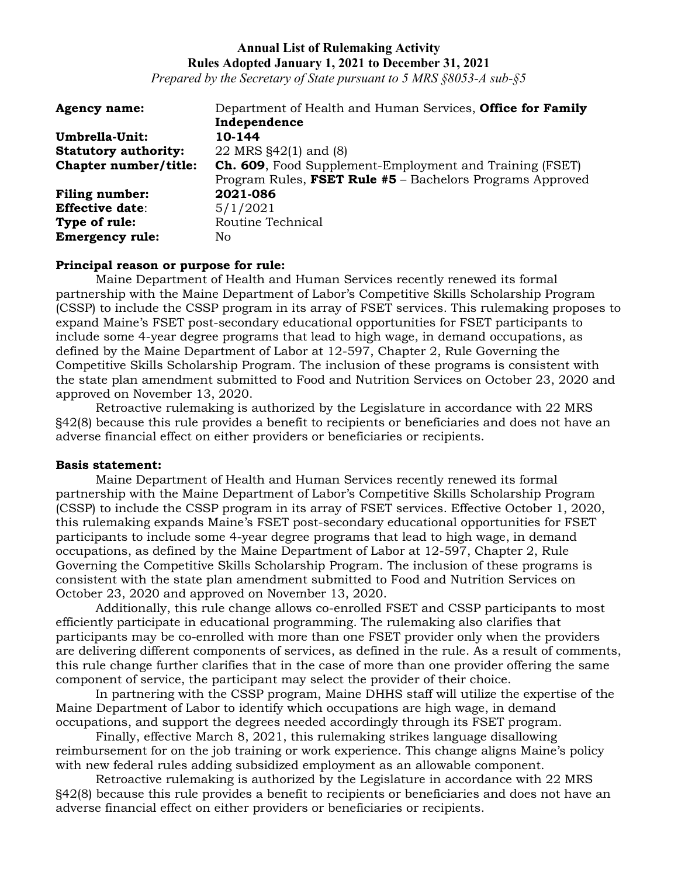*Prepared by the Secretary of State pursuant to 5 MRS §8053-A sub-§5*

| <b>Agency name:</b>         | Department of Health and Human Services, Office for Family      |
|-----------------------------|-----------------------------------------------------------------|
|                             | Independence                                                    |
| Umbrella-Unit:              | 10-144                                                          |
| <b>Statutory authority:</b> | 22 MRS $\S$ 42(1) and (8)                                       |
| Chapter number/title:       | <b>Ch. 609</b> , Food Supplement-Employment and Training (FSET) |
|                             | Program Rules, FSET Rule #5 - Bachelors Programs Approved       |
| <b>Filing number:</b>       | 2021-086                                                        |
| <b>Effective date:</b>      | 5/1/2021                                                        |
| Type of rule:               | Routine Technical                                               |
| <b>Emergency rule:</b>      | No.                                                             |

### **Principal reason or purpose for rule:**

Maine Department of Health and Human Services recently renewed its formal partnership with the Maine Department of Labor's Competitive Skills Scholarship Program (CSSP) to include the CSSP program in its array of FSET services. This rulemaking proposes to expand Maine's FSET post-secondary educational opportunities for FSET participants to include some 4-year degree programs that lead to high wage, in demand occupations, as defined by the Maine Department of Labor at 12-597, Chapter 2, Rule Governing the Competitive Skills Scholarship Program. The inclusion of these programs is consistent with the state plan amendment submitted to Food and Nutrition Services on October 23, 2020 and approved on November 13, 2020.

Retroactive rulemaking is authorized by the Legislature in accordance with 22 MRS §42(8) because this rule provides a benefit to recipients or beneficiaries and does not have an adverse financial effect on either providers or beneficiaries or recipients.

### **Basis statement:**

Maine Department of Health and Human Services recently renewed its formal partnership with the Maine Department of Labor's Competitive Skills Scholarship Program (CSSP) to include the CSSP program in its array of FSET services. Effective October 1, 2020, this rulemaking expands Maine's FSET post-secondary educational opportunities for FSET participants to include some 4-year degree programs that lead to high wage, in demand occupations, as defined by the Maine Department of Labor at 12-597, Chapter 2, Rule Governing the Competitive Skills Scholarship Program. The inclusion of these programs is consistent with the state plan amendment submitted to Food and Nutrition Services on October 23, 2020 and approved on November 13, 2020.

Additionally, this rule change allows co-enrolled FSET and CSSP participants to most efficiently participate in educational programming. The rulemaking also clarifies that participants may be co-enrolled with more than one FSET provider only when the providers are delivering different components of services, as defined in the rule. As a result of comments, this rule change further clarifies that in the case of more than one provider offering the same component of service, the participant may select the provider of their choice.

In partnering with the CSSP program, Maine DHHS staff will utilize the expertise of the Maine Department of Labor to identify which occupations are high wage, in demand occupations, and support the degrees needed accordingly through its FSET program.

Finally, effective March 8, 2021, this rulemaking strikes language disallowing reimbursement for on the job training or work experience. This change aligns Maine's policy with new federal rules adding subsidized employment as an allowable component.

Retroactive rulemaking is authorized by the Legislature in accordance with 22 MRS §42(8) because this rule provides a benefit to recipients or beneficiaries and does not have an adverse financial effect on either providers or beneficiaries or recipients.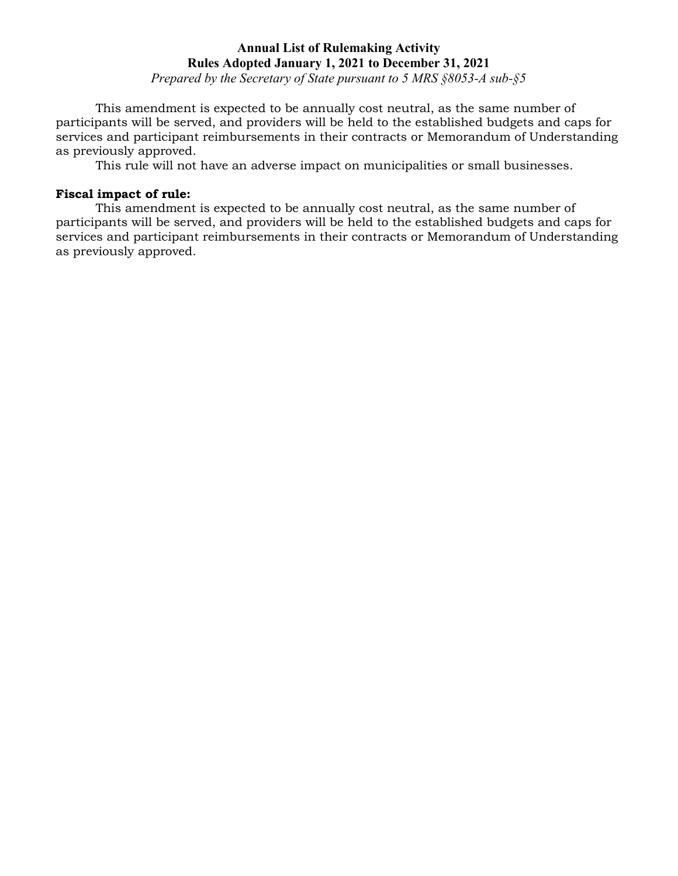*Prepared by the Secretary of State pursuant to 5 MRS §8053-A sub-§5*

This amendment is expected to be annually cost neutral, as the same number of participants will be served, and providers will be held to the established budgets and caps for services and participant reimbursements in their contracts or Memorandum of Understanding as previously approved.

This rule will not have an adverse impact on municipalities or small businesses.

### **Fiscal impact of rule:**

This amendment is expected to be annually cost neutral, as the same number of participants will be served, and providers will be held to the established budgets and caps for services and participant reimbursements in their contracts or Memorandum of Understanding as previously approved.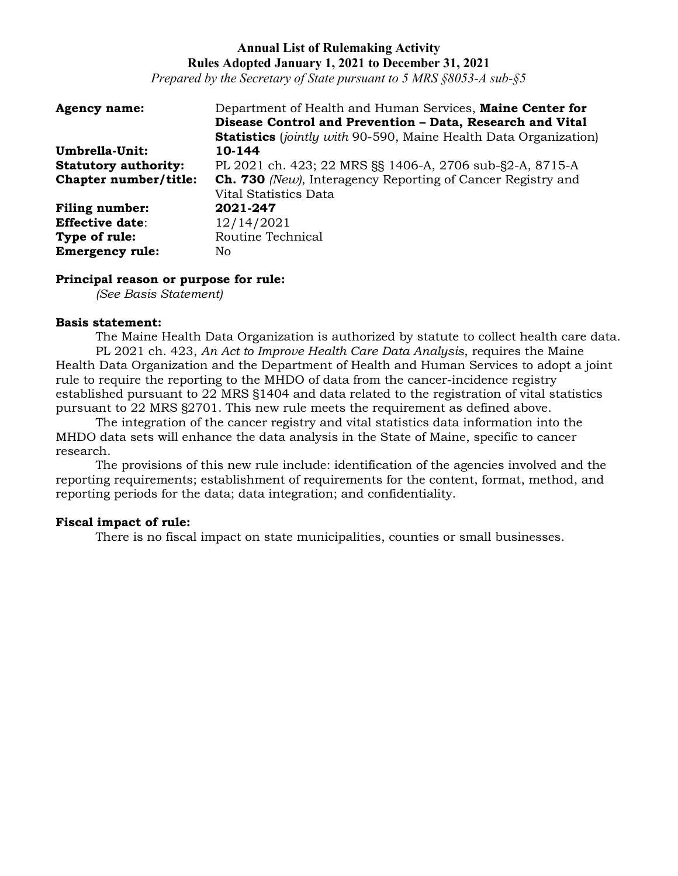*Prepared by the Secretary of State pursuant to 5 MRS §8053-A sub-§5*

| <b>Agency name:</b>         | Department of Health and Human Services, Maine Center for               |
|-----------------------------|-------------------------------------------------------------------------|
|                             | Disease Control and Prevention - Data, Research and Vital               |
|                             | <b>Statistics</b> (jointly with 90-590, Maine Health Data Organization) |
| Umbrella-Unit:              | 10-144                                                                  |
| <b>Statutory authority:</b> | PL 2021 ch. 423; 22 MRS SS 1406-A, 2706 sub-S2-A, 8715-A                |
| Chapter number/title:       | <b>Ch. 730</b> (New), Interagency Reporting of Cancer Registry and      |
|                             | Vital Statistics Data                                                   |
| <b>Filing number:</b>       | 2021-247                                                                |
| <b>Effective date:</b>      | 12/14/2021                                                              |
| Type of rule:               | Routine Technical                                                       |
| <b>Emergency rule:</b>      | No                                                                      |

#### **Principal reason or purpose for rule:**

*(See Basis Statement)*

#### **Basis statement:**

The Maine Health Data Organization is authorized by statute to collect health care data. PL 2021 ch. 423, *An Act to Improve Health Care Data Analysis*, requires the Maine Health Data Organization and the Department of Health and Human Services to adopt a joint rule to require the reporting to the MHDO of data from the cancer-incidence registry established pursuant to 22 MRS §1404 and data related to the registration of vital statistics pursuant to 22 MRS §2701. This new rule meets the requirement as defined above.

The integration of the cancer registry and vital statistics data information into the MHDO data sets will enhance the data analysis in the State of Maine, specific to cancer research.

The provisions of this new rule include: identification of the agencies involved and the reporting requirements; establishment of requirements for the content, format, method, and reporting periods for the data; data integration; and confidentiality.

### **Fiscal impact of rule:**

There is no fiscal impact on state municipalities, counties or small businesses.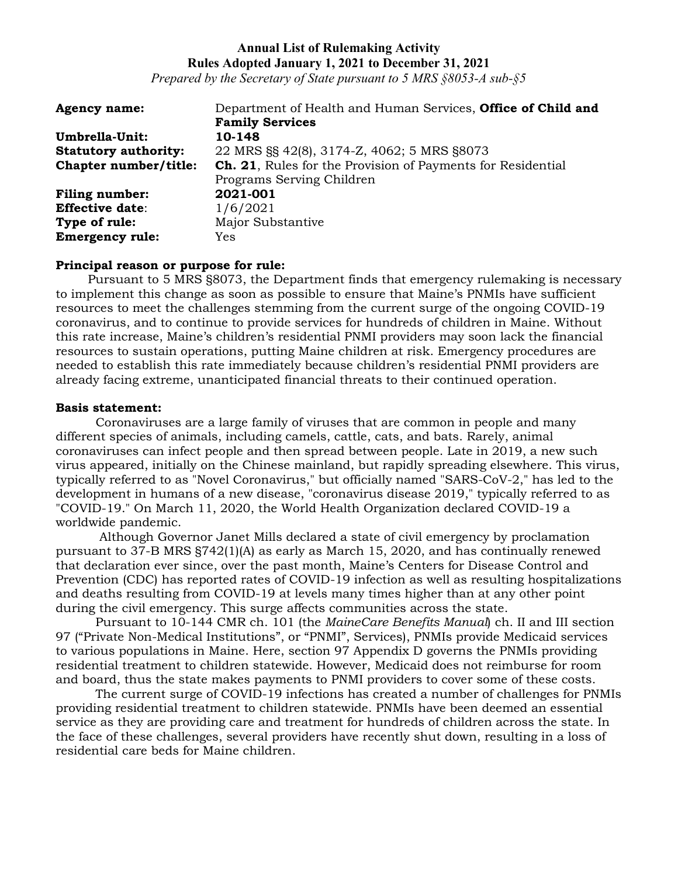*Prepared by the Secretary of State pursuant to 5 MRS §8053-A sub-§5*

| <b>Agency name:</b>         | Department of Health and Human Services, Office of Child and       |
|-----------------------------|--------------------------------------------------------------------|
|                             | <b>Family Services</b>                                             |
| Umbrella-Unit:              | 10-148                                                             |
| <b>Statutory authority:</b> | 22 MRS §§ 42(8), 3174-Z, 4062; 5 MRS §8073                         |
| Chapter number/title:       | <b>Ch. 21.</b> Rules for the Provision of Payments for Residential |
|                             | Programs Serving Children                                          |
| <b>Filing number:</b>       | 2021-001                                                           |
| <b>Effective date:</b>      | 1/6/2021                                                           |
| Type of rule:               | Major Substantive                                                  |
| <b>Emergency rule:</b>      | <b>Yes</b>                                                         |

### **Principal reason or purpose for rule:**

Pursuant to 5 MRS §8073, the Department finds that emergency rulemaking is necessary to implement this change as soon as possible to ensure that Maine's PNMIs have sufficient resources to meet the challenges stemming from the current surge of the ongoing COVID-19 coronavirus, and to continue to provide services for hundreds of children in Maine. Without this rate increase, Maine's children's residential PNMI providers may soon lack the financial resources to sustain operations, putting Maine children at risk. Emergency procedures are needed to establish this rate immediately because children's residential PNMI providers are already facing extreme, unanticipated financial threats to their continued operation.

### **Basis statement:**

Coronaviruses are a large family of viruses that are common in people and many different species of animals, including camels, cattle, cats, and bats. Rarely, animal coronaviruses can infect people and then spread between people. Late in 2019, a new such virus appeared, initially on the Chinese mainland, but rapidly spreading elsewhere. This virus, typically referred to as "Novel Coronavirus," but officially named "SARS-CoV-2," has led to the development in humans of a new disease, "coronavirus disease 2019," typically referred to as "COVID-19." On March 11, 2020, the World Health Organization declared COVID-19 a worldwide pandemic.

Although Governor Janet Mills declared a state of civil emergency by proclamation pursuant to 37-B MRS §742(1)(A) as early as March 15, 2020, and has continually renewed that declaration ever since, over the past month, Maine's Centers for Disease Control and Prevention (CDC) has reported rates of COVID-19 infection as well as resulting hospitalizations and deaths resulting from COVID-19 at levels many times higher than at any other point during the civil emergency. This surge affects communities across the state.

Pursuant to 10-144 CMR ch. 101 (the *MaineCare Benefits Manual*) ch. II and III section 97 ("Private Non-Medical Institutions", or "PNMI", Services), PNMIs provide Medicaid services to various populations in Maine. Here, section 97 Appendix D governs the PNMIs providing residential treatment to children statewide. However, Medicaid does not reimburse for room and board, thus the state makes payments to PNMI providers to cover some of these costs.

The current surge of COVID-19 infections has created a number of challenges for PNMIs providing residential treatment to children statewide. PNMIs have been deemed an essential service as they are providing care and treatment for hundreds of children across the state. In the face of these challenges, several providers have recently shut down, resulting in a loss of residential care beds for Maine children.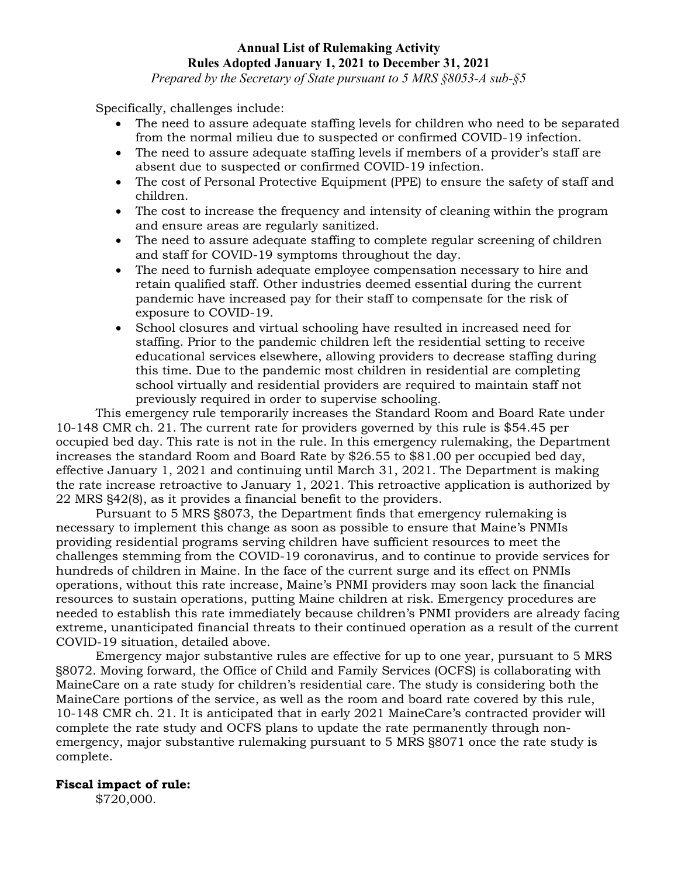*Prepared by the Secretary of State pursuant to 5 MRS §8053-A sub-§5*

Specifically, challenges include:

- The need to assure adequate staffing levels for children who need to be separated from the normal milieu due to suspected or confirmed COVID-19 infection.
- The need to assure adequate staffing levels if members of a provider's staff are absent due to suspected or confirmed COVID-19 infection.
- The cost of Personal Protective Equipment (PPE) to ensure the safety of staff and children.
- The cost to increase the frequency and intensity of cleaning within the program and ensure areas are regularly sanitized.
- The need to assure adequate staffing to complete regular screening of children and staff for COVID-19 symptoms throughout the day.
- The need to furnish adequate employee compensation necessary to hire and retain qualified staff. Other industries deemed essential during the current pandemic have increased pay for their staff to compensate for the risk of exposure to COVID-19.
- School closures and virtual schooling have resulted in increased need for staffing. Prior to the pandemic children left the residential setting to receive educational services elsewhere, allowing providers to decrease staffing during this time. Due to the pandemic most children in residential are completing school virtually and residential providers are required to maintain staff not previously required in order to supervise schooling.

This emergency rule temporarily increases the Standard Room and Board Rate under 10-148 CMR ch. 21. The current rate for providers governed by this rule is \$54.45 per occupied bed day. This rate is not in the rule. In this emergency rulemaking, the Department increases the standard Room and Board Rate by \$26.55 to \$81.00 per occupied bed day, effective January 1, 2021 and continuing until March 31, 2021. The Department is making the rate increase retroactive to January 1, 2021. This retroactive application is authorized by 22 MRS §42(8), as it provides a financial benefit to the providers.

Pursuant to 5 MRS §8073, the Department finds that emergency rulemaking is necessary to implement this change as soon as possible to ensure that Maine's PNMIs providing residential programs serving children have sufficient resources to meet the challenges stemming from the COVID-19 coronavirus, and to continue to provide services for hundreds of children in Maine. In the face of the current surge and its effect on PNMIs operations, without this rate increase, Maine's PNMI providers may soon lack the financial resources to sustain operations, putting Maine children at risk. Emergency procedures are needed to establish this rate immediately because children's PNMI providers are already facing extreme, unanticipated financial threats to their continued operation as a result of the current COVID-19 situation, detailed above.

Emergency major substantive rules are effective for up to one year, pursuant to 5 MRS §8072. Moving forward, the Office of Child and Family Services (OCFS) is collaborating with MaineCare on a rate study for children's residential care. The study is considering both the MaineCare portions of the service, as well as the room and board rate covered by this rule, 10-148 CMR ch. 21. It is anticipated that in early 2021 MaineCare's contracted provider will complete the rate study and OCFS plans to update the rate permanently through nonemergency, major substantive rulemaking pursuant to 5 MRS §8071 once the rate study is complete.

## **Fiscal impact of rule:**

\$720,000.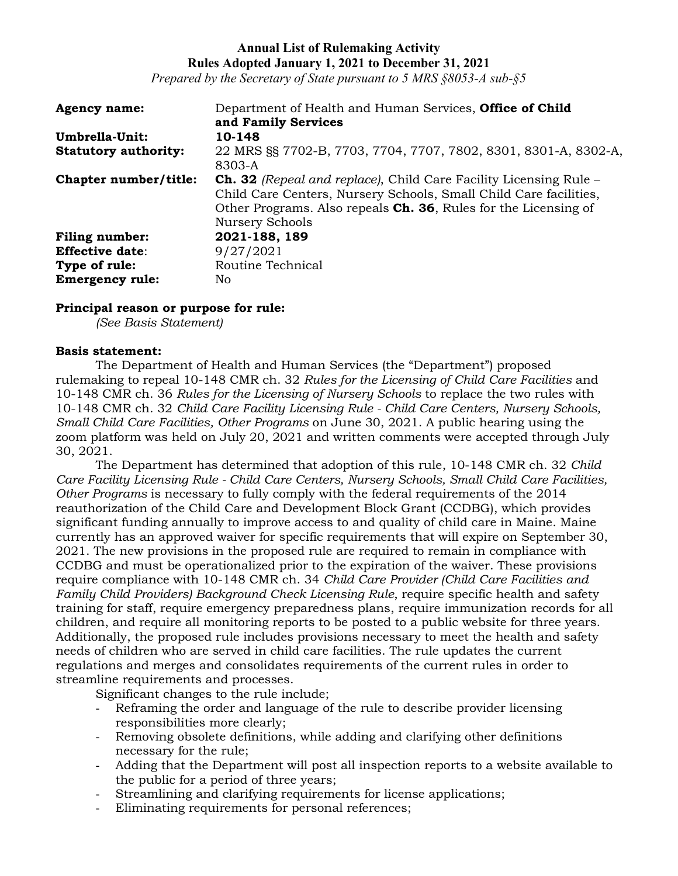*Prepared by the Secretary of State pursuant to 5 MRS §8053-A sub-§5*

| <b>Agency name:</b>         | Department of Health and Human Services, <b>Office of Child</b>          |
|-----------------------------|--------------------------------------------------------------------------|
|                             | and Family Services                                                      |
| Umbrella-Unit:              | 10-148                                                                   |
| <b>Statutory authority:</b> | 22 MRS §§ 7702-B, 7703, 7704, 7707, 7802, 8301, 8301-A, 8302-A,          |
|                             | 8303-A                                                                   |
| Chapter number/title:       | <b>Ch. 32</b> (Repeal and replace), Child Care Facility Licensing Rule – |
|                             | Child Care Centers, Nursery Schools, Small Child Care facilities,        |
|                             | Other Programs. Also repeals <b>Ch. 36</b> , Rules for the Licensing of  |
|                             | Nursery Schools                                                          |
| <b>Filing number:</b>       | 2021-188, 189                                                            |
| <b>Effective date:</b>      | 9/27/2021                                                                |
| Type of rule:               | Routine Technical                                                        |
| <b>Emergency rule:</b>      | No.                                                                      |

### **Principal reason or purpose for rule:**

*(See Basis Statement)*

### **Basis statement:**

The Department of Health and Human Services (the "Department") proposed rulemaking to repeal 10-148 CMR ch. 32 *Rules for the Licensing of Child Care Facilities* and 10-148 CMR ch. 36 *Rules for the Licensing of Nursery Schools* to replace the two rules with 10-148 CMR ch. 32 *Child Care Facility Licensing Rule - Child Care Centers, Nursery Schools, Small Child Care Facilities, Other Programs* on June 30, 2021. A public hearing using the zoom platform was held on July 20, 2021 and written comments were accepted through July 30, 2021.

The Department has determined that adoption of this rule, 10-148 CMR ch. 32 *Child Care Facility Licensing Rule - Child Care Centers, Nursery Schools, Small Child Care Facilities, Other Programs* is necessary to fully comply with the federal requirements of the 2014 reauthorization of the Child Care and Development Block Grant (CCDBG), which provides significant funding annually to improve access to and quality of child care in Maine. Maine currently has an approved waiver for specific requirements that will expire on September 30, 2021. The new provisions in the proposed rule are required to remain in compliance with CCDBG and must be operationalized prior to the expiration of the waiver. These provisions require compliance with 10-148 CMR ch. 34 *Child Care Provider (Child Care Facilities and Family Child Providers) Background Check Licensing Rule*, require specific health and safety training for staff, require emergency preparedness plans, require immunization records for all children, and require all monitoring reports to be posted to a public website for three years. Additionally, the proposed rule includes provisions necessary to meet the health and safety needs of children who are served in child care facilities. The rule updates the current regulations and merges and consolidates requirements of the current rules in order to streamline requirements and processes.

Significant changes to the rule include;

- Reframing the order and language of the rule to describe provider licensing responsibilities more clearly;
- Removing obsolete definitions, while adding and clarifying other definitions necessary for the rule;
- Adding that the Department will post all inspection reports to a website available to the public for a period of three years;
- Streamlining and clarifying requirements for license applications;
- Eliminating requirements for personal references;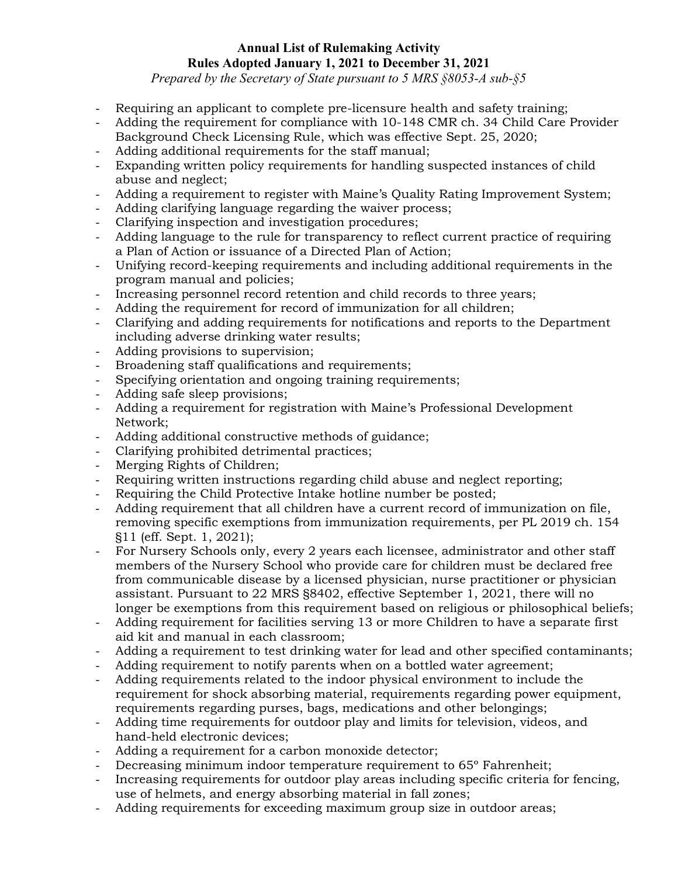*Prepared by the Secretary of State pursuant to 5 MRS §8053-A sub-§5*

- Requiring an applicant to complete pre-licensure health and safety training;
- Adding the requirement for compliance with 10-148 CMR ch. 34 Child Care Provider Background Check Licensing Rule, which was effective Sept. 25, 2020;
- Adding additional requirements for the staff manual;
- Expanding written policy requirements for handling suspected instances of child abuse and neglect;
- Adding a requirement to register with Maine's Quality Rating Improvement System;
- Adding clarifying language regarding the waiver process;
- Clarifying inspection and investigation procedures;
- Adding language to the rule for transparency to reflect current practice of requiring a Plan of Action or issuance of a Directed Plan of Action;
- Unifying record-keeping requirements and including additional requirements in the program manual and policies;
- Increasing personnel record retention and child records to three years;
- Adding the requirement for record of immunization for all children;
- Clarifying and adding requirements for notifications and reports to the Department including adverse drinking water results;
- Adding provisions to supervision;
- Broadening staff qualifications and requirements;
- Specifying orientation and ongoing training requirements;
- Adding safe sleep provisions;
- Adding a requirement for registration with Maine's Professional Development Network;
- Adding additional constructive methods of guidance;
- Clarifying prohibited detrimental practices;
- Merging Rights of Children;
- Requiring written instructions regarding child abuse and neglect reporting;
- Requiring the Child Protective Intake hotline number be posted;
- Adding requirement that all children have a current record of immunization on file, removing specific exemptions from immunization requirements, per PL 2019 ch. 154 §11 (eff. Sept. 1, 2021);
- For Nursery Schools only, every 2 years each licensee, administrator and other staff members of the Nursery School who provide care for children must be declared free from communicable disease by a licensed physician, nurse practitioner or physician assistant. Pursuant to 22 MRS §8402, effective September 1, 2021, there will no longer be exemptions from this requirement based on religious or philosophical beliefs;
- Adding requirement for facilities serving 13 or more Children to have a separate first aid kit and manual in each classroom;
- Adding a requirement to test drinking water for lead and other specified contaminants;
- Adding requirement to notify parents when on a bottled water agreement;
- Adding requirements related to the indoor physical environment to include the requirement for shock absorbing material, requirements regarding power equipment, requirements regarding purses, bags, medications and other belongings;
- Adding time requirements for outdoor play and limits for television, videos, and hand-held electronic devices;
- Adding a requirement for a carbon monoxide detector;
- Decreasing minimum indoor temperature requirement to 65° Fahrenheit;
- Increasing requirements for outdoor play areas including specific criteria for fencing, use of helmets, and energy absorbing material in fall zones;
- Adding requirements for exceeding maximum group size in outdoor areas;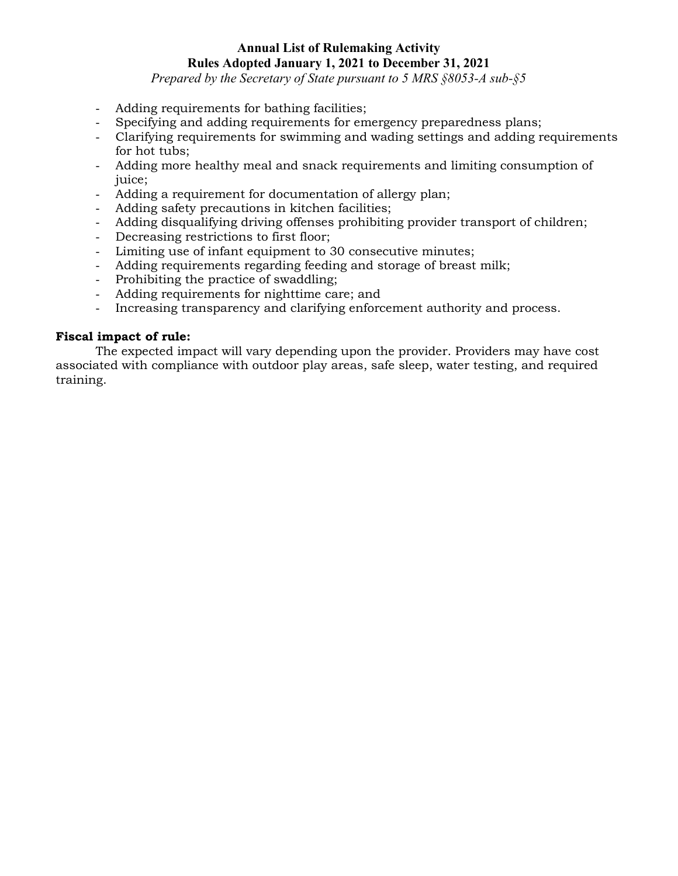*Prepared by the Secretary of State pursuant to 5 MRS §8053-A sub-§5*

- Adding requirements for bathing facilities;
- Specifying and adding requirements for emergency preparedness plans;
- Clarifying requirements for swimming and wading settings and adding requirements for hot tubs;
- Adding more healthy meal and snack requirements and limiting consumption of juice;
- Adding a requirement for documentation of allergy plan;
- Adding safety precautions in kitchen facilities;
- Adding disqualifying driving offenses prohibiting provider transport of children;
- Decreasing restrictions to first floor;
- Limiting use of infant equipment to 30 consecutive minutes;
- Adding requirements regarding feeding and storage of breast milk;
- Prohibiting the practice of swaddling;
- Adding requirements for nighttime care; and
- Increasing transparency and clarifying enforcement authority and process.

## **Fiscal impact of rule:**

The expected impact will vary depending upon the provider. Providers may have cost associated with compliance with outdoor play areas, safe sleep, water testing, and required training.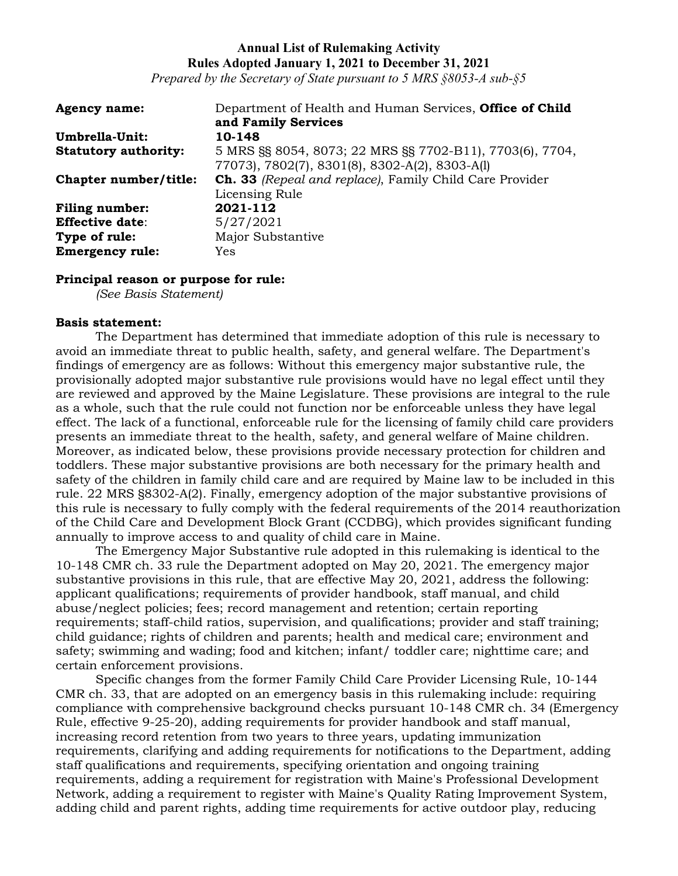*Prepared by the Secretary of State pursuant to 5 MRS §8053-A sub-§5*

| <b>Agency name:</b>         | Department of Health and Human Services, Office of Child       |
|-----------------------------|----------------------------------------------------------------|
|                             | and Family Services                                            |
| Umbrella-Unit:              | 10-148                                                         |
| <b>Statutory authority:</b> | 5 MRS §§ 8054, 8073; 22 MRS §§ 7702-B11), 7703(6), 7704,       |
|                             | 77073), 7802(7), 8301(8), 8302-A(2), 8303-A(1)                 |
| Chapter number/title:       | <b>Ch. 33</b> (Repeal and replace), Family Child Care Provider |
|                             | Licensing Rule                                                 |
| <b>Filing number:</b>       | 2021-112                                                       |
| <b>Effective date:</b>      | 5/27/2021                                                      |
| Type of rule:               | Major Substantive                                              |
| <b>Emergency rule:</b>      | Yes                                                            |

#### **Principal reason or purpose for rule:**

*(See Basis Statement)*

#### **Basis statement:**

The Department has determined that immediate adoption of this rule is necessary to avoid an immediate threat to public health, safety, and general welfare. The Department's findings of emergency are as follows: Without this emergency major substantive rule, the provisionally adopted major substantive rule provisions would have no legal effect until they are reviewed and approved by the Maine Legislature. These provisions are integral to the rule as a whole, such that the rule could not function nor be enforceable unless they have legal effect. The lack of a functional, enforceable rule for the licensing of family child care providers presents an immediate threat to the health, safety, and general welfare of Maine children. Moreover, as indicated below, these provisions provide necessary protection for children and toddlers. These major substantive provisions are both necessary for the primary health and safety of the children in family child care and are required by Maine law to be included in this rule. 22 MRS §8302-A(2). Finally, emergency adoption of the major substantive provisions of this rule is necessary to fully comply with the federal requirements of the 2014 reauthorization of the Child Care and Development Block Grant (CCDBG), which provides significant funding annually to improve access to and quality of child care in Maine.

The Emergency Major Substantive rule adopted in this rulemaking is identical to the 10-148 CMR ch. 33 rule the Department adopted on May 20, 2021. The emergency major substantive provisions in this rule, that are effective May 20, 2021, address the following: applicant qualifications; requirements of provider handbook, staff manual, and child abuse/neglect policies; fees; record management and retention; certain reporting requirements; staff-child ratios, supervision, and qualifications; provider and staff training; child guidance; rights of children and parents; health and medical care; environment and safety; swimming and wading; food and kitchen; infant/ toddler care; nighttime care; and certain enforcement provisions.

Specific changes from the former Family Child Care Provider Licensing Rule, 10-144 CMR ch. 33, that are adopted on an emergency basis in this rulemaking include: requiring compliance with comprehensive background checks pursuant 10-148 CMR ch. 34 (Emergency Rule, effective 9-25-20), adding requirements for provider handbook and staff manual, increasing record retention from two years to three years, updating immunization requirements, clarifying and adding requirements for notifications to the Department, adding staff qualifications and requirements, specifying orientation and ongoing training requirements, adding a requirement for registration with Maine's Professional Development Network, adding a requirement to register with Maine's Quality Rating Improvement System, adding child and parent rights, adding time requirements for active outdoor play, reducing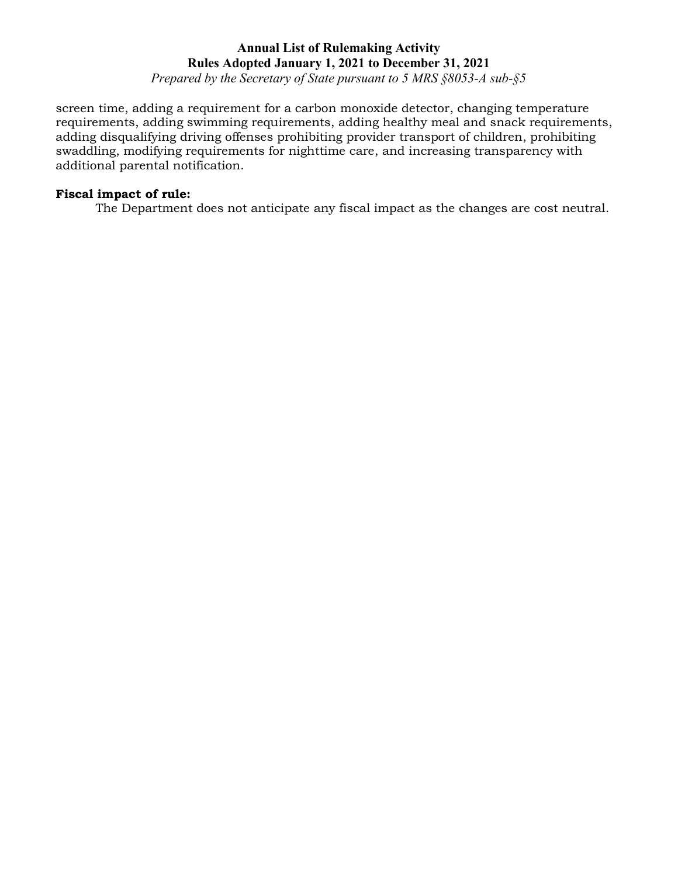*Prepared by the Secretary of State pursuant to 5 MRS §8053-A sub-§5*

screen time, adding a requirement for a carbon monoxide detector, changing temperature requirements, adding swimming requirements, adding healthy meal and snack requirements, adding disqualifying driving offenses prohibiting provider transport of children, prohibiting swaddling, modifying requirements for nighttime care, and increasing transparency with additional parental notification.

### **Fiscal impact of rule:**

The Department does not anticipate any fiscal impact as the changes are cost neutral.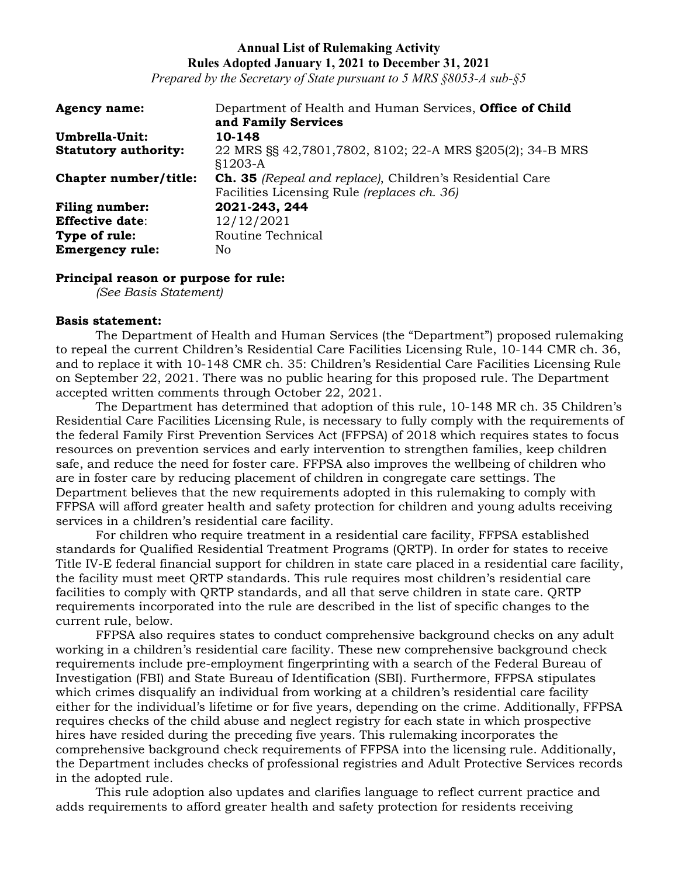*Prepared by the Secretary of State pursuant to 5 MRS §8053-A sub-§5*

| <b>Agency name:</b>         | Department of Health and Human Services, <b>Office of Child</b>       |
|-----------------------------|-----------------------------------------------------------------------|
|                             | and Family Services                                                   |
| Umbrella-Unit:              | 10-148                                                                |
| <b>Statutory authority:</b> | 22 MRS §§ 42,7801,7802, 8102; 22-A MRS §205(2); 34-B MRS<br>$$1203-A$ |
| Chapter number/title:       | <b>Ch. 35</b> (Repeal and replace), Children's Residential Care       |
|                             | Facilities Licensing Rule (replaces ch. 36)                           |
| <b>Filing number:</b>       | 2021-243, 244                                                         |
| <b>Effective date:</b>      | 12/12/2021                                                            |
| Type of rule:               | Routine Technical                                                     |
| <b>Emergency rule:</b>      | No                                                                    |

#### **Principal reason or purpose for rule:**

*(See Basis Statement)*

#### **Basis statement:**

The Department of Health and Human Services (the "Department") proposed rulemaking to repeal the current Children's Residential Care Facilities Licensing Rule, 10-144 CMR ch. 36, and to replace it with 10-148 CMR ch. 35: Children's Residential Care Facilities Licensing Rule on September 22, 2021. There was no public hearing for this proposed rule. The Department accepted written comments through October 22, 2021.

The Department has determined that adoption of this rule, 10-148 MR ch. 35 Children's Residential Care Facilities Licensing Rule, is necessary to fully comply with the requirements of the federal Family First Prevention Services Act (FFPSA) of 2018 which requires states to focus resources on prevention services and early intervention to strengthen families, keep children safe, and reduce the need for foster care. FFPSA also improves the wellbeing of children who are in foster care by reducing placement of children in congregate care settings. The Department believes that the new requirements adopted in this rulemaking to comply with FFPSA will afford greater health and safety protection for children and young adults receiving services in a children's residential care facility.

For children who require treatment in a residential care facility, FFPSA established standards for Qualified Residential Treatment Programs (QRTP). In order for states to receive Title IV-E federal financial support for children in state care placed in a residential care facility, the facility must meet QRTP standards. This rule requires most children's residential care facilities to comply with QRTP standards, and all that serve children in state care. QRTP requirements incorporated into the rule are described in the list of specific changes to the current rule, below.

FFPSA also requires states to conduct comprehensive background checks on any adult working in a children's residential care facility. These new comprehensive background check requirements include pre-employment fingerprinting with a search of the Federal Bureau of Investigation (FBI) and State Bureau of Identification (SBI). Furthermore, FFPSA stipulates which crimes disqualify an individual from working at a children's residential care facility either for the individual's lifetime or for five years, depending on the crime. Additionally, FFPSA requires checks of the child abuse and neglect registry for each state in which prospective hires have resided during the preceding five years. This rulemaking incorporates the comprehensive background check requirements of FFPSA into the licensing rule. Additionally, the Department includes checks of professional registries and Adult Protective Services records in the adopted rule.

This rule adoption also updates and clarifies language to reflect current practice and adds requirements to afford greater health and safety protection for residents receiving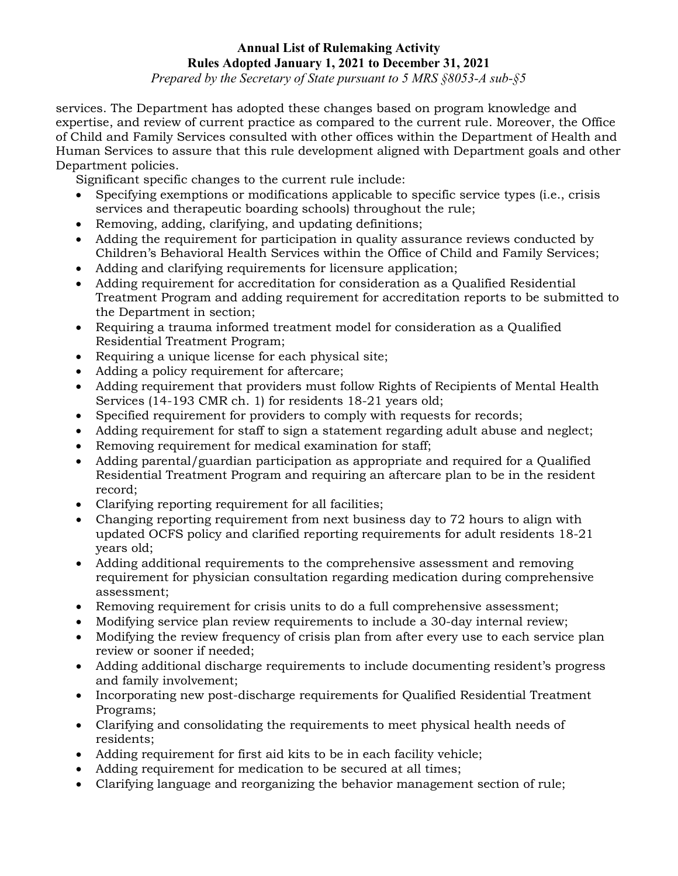*Prepared by the Secretary of State pursuant to 5 MRS §8053-A sub-§5*

services. The Department has adopted these changes based on program knowledge and expertise, and review of current practice as compared to the current rule. Moreover, the Office of Child and Family Services consulted with other offices within the Department of Health and Human Services to assure that this rule development aligned with Department goals and other Department policies.

Significant specific changes to the current rule include:

- Specifying exemptions or modifications applicable to specific service types (i.e., crisis services and therapeutic boarding schools) throughout the rule;
- Removing, adding, clarifying, and updating definitions;
- Adding the requirement for participation in quality assurance reviews conducted by Children's Behavioral Health Services within the Office of Child and Family Services;
- Adding and clarifying requirements for licensure application;
- Adding requirement for accreditation for consideration as a Qualified Residential Treatment Program and adding requirement for accreditation reports to be submitted to the Department in section;
- Requiring a trauma informed treatment model for consideration as a Qualified Residential Treatment Program;
- Requiring a unique license for each physical site;
- Adding a policy requirement for aftercare;
- Adding requirement that providers must follow Rights of Recipients of Mental Health Services (14-193 CMR ch. 1) for residents 18-21 years old;
- Specified requirement for providers to comply with requests for records;
- Adding requirement for staff to sign a statement regarding adult abuse and neglect;
- Removing requirement for medical examination for staff;
- Adding parental/guardian participation as appropriate and required for a Qualified Residential Treatment Program and requiring an aftercare plan to be in the resident record;
- Clarifying reporting requirement for all facilities;
- Changing reporting requirement from next business day to 72 hours to align with updated OCFS policy and clarified reporting requirements for adult residents 18-21 years old;
- Adding additional requirements to the comprehensive assessment and removing requirement for physician consultation regarding medication during comprehensive assessment;
- Removing requirement for crisis units to do a full comprehensive assessment;
- Modifying service plan review requirements to include a 30-day internal review;
- Modifying the review frequency of crisis plan from after every use to each service plan review or sooner if needed;
- Adding additional discharge requirements to include documenting resident's progress and family involvement;
- Incorporating new post-discharge requirements for Qualified Residential Treatment Programs;
- Clarifying and consolidating the requirements to meet physical health needs of residents;
- Adding requirement for first aid kits to be in each facility vehicle;
- Adding requirement for medication to be secured at all times;
- Clarifying language and reorganizing the behavior management section of rule;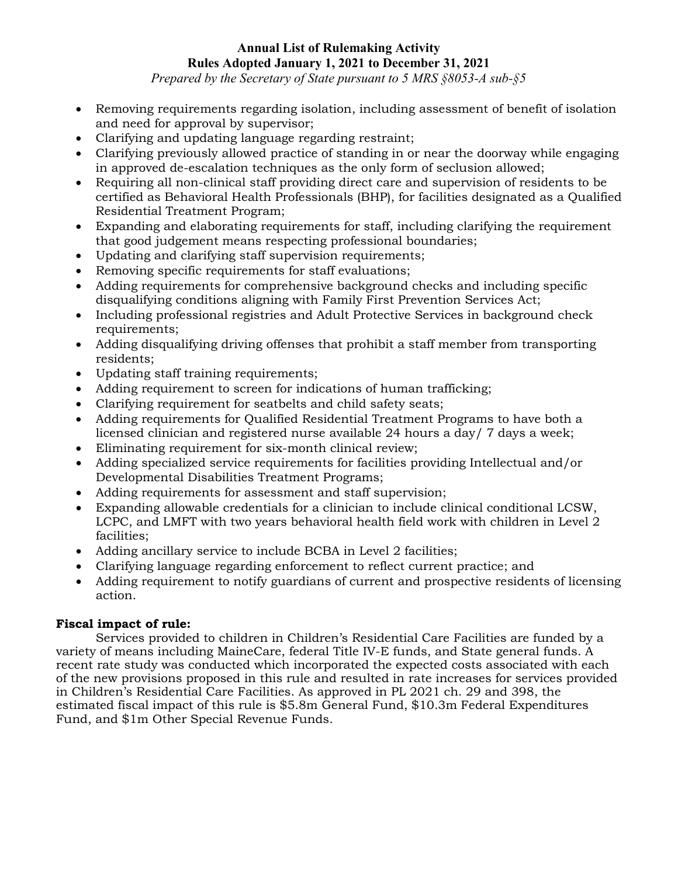*Prepared by the Secretary of State pursuant to 5 MRS §8053-A sub-§5*

- Removing requirements regarding isolation, including assessment of benefit of isolation and need for approval by supervisor;
- Clarifying and updating language regarding restraint;
- Clarifying previously allowed practice of standing in or near the doorway while engaging in approved de-escalation techniques as the only form of seclusion allowed;
- Requiring all non-clinical staff providing direct care and supervision of residents to be certified as Behavioral Health Professionals (BHP), for facilities designated as a Qualified Residential Treatment Program;
- Expanding and elaborating requirements for staff, including clarifying the requirement that good judgement means respecting professional boundaries;
- Updating and clarifying staff supervision requirements;
- Removing specific requirements for staff evaluations;
- Adding requirements for comprehensive background checks and including specific disqualifying conditions aligning with Family First Prevention Services Act;
- Including professional registries and Adult Protective Services in background check requirements;
- Adding disqualifying driving offenses that prohibit a staff member from transporting residents;
- Updating staff training requirements;
- Adding requirement to screen for indications of human trafficking;
- Clarifying requirement for seatbelts and child safety seats;
- Adding requirements for Qualified Residential Treatment Programs to have both a licensed clinician and registered nurse available 24 hours a day/ 7 days a week;
- Eliminating requirement for six-month clinical review;
- Adding specialized service requirements for facilities providing Intellectual and/or Developmental Disabilities Treatment Programs;
- Adding requirements for assessment and staff supervision;
- Expanding allowable credentials for a clinician to include clinical conditional LCSW, LCPC, and LMFT with two years behavioral health field work with children in Level 2 facilities;
- Adding ancillary service to include BCBA in Level 2 facilities;
- Clarifying language regarding enforcement to reflect current practice; and
- Adding requirement to notify guardians of current and prospective residents of licensing action.

# **Fiscal impact of rule:**

Services provided to children in Children's Residential Care Facilities are funded by a variety of means including MaineCare, federal Title IV-E funds, and State general funds. A recent rate study was conducted which incorporated the expected costs associated with each of the new provisions proposed in this rule and resulted in rate increases for services provided in Children's Residential Care Facilities. As approved in PL 2021 ch. 29 and 398, the estimated fiscal impact of this rule is \$5.8m General Fund, \$10.3m Federal Expenditures Fund, and \$1m Other Special Revenue Funds.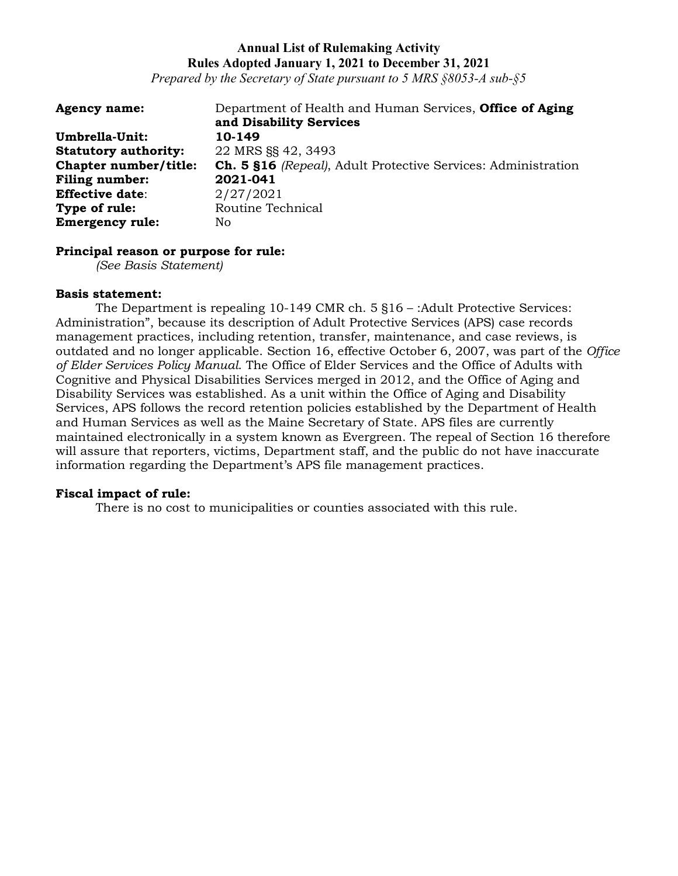*Prepared by the Secretary of State pursuant to 5 MRS §8053-A sub-§5*

| <b>Agency name:</b>         | Department of Health and Human Services, <b>Office of Aging</b>      |
|-----------------------------|----------------------------------------------------------------------|
|                             | and Disability Services                                              |
| Umbrella-Unit:              | 10-149                                                               |
| <b>Statutory authority:</b> | 22 MRS §§ 42, 3493                                                   |
| Chapter number/title:       | <b>Ch. 5 §16</b> (Repeal), Adult Protective Services: Administration |
| <b>Filing number:</b>       | 2021-041                                                             |
| <b>Effective date:</b>      | 2/27/2021                                                            |
| Type of rule:               | Routine Technical                                                    |
| <b>Emergency rule:</b>      | No.                                                                  |

#### **Principal reason or purpose for rule:**

*(See Basis Statement)*

#### **Basis statement:**

The Department is repealing 10-149 CMR ch. 5 §16 – :Adult Protective Services: Administration", because its description of Adult Protective Services (APS) case records management practices, including retention, transfer, maintenance, and case reviews, is outdated and no longer applicable. Section 16, effective October 6, 2007, was part of the *Office of Elder Services Policy Manual*. The Office of Elder Services and the Office of Adults with Cognitive and Physical Disabilities Services merged in 2012, and the Office of Aging and Disability Services was established. As a unit within the Office of Aging and Disability Services, APS follows the record retention policies established by the Department of Health and Human Services as well as the Maine Secretary of State. APS files are currently maintained electronically in a system known as Evergreen. The repeal of Section 16 therefore will assure that reporters, victims, Department staff, and the public do not have inaccurate information regarding the Department's APS file management practices.

### **Fiscal impact of rule:**

There is no cost to municipalities or counties associated with this rule.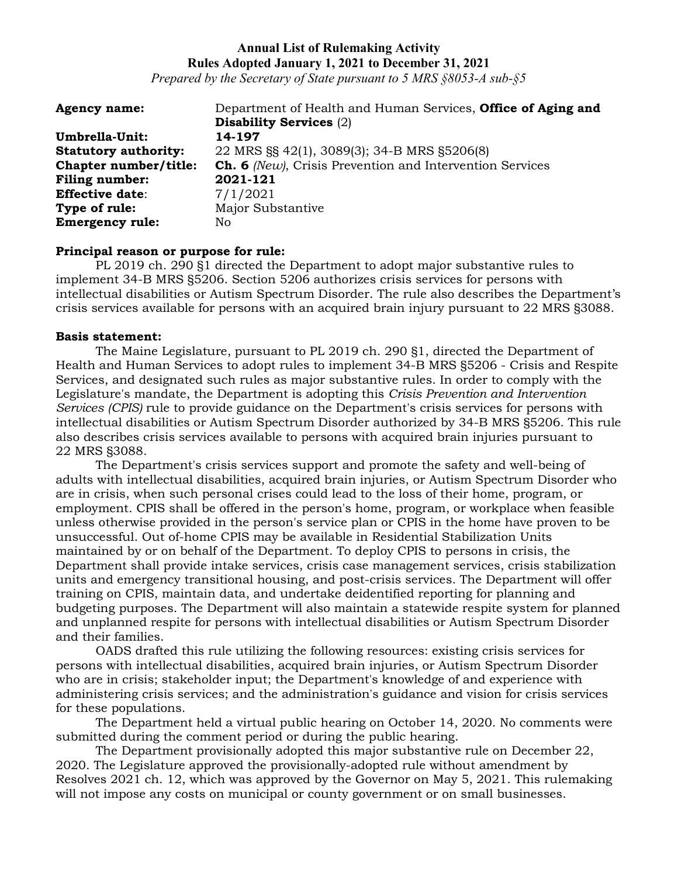*Prepared by the Secretary of State pursuant to 5 MRS §8053-A sub-§5*

| <b>Agency name:</b>         | Department of Health and Human Services, Office of Aging and |
|-----------------------------|--------------------------------------------------------------|
|                             | <b>Disability Services (2)</b>                               |
| Umbrella-Unit:              | 14-197                                                       |
| <b>Statutory authority:</b> | 22 MRS §§ 42(1), 3089(3); 34-B MRS §5206(8)                  |
| Chapter number/title:       | Ch. 6 (New), Crisis Prevention and Intervention Services     |
| <b>Filing number:</b>       | 2021-121                                                     |
| <b>Effective date:</b>      | 7/1/2021                                                     |
| Type of rule:               | Major Substantive                                            |
| <b>Emergency rule:</b>      | No.                                                          |

### **Principal reason or purpose for rule:**

PL 2019 ch. 290 §1 directed the Department to adopt major substantive rules to implement 34-B MRS §5206. Section 5206 authorizes crisis services for persons with intellectual disabilities or Autism Spectrum Disorder. The rule also describes the Department's crisis services available for persons with an acquired brain injury pursuant to 22 MRS §3088.

#### **Basis statement:**

The Maine Legislature, pursuant to PL 2019 ch. 290 §1, directed the Department of Health and Human Services to adopt rules to implement 34-B MRS §5206 - Crisis and Respite Services, and designated such rules as major substantive rules. In order to comply with the Legislature's mandate, the Department is adopting this *Crisis Prevention and Intervention Services (CPIS)* rule to provide guidance on the Department's crisis services for persons with intellectual disabilities or Autism Spectrum Disorder authorized by 34-B MRS §5206. This rule also describes crisis services available to persons with acquired brain injuries pursuant to 22 MRS §3088.

The Department's crisis services support and promote the safety and well-being of adults with intellectual disabilities, acquired brain injuries, or Autism Spectrum Disorder who are in crisis, when such personal crises could lead to the loss of their home, program, or employment. CPIS shall be offered in the person's home, program, or workplace when feasible unless otherwise provided in the person's service plan or CPIS in the home have proven to be unsuccessful. Out of-home CPIS may be available in Residential Stabilization Units maintained by or on behalf of the Department. To deploy CPIS to persons in crisis, the Department shall provide intake services, crisis case management services, crisis stabilization units and emergency transitional housing, and post-crisis services. The Department will offer training on CPIS, maintain data, and undertake deidentified reporting for planning and budgeting purposes. The Department will also maintain a statewide respite system for planned and unplanned respite for persons with intellectual disabilities or Autism Spectrum Disorder and their families.

OADS drafted this rule utilizing the following resources: existing crisis services for persons with intellectual disabilities, acquired brain injuries, or Autism Spectrum Disorder who are in crisis; stakeholder input; the Department's knowledge of and experience with administering crisis services; and the administration's guidance and vision for crisis services for these populations.

The Department held a virtual public hearing on October 14, 2020. No comments were submitted during the comment period or during the public hearing.

The Department provisionally adopted this major substantive rule on December 22, 2020. The Legislature approved the provisionally-adopted rule without amendment by Resolves 2021 ch. 12, which was approved by the Governor on May 5, 2021. This rulemaking will not impose any costs on municipal or county government or on small businesses.